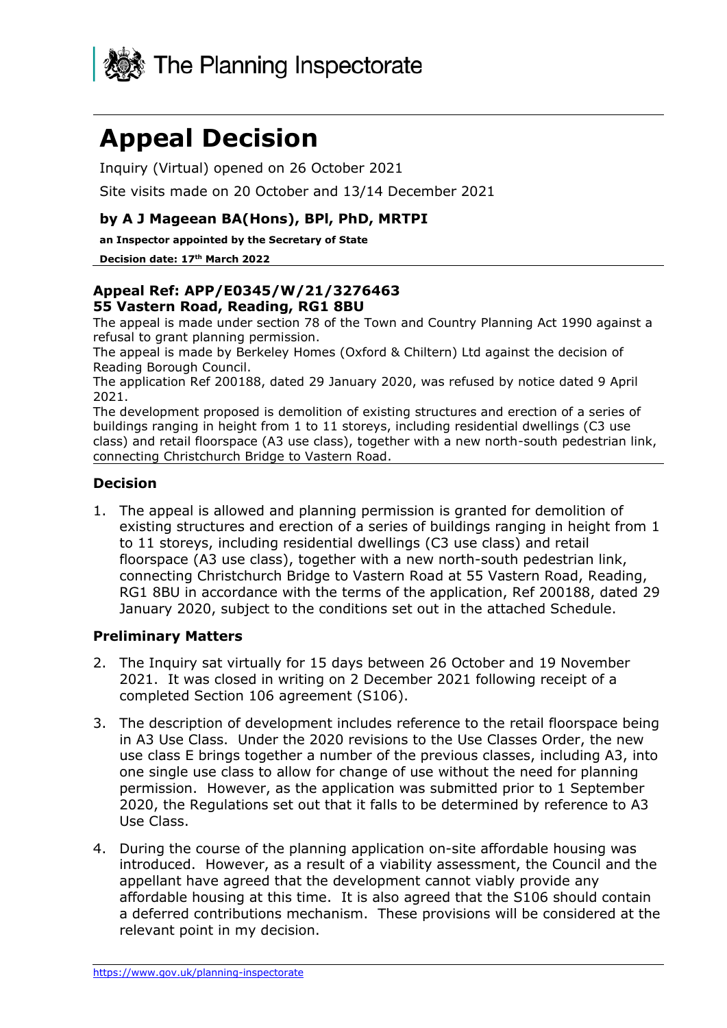

# **Appeal Decision**

Inquiry (Virtual) opened on 26 October 2021

Site visits made on 20 October and 13/14 December 2021

#### **by A J Mageean BA(Hons), BPl, PhD, MRTPI**

**an Inspector appointed by the Secretary of State** 

**Decision date: 17th March 2022**

#### **Appeal Ref: APP/E0345/W/21/3276463 55 Vastern Road, Reading, RG1 8BU**

The appeal is made under section 78 of the Town and Country Planning Act 1990 against a refusal to grant planning permission.

The appeal is made by Berkeley Homes (Oxford & Chiltern) Ltd against the decision of Reading Borough Council.

The application Ref 200188, dated 29 January 2020, was refused by notice dated 9 April 2021.

The development proposed is demolition of existing structures and erection of a series of buildings ranging in height from 1 to 11 storeys, including residential dwellings (C3 use class) and retail floorspace (A3 use class), together with a new north-south pedestrian link, connecting Christchurch Bridge to Vastern Road.

#### **Decision**

1. The appeal is allowed and planning permission is granted for demolition of existing structures and erection of a series of buildings ranging in height from 1 to 11 storeys, including residential dwellings (C3 use class) and retail floorspace (A3 use class), together with a new north-south pedestrian link, connecting Christchurch Bridge to Vastern Road at 55 Vastern Road, Reading, RG1 8BU in accordance with the terms of the application, Ref 200188, dated 29 January 2020, subject to the conditions set out in the attached Schedule.

#### **Preliminary Matters**

- 2. The Inquiry sat virtually for 15 days between 26 October and 19 November 2021. It was closed in writing on 2 December 2021 following receipt of a completed Section 106 agreement (S106).
- 3. The description of development includes reference to the retail floorspace being in A3 Use Class. Under the 2020 revisions to the Use Classes Order, the new use class E brings together a number of the previous classes, including A3, into one single use class to allow for change of use without the need for planning permission. However, as the application was submitted prior to 1 September 2020, the Regulations set out that it falls to be determined by reference to A3 Use Class.
- 4. During the course of the planning application on-site affordable housing was introduced. However, as a result of a viability assessment, the Council and the appellant have agreed that the development cannot viably provide any affordable housing at this time. It is also agreed that the S106 should contain a deferred contributions mechanism. These provisions will be considered at the relevant point in my decision.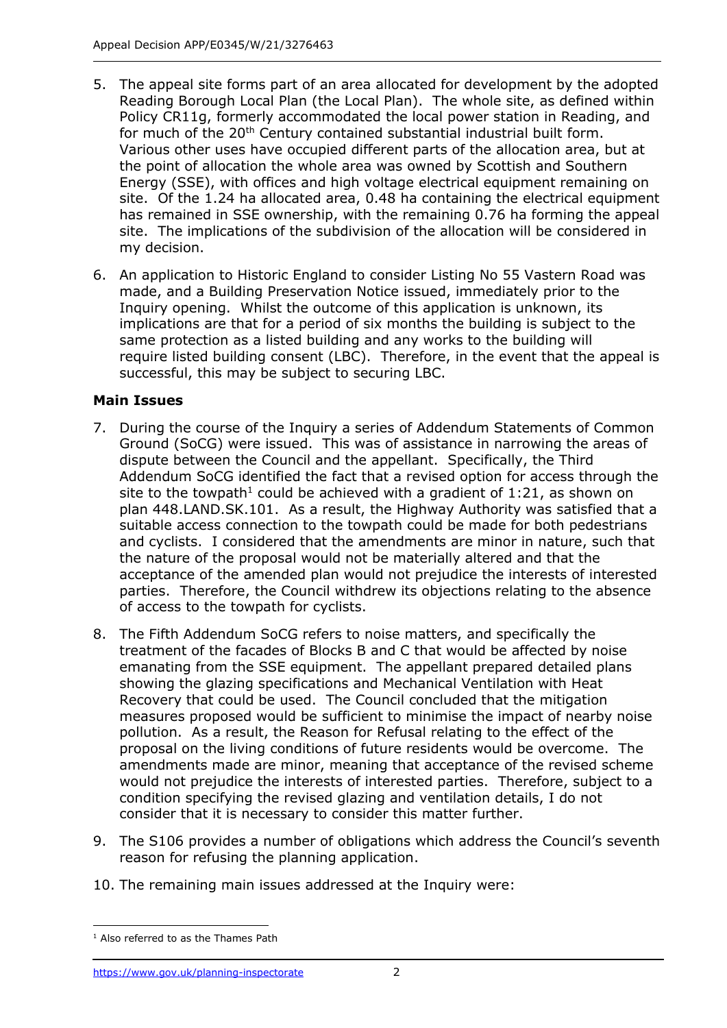- 5. The appeal site forms part of an area allocated for development by the adopted Reading Borough Local Plan (the Local Plan). The whole site, as defined within Policy CR11g, formerly accommodated the local power station in Reading, and for much of the 20<sup>th</sup> Century contained substantial industrial built form. Various other uses have occupied different parts of the allocation area, but at the point of allocation the whole area was owned by Scottish and Southern Energy (SSE), with offices and high voltage electrical equipment remaining on site. Of the  $1.24$  ha allocated area, 0.48 ha containing the electrical equipment has remained in SSE ownership, with the remaining 0.76 ha forming the appeal site. The implications of the subdivision of the allocation will be considered in my decision.
- 6. An application to Historic England to consider Listing No 55 Vastern Road was made, and a Building Preservation Notice issued, immediately prior to the Inquiry opening. Whilst the outcome of this application is unknown, its implications are that for a period of six months the building is subject to the same protection as a [listed building](https://historicengland.org.uk/advice/hpg/hpr-definitions/l/536327/) and any works to the building will require [listed building consent](https://historicengland.org.uk/advice/hpg/hpr-definitions/l/536329/) (LBC). Therefore, in the event that the appeal is successful, this may be subject to securing LBC.

## **Main Issues**

- 7. During the course of the Inquiry a series of Addendum Statements of Common Ground (SoCG) were issued. This was of assistance in narrowing the areas of dispute between the Council and the appellant. Specifically, the Third Addendum SoCG identified the fact that a revised option for access through the site to the towpath<sup>1</sup> could be achieved with a gradient of 1:21, as shown on plan 448.LAND.SK.101. As a result, the Highway Authority was satisfied that a suitable access connection to the towpath could be made for both pedestrians and cyclists. I considered that the amendments are minor in nature, such that the nature of the proposal would not be materially altered and that the acceptance of the amended plan would not prejudice the interests of interested parties. Therefore, the Council withdrew its objections relating to the absence of access to the towpath for cyclists.
- 8. The Fifth Addendum SoCG refers to noise matters, and specifically the treatment of the facades of Blocks B and C that would be affected by noise emanating from the SSE equipment. The appellant prepared detailed plans showing the glazing specifications and Mechanical Ventilation with Heat Recovery that could be used. The Council concluded that the mitigation measures proposed would be sufficient to minimise the impact of nearby noise pollution. As a result, the Reason for Refusal relating to the effect of the proposal on the living conditions of future residents would be overcome. The amendments made are minor, meaning that acceptance of the revised scheme would not prejudice the interests of interested parties. Therefore, subject to a condition specifying the revised glazing and ventilation details, I do not consider that it is necessary to consider this matter further.
- 9. The S106 provides a number of obligations which address the Council's seventh reason for refusing the planning application.
- 10. The remaining main issues addressed at the Inquiry were:

 $<sup>1</sup>$  Also referred to as the Thames Path</sup>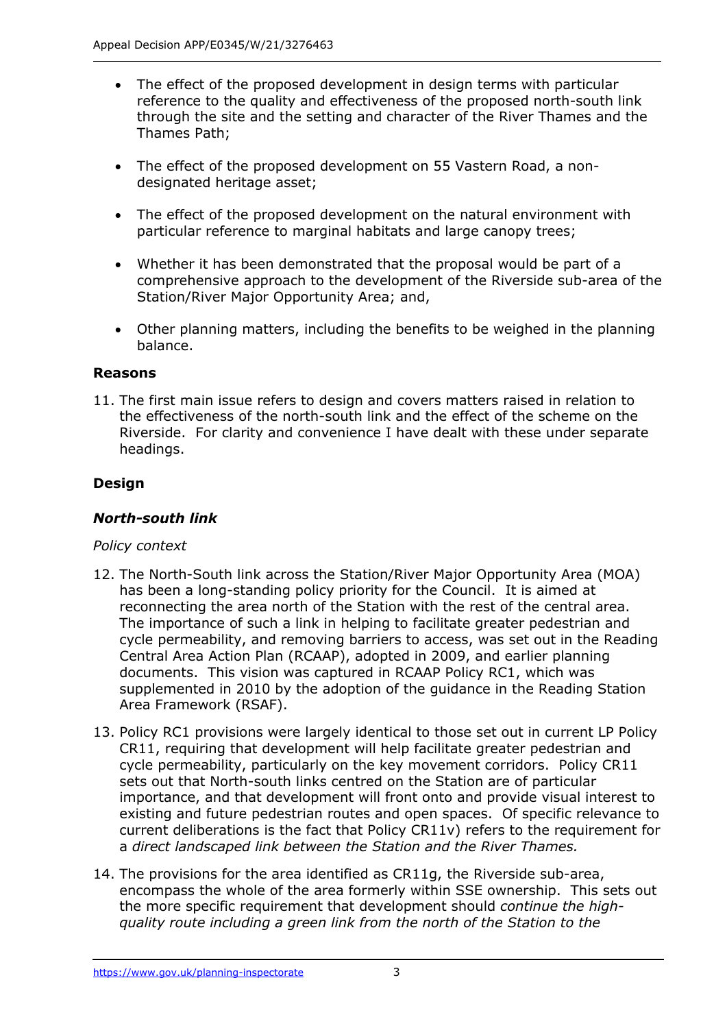- The effect of the proposed development in design terms with particular reference to the quality and effectiveness of the proposed north-south link through the site and the setting and character of the River Thames and the Thames Path;
- The effect of the proposed development on 55 Vastern Road, a nondesignated heritage asset;
- The effect of the proposed development on the natural environment with particular reference to marginal habitats and large canopy trees;
- Whether it has been demonstrated that the proposal would be part of a comprehensive approach to the development of the Riverside sub-area of the Station/River Major Opportunity Area; and,
- Other planning matters, including the benefits to be weighed in the planning balance.

#### **Reasons**

11. The first main issue refers to design and covers matters raised in relation to the effectiveness of the north-south link and the effect of the scheme on the Riverside. For clarity and convenience I have dealt with these under separate headings.

## **Design**

#### *North-south link*

#### *Policy context*

- 12. The North-South link across the Station/River Major Opportunity Area (MOA) has been a long-standing policy priority for the Council. It is aimed at reconnecting the area north of the Station with the rest of the central area. The importance of such a link in helping to facilitate greater pedestrian and cycle permeability, and removing barriers to access, was set out in the Reading Central Area Action Plan (RCAAP), adopted in 2009, and earlier planning documents. This vision was captured in RCAAP Policy RC1, which was supplemented in 2010 by the adoption of the guidance in the Reading Station Area Framework (RSAF).
- 13. Policy RC1 provisions were largely identical to those set out in current LP Policy CR11, requiring that development will help facilitate greater pedestrian and cycle permeability, particularly on the key movement corridors. Policy CR11 sets out that North-south links centred on the Station are of particular importance, and that development will front onto and provide visual interest to existing and future pedestrian routes and open spaces. Of specific relevance to current deliberations is the fact that Policy CR11v) refers to the requirement for a *direct landscaped link between the Station and the River Thames.*
- 14. The provisions for the area identified as CR11g, the Riverside sub-area, encompass the whole of the area formerly within SSE ownership. This sets out the more specific requirement that development should *continue the highquality route including a green link from the north of the Station to the*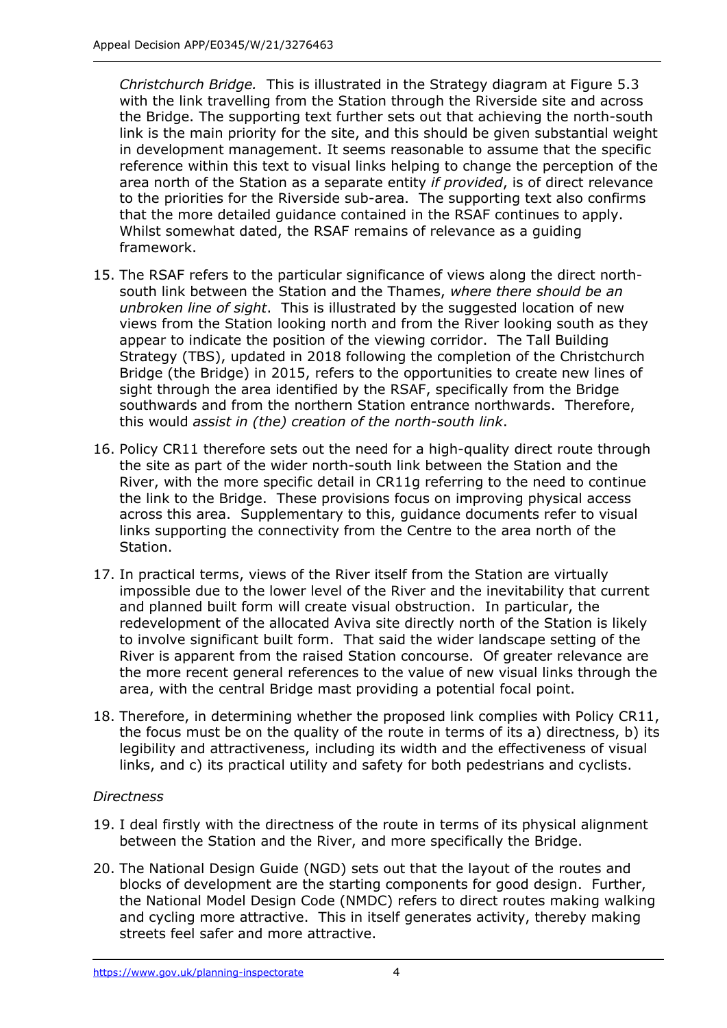*Christchurch Bridge.* This is illustrated in the Strategy diagram at Figure 5.3 with the link travelling from the Station through the Riverside site and across the Bridge. The supporting text further sets out that achieving the north-south link is the main priority for the site, and this should be given substantial weight in development management. It seems reasonable to assume that the specific reference within this text to visual links helping to change the perception of the area north of the Station as a separate entity *if provided*, is of direct relevance to the priorities for the Riverside sub-area. The supporting text also confirms that the more detailed guidance contained in the RSAF continues to apply. Whilst somewhat dated, the RSAF remains of relevance as a guiding framework.

- 15. The RSAF refers to the particular significance of views along the direct northsouth link between the Station and the Thames, *where there should be an unbroken line of sight*. This is illustrated by the suggested location of new views from the Station looking north and from the River looking south as they appear to indicate the position of the viewing corridor. The Tall Building Strategy (TBS), updated in 2018 following the completion of the Christchurch Bridge (the Bridge) in 2015, refers to the opportunities to create new lines of sight through the area identified by the RSAF, specifically from the Bridge southwards and from the northern Station entrance northwards. Therefore, this would *assist in (the) creation of the north-south link*.
- 16. Policy CR11 therefore sets out the need for a high-quality direct route through the site as part of the wider north-south link between the Station and the River, with the more specific detail in CR11g referring to the need to continue the link to the Bridge. These provisions focus on improving physical access across this area. Supplementary to this, guidance documents refer to visual links supporting the connectivity from the Centre to the area north of the Station.
- 17. In practical terms, views of the River itself from the Station are virtually impossible due to the lower level of the River and the inevitability that current and planned built form will create visual obstruction. In particular, the redevelopment of the allocated Aviva site directly north of the Station is likely to involve significant built form. That said the wider landscape setting of the River is apparent from the raised Station concourse. Of greater relevance are the more recent general references to the value of new visual links through the area, with the central Bridge mast providing a potential focal point.
- 18. Therefore, in determining whether the proposed link complies with Policy CR11, the focus must be on the quality of the route in terms of its a) directness, b) its legibility and attractiveness, including its width and the effectiveness of visual links, and c) its practical utility and safety for both pedestrians and cyclists.

## *Directness*

- 19. I deal firstly with the directness of the route in terms of its physical alignment between the Station and the River, and more specifically the Bridge.
- 20. The National Design Guide (NGD) sets out that the layout of the routes and blocks of development are the starting components for good design. Further, the National Model Design Code (NMDC) refers to direct routes making walking and cycling more attractive. This in itself generates activity, thereby making streets feel safer and more attractive.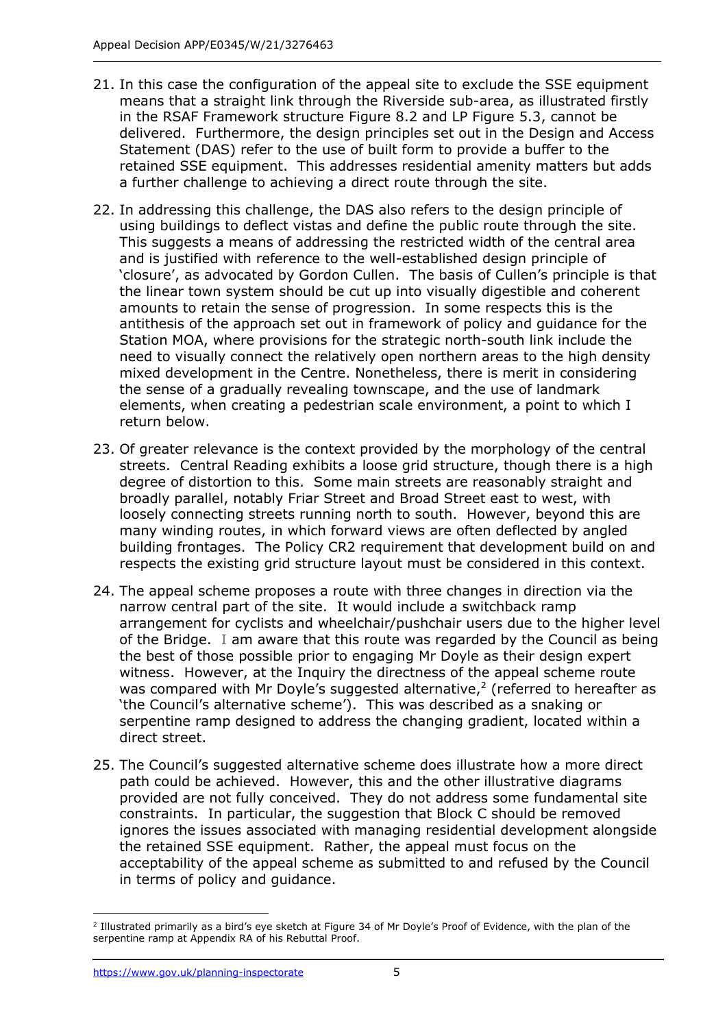- 21. In this case the configuration of the appeal site to exclude the SSE equipment means that a straight link through the Riverside sub-area, as illustrated firstly in the RSAF Framework structure Figure 8.2 and LP Figure 5.3, cannot be delivered. Furthermore, the design principles set out in the Design and Access Statement (DAS) refer to the use of built form to provide a buffer to the retained SSE equipment. This addresses residential amenity matters but adds a further challenge to achieving a direct route through the site.
- 22. In addressing this challenge, the DAS also refers to the design principle of using buildings to deflect vistas and define the public route through the site. This suggests a means of addressing the restricted width of the central area and is justified with reference to the well-established design principle of 'closure', as advocated by Gordon Cullen. The basis of Cullen's principle is that the linear town system should be cut up into visually digestible and coherent amounts to retain the sense of progression. In some respects this is the antithesis of the approach set out in framework of policy and guidance for the Station MOA, where provisions for the strategic north-south link include the need to visually connect the relatively open northern areas to the high density mixed development in the Centre. Nonetheless, there is merit in considering the sense of a gradually revealing townscape, and the use of landmark elements, when creating a pedestrian scale environment, a point to which I return below.
- 23. Of greater relevance is the context provided by the morphology of the central streets. Central Reading exhibits a loose grid structure, though there is a high degree of distortion to this. Some main streets are reasonably straight and broadly parallel, notably Friar Street and Broad Street east to west, with loosely connecting streets running north to south. However, beyond this are many winding routes, in which forward views are often deflected by angled building frontages. The Policy CR2 requirement that development build on and respects the existing grid structure layout must be considered in this context.
- 24. The appeal scheme proposes a route with three changes in direction via the narrow central part of the site. It would include a switchback ramp arrangement for cyclists and wheelchair/pushchair users due to the higher level of the Bridge. I am aware that this route was regarded by the Council as being the best of those possible prior to engaging Mr Doyle as their design expert witness. However, at the Inquiry the directness of the appeal scheme route was compared with Mr Doyle's suggested alternative, $2$  (referred to hereafter as 'the Council's alternative scheme'). This was described as a snaking or serpentine ramp designed to address the changing gradient, located within a direct street.
- 25. The Council's suggested alternative scheme does illustrate how a more direct path could be achieved. However, this and the other illustrative diagrams provided are not fully conceived. They do not address some fundamental site constraints. In particular, the suggestion that Block C should be removed ignores the issues associated with managing residential development alongside the retained SSE equipment. Rather, the appeal must focus on the acceptability of the appeal scheme as submitted to and refused by the Council in terms of policy and guidance.

<sup>2</sup> Illustrated primarily as a bird's eye sketch at Figure 34 of Mr Doyle's Proof of Evidence, with the plan of the serpentine ramp at Appendix RA of his Rebuttal Proof.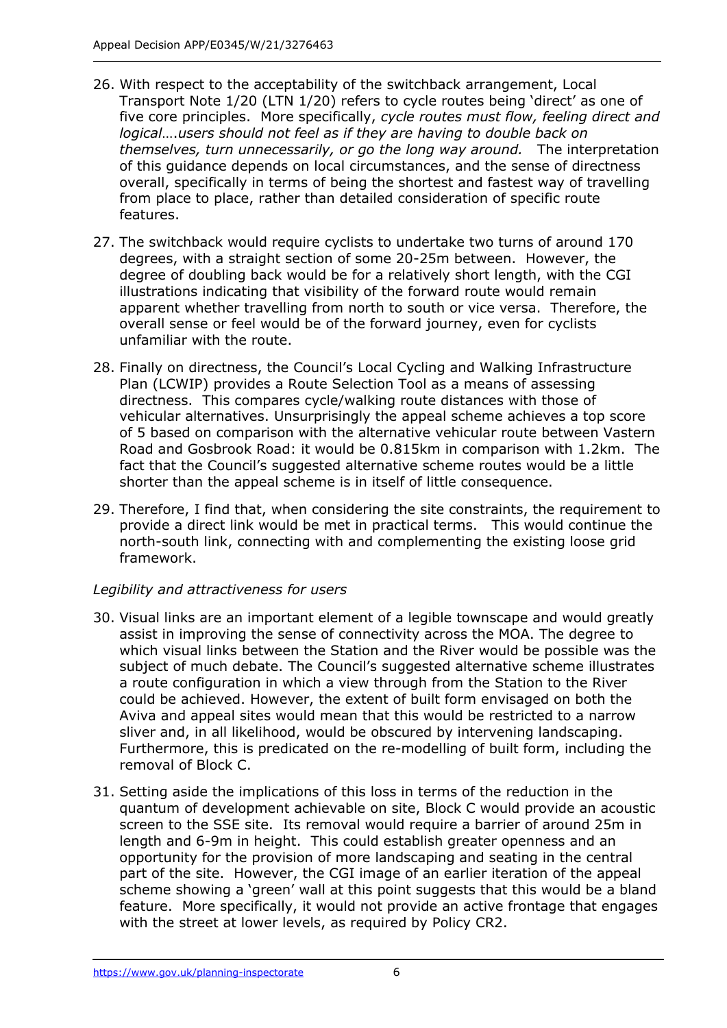- 26. With respect to the acceptability of the switchback arrangement, Local Transport Note 1/20 (LTN 1/20) refers to cycle routes being 'direct' as one of five core principles. More specifically, *cycle routes must flow, feeling direct and logical*….*users should not feel as if they are having to double back on themselves, turn unnecessarily, or go the long way around.* The interpretation of this guidance depends on local circumstances, and the sense of directness overall, specifically in terms of being the shortest and fastest way of travelling from place to place, rather than detailed consideration of specific route features.
- 27. The switchback would require cyclists to undertake two turns of around 170 degrees, with a straight section of some 20-25m between. However, the degree of doubling back would be for a relatively short length, with the CGI illustrations indicating that visibility of the forward route would remain apparent whether travelling from north to south or vice versa. Therefore, the overall sense or feel would be of the forward journey, even for cyclists unfamiliar with the route.
- 28. Finally on directness, the Council's Local Cycling and Walking Infrastructure Plan (LCWIP) provides a Route Selection Tool as a means of assessing directness. This compares cycle/walking route distances with those of vehicular alternatives. Unsurprisingly the appeal scheme achieves a top score of 5 based on comparison with the alternative vehicular route between Vastern Road and Gosbrook Road: it would be 0.815km in comparison with 1.2km. The fact that the Council's suggested alternative scheme routes would be a little shorter than the appeal scheme is in itself of little consequence.
- 29. Therefore, I find that, when considering the site constraints, the requirement to provide a direct link would be met in practical terms. This would continue the north-south link, connecting with and complementing the existing loose grid framework.

## *Legibility and attractiveness for users*

- 30. Visual links are an important element of a legible townscape and would greatly assist in improving the sense of connectivity across the MOA. The degree to which visual links between the Station and the River would be possible was the subject of much debate. The Council's suggested alternative scheme illustrates a route configuration in which a view through from the Station to the River could be achieved. However, the extent of built form envisaged on both the Aviva and appeal sites would mean that this would be restricted to a narrow sliver and, in all likelihood, would be obscured by intervening landscaping. Furthermore, this is predicated on the re-modelling of built form, including the removal of Block C.
- 31. Setting aside the implications of this loss in terms of the reduction in the quantum of development achievable on site, Block C would provide an acoustic screen to the SSE site. Its removal would require a barrier of around 25m in length and 6-9m in height. This could establish greater openness and an opportunity for the provision of more landscaping and seating in the central part of the site. However, the CGI image of an earlier iteration of the appeal scheme showing a 'green' wall at this point suggests that this would be a bland feature. More specifically, it would not provide an active frontage that engages with the street at lower levels, as required by Policy CR2.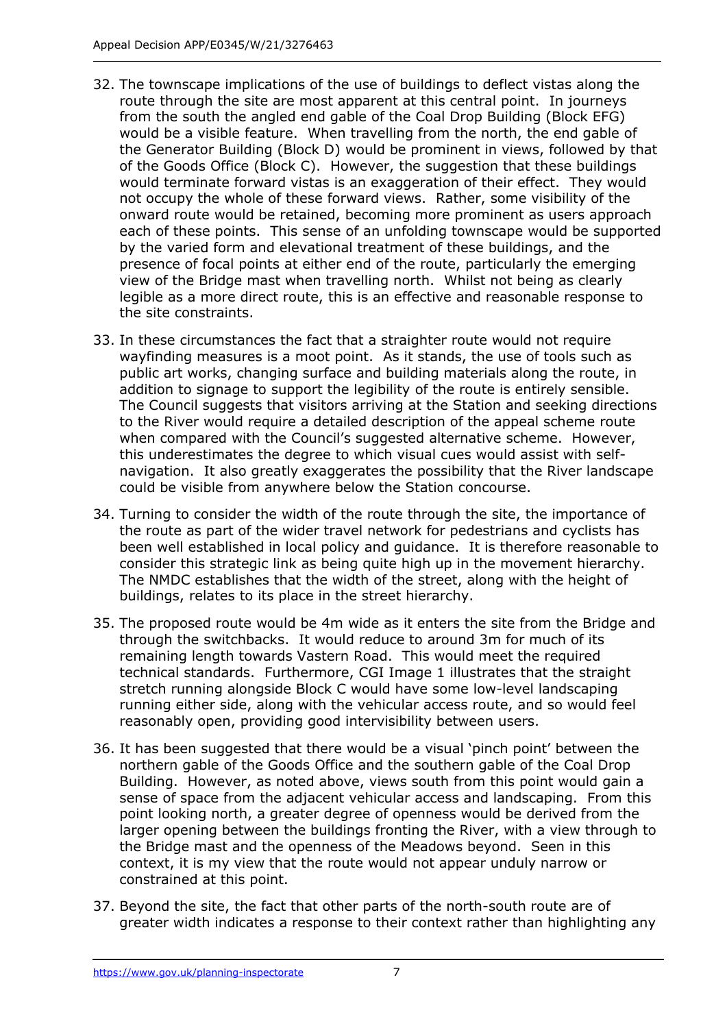- 32. The townscape implications of the use of buildings to deflect vistas along the route through the site are most apparent at this central point. In journeys from the south the angled end gable of the Coal Drop Building (Block EFG) would be a visible feature. When travelling from the north, the end gable of the Generator Building (Block D) would be prominent in views, followed by that of the Goods Office (Block C). However, the suggestion that these buildings would terminate forward vistas is an exaggeration of their effect. They would not occupy the whole of these forward views. Rather, some visibility of the onward route would be retained, becoming more prominent as users approach each of these points. This sense of an unfolding townscape would be supported by the varied form and elevational treatment of these buildings, and the presence of focal points at either end of the route, particularly the emerging view of the Bridge mast when travelling north. Whilst not being as clearly legible as a more direct route, this is an effective and reasonable response to the site constraints.
- 33. In these circumstances the fact that a straighter route would not require wayfinding measures is a moot point. As it stands, the use of tools such as public art works, changing surface and building materials along the route, in addition to signage to support the legibility of the route is entirely sensible. The Council suggests that visitors arriving at the Station and seeking directions to the River would require a detailed description of the appeal scheme route when compared with the Council's suggested alternative scheme. However, this underestimates the degree to which visual cues would assist with selfnavigation. It also greatly exaggerates the possibility that the River landscape could be visible from anywhere below the Station concourse.
- 34. Turning to consider the width of the route through the site, the importance of the route as part of the wider travel network for pedestrians and cyclists has been well established in local policy and guidance. It is therefore reasonable to consider this strategic link as being quite high up in the movement hierarchy. The NMDC establishes that the width of the street, along with the height of buildings, relates to its place in the street hierarchy.
- 35. The proposed route would be 4m wide as it enters the site from the Bridge and through the switchbacks. It would reduce to around 3m for much of its remaining length towards Vastern Road. This would meet the required technical standards. Furthermore, CGI Image 1 illustrates that the straight stretch running alongside Block C would have some low-level landscaping running either side, along with the vehicular access route, and so would feel reasonably open, providing good intervisibility between users.
- 36. It has been suggested that there would be a visual 'pinch point' between the northern gable of the Goods Office and the southern gable of the Coal Drop Building. However, as noted above, views south from this point would gain a sense of space from the adjacent vehicular access and landscaping. From this point looking north, a greater degree of openness would be derived from the larger opening between the buildings fronting the River, with a view through to the Bridge mast and the openness of the Meadows beyond. Seen in this context, it is my view that the route would not appear unduly narrow or constrained at this point.
- 37. Beyond the site, the fact that other parts of the north-south route are of greater width indicates a response to their context rather than highlighting any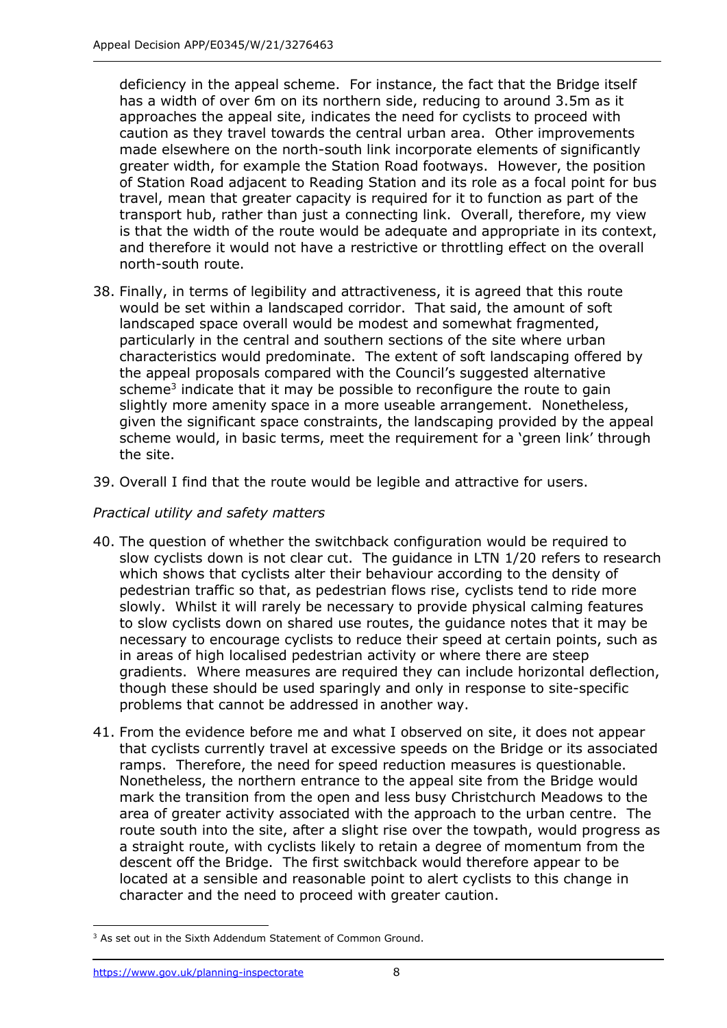deficiency in the appeal scheme. For instance, the fact that the Bridge itself has a width of over 6m on its northern side, reducing to around 3.5m as it approaches the appeal site, indicates the need for cyclists to proceed with caution as they travel towards the central urban area. Other improvements made elsewhere on the north-south link incorporate elements of significantly greater width, for example the Station Road footways. However, the position of Station Road adjacent to Reading Station and its role as a focal point for bus travel, mean that greater capacity is required for it to function as part of the transport hub, rather than just a connecting link. Overall, therefore, my view is that the width of the route would be adequate and appropriate in its context, and therefore it would not have a restrictive or throttling effect on the overall north-south route.

- 38. Finally, in terms of legibility and attractiveness, it is agreed that this route would be set within a landscaped corridor. That said, the amount of soft landscaped space overall would be modest and somewhat fragmented, particularly in the central and southern sections of the site where urban characteristics would predominate. The extent of soft landscaping offered by the appeal proposals compared with the Council's suggested alternative scheme<sup>3</sup> indicate that it may be possible to reconfigure the route to gain slightly more amenity space in a more useable arrangement. Nonetheless, given the significant space constraints, the landscaping provided by the appeal scheme would, in basic terms, meet the requirement for a 'green link' through the site.
- 39. Overall I find that the route would be legible and attractive for users.

## *Practical utility and safety matters*

- 40. The question of whether the switchback configuration would be required to slow cyclists down is not clear cut. The guidance in LTN 1/20 refers to research which shows that cyclists alter their behaviour according to the density of pedestrian traffic so that, as pedestrian flows rise, cyclists tend to ride more slowly. Whilst it will rarely be necessary to provide physical calming features to slow cyclists down on shared use routes, the guidance notes that it may be necessary to encourage cyclists to reduce their speed at certain points, such as in areas of high localised pedestrian activity or where there are steep gradients. Where measures are required they can include horizontal deflection, though these should be used sparingly and only in response to site-specific problems that cannot be addressed in another way.
- 41. From the evidence before me and what I observed on site, it does not appear that cyclists currently travel at excessive speeds on the Bridge or its associated ramps. Therefore, the need for speed reduction measures is questionable. Nonetheless, the northern entrance to the appeal site from the Bridge would mark the transition from the open and less busy Christchurch Meadows to the area of greater activity associated with the approach to the urban centre. The route south into the site, after a slight rise over the towpath, would progress as a straight route, with cyclists likely to retain a degree of momentum from the descent off the Bridge. The first switchback would therefore appear to be located at a sensible and reasonable point to alert cyclists to this change in character and the need to proceed with greater caution.

<sup>&</sup>lt;sup>3</sup> As set out in the Sixth Addendum Statement of Common Ground.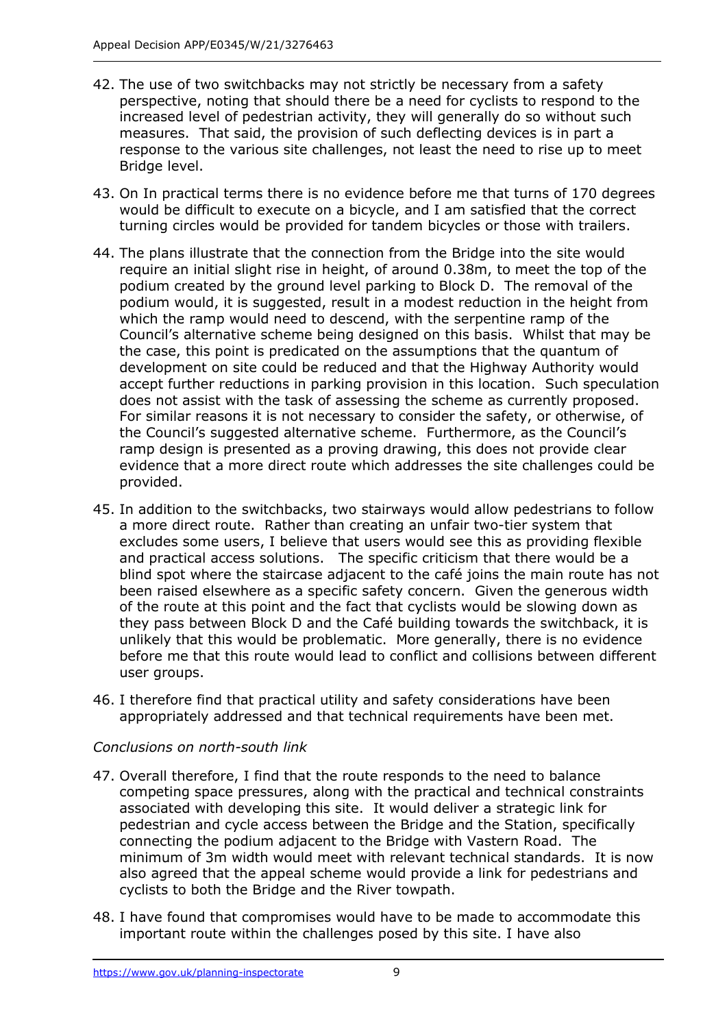- 42. The use of two switchbacks may not strictly be necessary from a safety perspective, noting that should there be a need for cyclists to respond to the increased level of pedestrian activity, they will generally do so without such measures. That said, the provision of such deflecting devices is in part a response to the various site challenges, not least the need to rise up to meet Bridge level.
- 43. On In practical terms there is no evidence before me that turns of 170 degrees would be difficult to execute on a bicycle, and I am satisfied that the correct turning circles would be provided for tandem bicycles or those with trailers.
- 44. The plans illustrate that the connection from the Bridge into the site would require an initial slight rise in height, of around 0.38m, to meet the top of the podium created by the ground level parking to Block D. The removal of the podium would, it is suggested, result in a modest reduction in the height from which the ramp would need to descend, with the serpentine ramp of the Council's alternative scheme being designed on this basis. Whilst that may be the case, this point is predicated on the assumptions that the quantum of development on site could be reduced and that the Highway Authority would accept further reductions in parking provision in this location. Such speculation does not assist with the task of assessing the scheme as currently proposed. For similar reasons it is not necessary to consider the safety, or otherwise, of the Council's suggested alternative scheme. Furthermore, as the Council's ramp design is presented as a proving drawing, this does not provide clear evidence that a more direct route which addresses the site challenges could be provided.
- 45. In addition to the switchbacks, two stairways would allow pedestrians to follow a more direct route. Rather than creating an unfair two-tier system that excludes some users, I believe that users would see this as providing flexible and practical access solutions. The specific criticism that there would be a blind spot where the staircase adjacent to the café joins the main route has not been raised elsewhere as a specific safety concern. Given the generous width of the route at this point and the fact that cyclists would be slowing down as they pass between Block D and the Café building towards the switchback, it is unlikely that this would be problematic. More generally, there is no evidence before me that this route would lead to conflict and collisions between different user groups.
- 46. I therefore find that practical utility and safety considerations have been appropriately addressed and that technical requirements have been met.

## *Conclusions on north-south link*

- 47. Overall therefore, I find that the route responds to the need to balance competing space pressures, along with the practical and technical constraints associated with developing this site. It would deliver a strategic link for pedestrian and cycle access between the Bridge and the Station, specifically connecting the podium adjacent to the Bridge with Vastern Road. The minimum of 3m width would meet with relevant technical standards. It is now also agreed that the appeal scheme would provide a link for pedestrians and cyclists to both the Bridge and the River towpath.
- 48. I have found that compromises would have to be made to accommodate this important route within the challenges posed by this site. I have also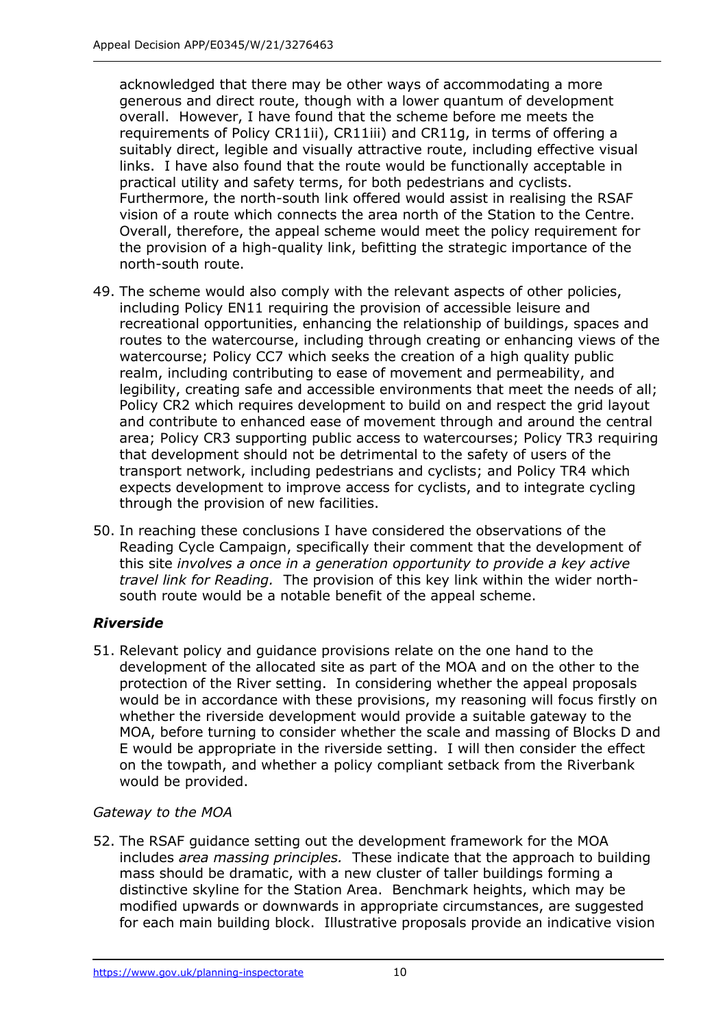acknowledged that there may be other ways of accommodating a more generous and direct route, though with a lower quantum of development overall. However, I have found that the scheme before me meets the requirements of Policy CR11ii), CR11iii) and CR11g, in terms of offering a suitably direct, legible and visually attractive route, including effective visual links. I have also found that the route would be functionally acceptable in practical utility and safety terms, for both pedestrians and cyclists. Furthermore, the north-south link offered would assist in realising the RSAF vision of a route which connects the area north of the Station to the Centre. Overall, therefore, the appeal scheme would meet the policy requirement for the provision of a high-quality link, befitting the strategic importance of the north-south route.

- 49. The scheme would also comply with the relevant aspects of other policies, including Policy EN11 requiring the provision of accessible leisure and recreational opportunities, enhancing the relationship of buildings, spaces and routes to the watercourse, including through creating or enhancing views of the watercourse; Policy CC7 which seeks the creation of a high quality public realm, including contributing to ease of movement and permeability, and legibility, creating safe and accessible environments that meet the needs of all; Policy CR2 which requires development to build on and respect the grid layout and contribute to enhanced ease of movement through and around the central area; Policy CR3 supporting public access to watercourses; Policy TR3 requiring that development should not be detrimental to the safety of users of the transport network, including pedestrians and cyclists; and Policy TR4 which expects development to improve access for cyclists, and to integrate cycling through the provision of new facilities.
- 50. In reaching these conclusions I have considered the observations of the Reading Cycle Campaign, specifically their comment that the development of this site *involves a once in a generation opportunity to provide a key active travel link for Reading.* The provision of this key link within the wider northsouth route would be a notable benefit of the appeal scheme.

## *Riverside*

51. Relevant policy and guidance provisions relate on the one hand to the development of the allocated site as part of the MOA and on the other to the protection of the River setting. In considering whether the appeal proposals would be in accordance with these provisions, my reasoning will focus firstly on whether the riverside development would provide a suitable gateway to the MOA, before turning to consider whether the scale and massing of Blocks D and E would be appropriate in the riverside setting. I will then consider the effect on the towpath, and whether a policy compliant setback from the Riverbank would be provided.

## *Gateway to the MOA*

52. The RSAF guidance setting out the development framework for the MOA includes *area massing principles.* These indicate that the approach to building mass should be dramatic, with a new cluster of taller buildings forming a distinctive skyline for the Station Area. Benchmark heights, which may be modified upwards or downwards in appropriate circumstances, are suggested for each main building block. Illustrative proposals provide an indicative vision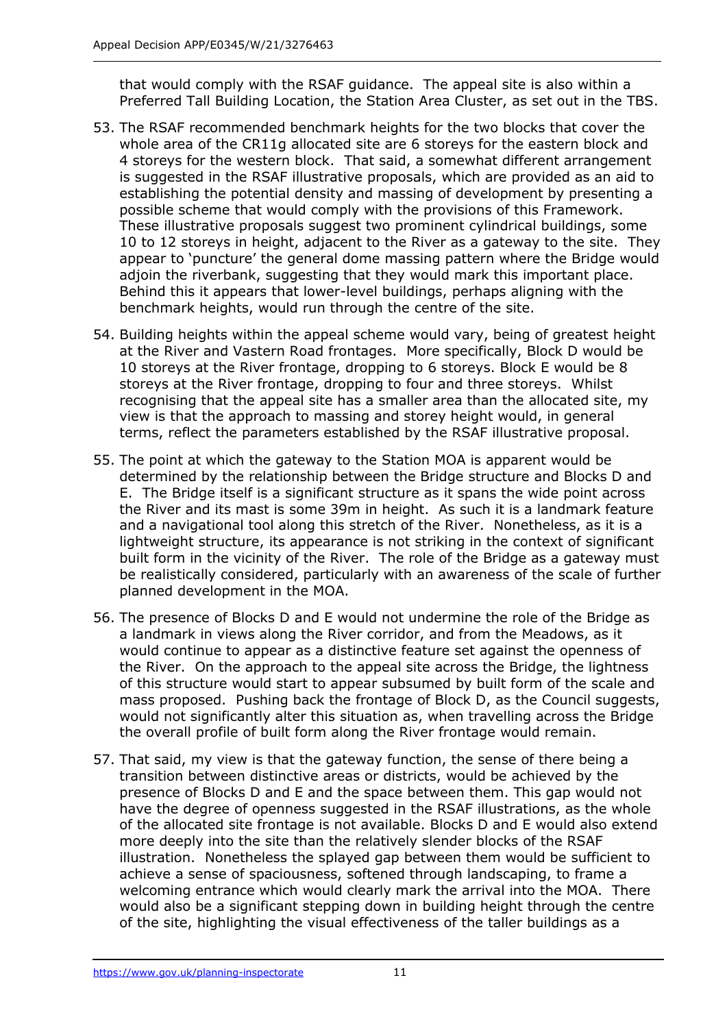that would comply with the RSAF guidance. The appeal site is also within a Preferred Tall Building Location, the Station Area Cluster, as set out in the TBS.

- 53. The RSAF recommended benchmark heights for the two blocks that cover the whole area of the CR11g allocated site are 6 storeys for the eastern block and 4 storeys for the western block. That said, a somewhat different arrangement is suggested in the RSAF illustrative proposals, which are provided as an aid to establishing the potential density and massing of development by presenting a possible scheme that would comply with the provisions of this Framework. These illustrative proposals suggest two prominent cylindrical buildings, some 10 to 12 storeys in height, adjacent to the River as a gateway to the site. They appear to 'puncture' the general dome massing pattern where the Bridge would adjoin the riverbank, suggesting that they would mark this important place. Behind this it appears that lower-level buildings, perhaps aligning with the benchmark heights, would run through the centre of the site.
- 54. Building heights within the appeal scheme would vary, being of greatest height at the River and Vastern Road frontages. More specifically, Block D would be 10 storeys at the River frontage, dropping to 6 storeys. Block E would be 8 storeys at the River frontage, dropping to four and three storeys. Whilst recognising that the appeal site has a smaller area than the allocated site, my view is that the approach to massing and storey height would, in general terms, reflect the parameters established by the RSAF illustrative proposal.
- 55. The point at which the gateway to the Station MOA is apparent would be determined by the relationship between the Bridge structure and Blocks D and E. The Bridge itself is a significant structure as it spans the wide point across the River and its mast is some 39m in height. As such it is a landmark feature and a navigational tool along this stretch of the River. Nonetheless, as it is a lightweight structure, its appearance is not striking in the context of significant built form in the vicinity of the River. The role of the Bridge as a gateway must be realistically considered, particularly with an awareness of the scale of further planned development in the MOA.
- 56. The presence of Blocks D and E would not undermine the role of the Bridge as a landmark in views along the River corridor, and from the Meadows, as it would continue to appear as a distinctive feature set against the openness of the River. On the approach to the appeal site across the Bridge, the lightness of this structure would start to appear subsumed by built form of the scale and mass proposed. Pushing back the frontage of Block D, as the Council suggests, would not significantly alter this situation as, when travelling across the Bridge the overall profile of built form along the River frontage would remain.
- 57. That said, my view is that the gateway function, the sense of there being a transition between distinctive areas or districts, would be achieved by the presence of Blocks D and E and the space between them. This gap would not have the degree of openness suggested in the RSAF illustrations, as the whole of the allocated site frontage is not available. Blocks D and E would also extend more deeply into the site than the relatively slender blocks of the RSAF illustration. Nonetheless the splayed gap between them would be sufficient to achieve a sense of spaciousness, softened through landscaping, to frame a welcoming entrance which would clearly mark the arrival into the MOA. There would also be a significant stepping down in building height through the centre of the site, highlighting the visual effectiveness of the taller buildings as a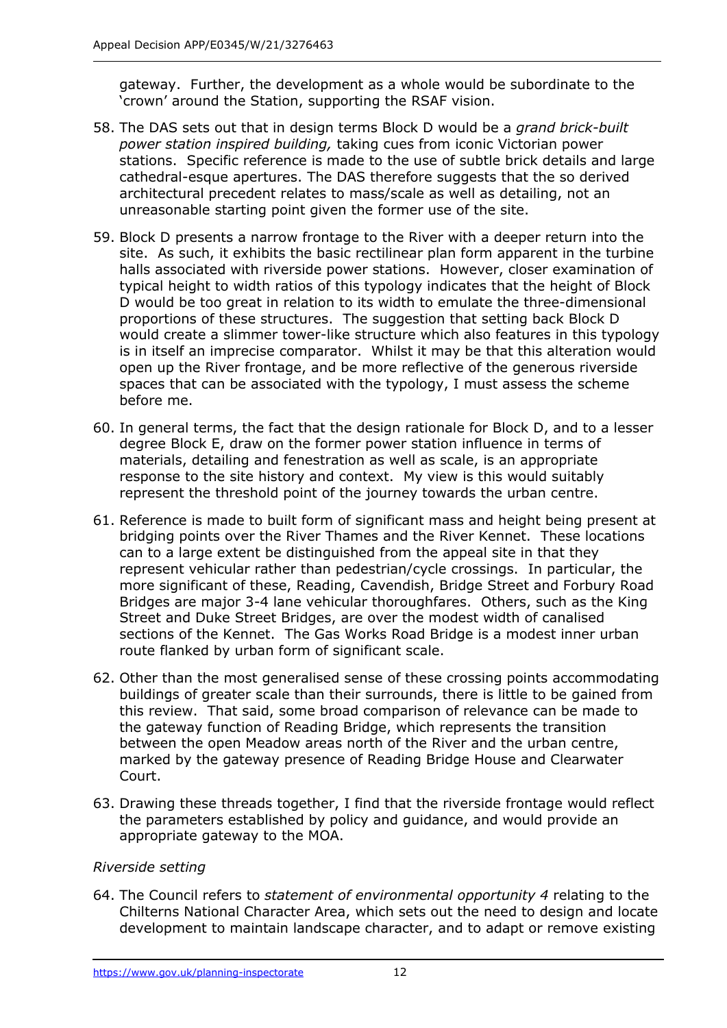gateway. Further, the development as a whole would be subordinate to the 'crown' around the Station, supporting the RSAF vision.

- 58. The DAS sets out that in design terms Block D would be a *grand brick-built power station inspired building,* taking cues from iconic Victorian power stations. Specific reference is made to the use of subtle brick details and large cathedral-esque apertures. The DAS therefore suggests that the so derived architectural precedent relates to mass/scale as well as detailing, not an unreasonable starting point given the former use of the site.
- 59. Block D presents a narrow frontage to the River with a deeper return into the site. As such, it exhibits the basic rectilinear plan form apparent in the turbine halls associated with riverside power stations. However, closer examination of typical height to width ratios of this typology indicates that the height of Block D would be too great in relation to its width to emulate the three-dimensional proportions of these structures. The suggestion that setting back Block D would create a slimmer tower-like structure which also features in this typology is in itself an imprecise comparator. Whilst it may be that this alteration would open up the River frontage, and be more reflective of the generous riverside spaces that can be associated with the typology, I must assess the scheme before me.
- 60. In general terms, the fact that the design rationale for Block D, and to a lesser degree Block E, draw on the former power station influence in terms of materials, detailing and fenestration as well as scale, is an appropriate response to the site history and context. My view is this would suitably represent the threshold point of the journey towards the urban centre.
- 61. Reference is made to built form of significant mass and height being present at bridging points over the River Thames and the River Kennet. These locations can to a large extent be distinguished from the appeal site in that they represent vehicular rather than pedestrian/cycle crossings. In particular, the more significant of these, Reading, Cavendish, Bridge Street and Forbury Road Bridges are major 3-4 lane vehicular thoroughfares. Others, such as the King Street and Duke Street Bridges, are over the modest width of canalised sections of the Kennet. The Gas Works Road Bridge is a modest inner urban route flanked by urban form of significant scale.
- 62. Other than the most generalised sense of these crossing points accommodating buildings of greater scale than their surrounds, there is little to be gained from this review. That said, some broad comparison of relevance can be made to the gateway function of Reading Bridge, which represents the transition between the open Meadow areas north of the River and the urban centre, marked by the gateway presence of Reading Bridge House and Clearwater Court.
- 63. Drawing these threads together, I find that the riverside frontage would reflect the parameters established by policy and guidance, and would provide an appropriate gateway to the MOA.

## *Riverside setting*

64. The Council refers to *statement of environmental opportunity 4* relating to the Chilterns National Character Area, which sets out the need to design and locate development to maintain landscape character, and to adapt or remove existing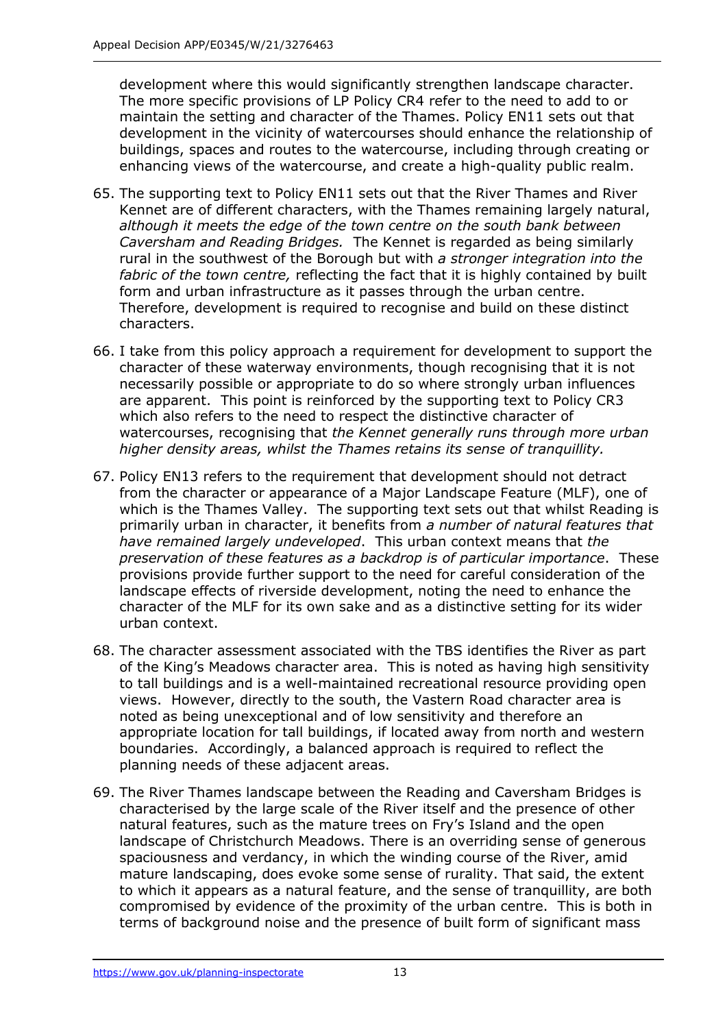development where this would significantly strengthen landscape character. The more specific provisions of LP Policy CR4 refer to the need to add to or maintain the setting and character of the Thames. Policy EN11 sets out that development in the vicinity of watercourses should enhance the relationship of buildings, spaces and routes to the watercourse, including through creating or enhancing views of the watercourse, and create a high-quality public realm.

- 65. The supporting text to Policy EN11 sets out that the River Thames and River Kennet are of different characters, with the Thames remaining largely natural, *although it meets the edge of the town centre on the south bank between Caversham and Reading Bridges.* The Kennet is regarded as being similarly rural in the southwest of the Borough but with *a stronger integration into the fabric of the town centre,* reflecting the fact that it is highly contained by built form and urban infrastructure as it passes through the urban centre. Therefore, development is required to recognise and build on these distinct characters.
- 66. I take from this policy approach a requirement for development to support the character of these waterway environments, though recognising that it is not necessarily possible or appropriate to do so where strongly urban influences are apparent. This point is reinforced by the supporting text to Policy CR3 which also refers to the need to respect the distinctive character of watercourses, recognising that *the Kennet generally runs through more urban higher density areas, whilst the Thames retains its sense of tranquillity.*
- 67. Policy EN13 refers to the requirement that development should not detract from the character or appearance of a Major Landscape Feature (MLF), one of which is the Thames Valley. The supporting text sets out that whilst Reading is primarily urban in character, it benefits from *a number of natural features that have remained largely undeveloped*.This urban context means that *the preservation of these features as a backdrop is of particular importance*. These provisions provide further support to the need for careful consideration of the landscape effects of riverside development, noting the need to enhance the character of the MLF for its own sake and as a distinctive setting for its wider urban context.
- 68. The character assessment associated with the TBS identifies the River as part of the King's Meadows character area. This is noted as having high sensitivity to tall buildings and is a well-maintained recreational resource providing open views. However, directly to the south, the Vastern Road character area is noted as being unexceptional and of low sensitivity and therefore an appropriate location for tall buildings, if located away from north and western boundaries. Accordingly, a balanced approach is required to reflect the planning needs of these adjacent areas.
- 69. The River Thames landscape between the Reading and Caversham Bridges is characterised by the large scale of the River itself and the presence of other natural features, such as the mature trees on Fry's Island and the open landscape of Christchurch Meadows. There is an overriding sense of generous spaciousness and verdancy, in which the winding course of the River, amid mature landscaping, does evoke some sense of rurality. That said, the extent to which it appears as a natural feature, and the sense of tranquillity, are both compromised by evidence of the proximity of the urban centre. This is both in terms of background noise and the presence of built form of significant mass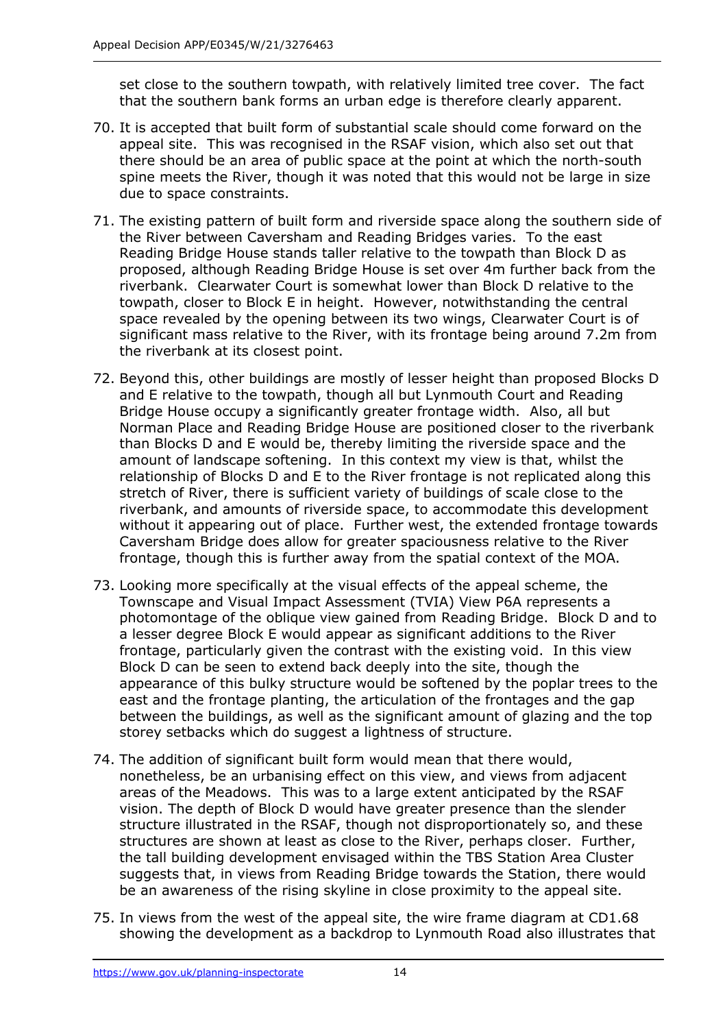set close to the southern towpath, with relatively limited tree cover. The fact that the southern bank forms an urban edge is therefore clearly apparent.

- 70. It is accepted that built form of substantial scale should come forward on the appeal site. This was recognised in the RSAF vision, which also set out that there should be an area of public space at the point at which the north-south spine meets the River, though it was noted that this would not be large in size due to space constraints.
- 71. The existing pattern of built form and riverside space along the southern side of the River between Caversham and Reading Bridges varies. To the east Reading Bridge House stands taller relative to the towpath than Block D as proposed, although Reading Bridge House is set over 4m further back from the riverbank. Clearwater Court is somewhat lower than Block D relative to the towpath, closer to Block E in height. However, notwithstanding the central space revealed by the opening between its two wings, Clearwater Court is of significant mass relative to the River, with its frontage being around 7.2m from the riverbank at its closest point.
- 72. Beyond this, other buildings are mostly of lesser height than proposed Blocks D and E relative to the towpath, though all but Lynmouth Court and Reading Bridge House occupy a significantly greater frontage width. Also, all but Norman Place and Reading Bridge House are positioned closer to the riverbank than Blocks D and E would be, thereby limiting the riverside space and the amount of landscape softening. In this context my view is that, whilst the relationship of Blocks D and E to the River frontage is not replicated along this stretch of River, there is sufficient variety of buildings of scale close to the riverbank, and amounts of riverside space, to accommodate this development without it appearing out of place. Further west, the extended frontage towards Caversham Bridge does allow for greater spaciousness relative to the River frontage, though this is further away from the spatial context of the MOA.
- 73. Looking more specifically at the visual effects of the appeal scheme, the Townscape and Visual Impact Assessment (TVIA) View P6A represents a photomontage of the oblique view gained from Reading Bridge. Block D and to a lesser degree Block E would appear as significant additions to the River frontage, particularly given the contrast with the existing void. In this view Block D can be seen to extend back deeply into the site, though the appearance of this bulky structure would be softened by the poplar trees to the east and the frontage planting, the articulation of the frontages and the gap between the buildings, as well as the significant amount of glazing and the top storey setbacks which do suggest a lightness of structure.
- 74. The addition of significant built form would mean that there would, nonetheless, be an urbanising effect on this view, and views from adjacent areas of the Meadows. This was to a large extent anticipated by the RSAF vision. The depth of Block D would have greater presence than the slender structure illustrated in the RSAF, though not disproportionately so, and these structures are shown at least as close to the River, perhaps closer. Further, the tall building development envisaged within the TBS Station Area Cluster suggests that, in views from Reading Bridge towards the Station, there would be an awareness of the rising skyline in close proximity to the appeal site.
- 75. In views from the west of the appeal site, the wire frame diagram at CD1.68 showing the development as a backdrop to Lynmouth Road also illustrates that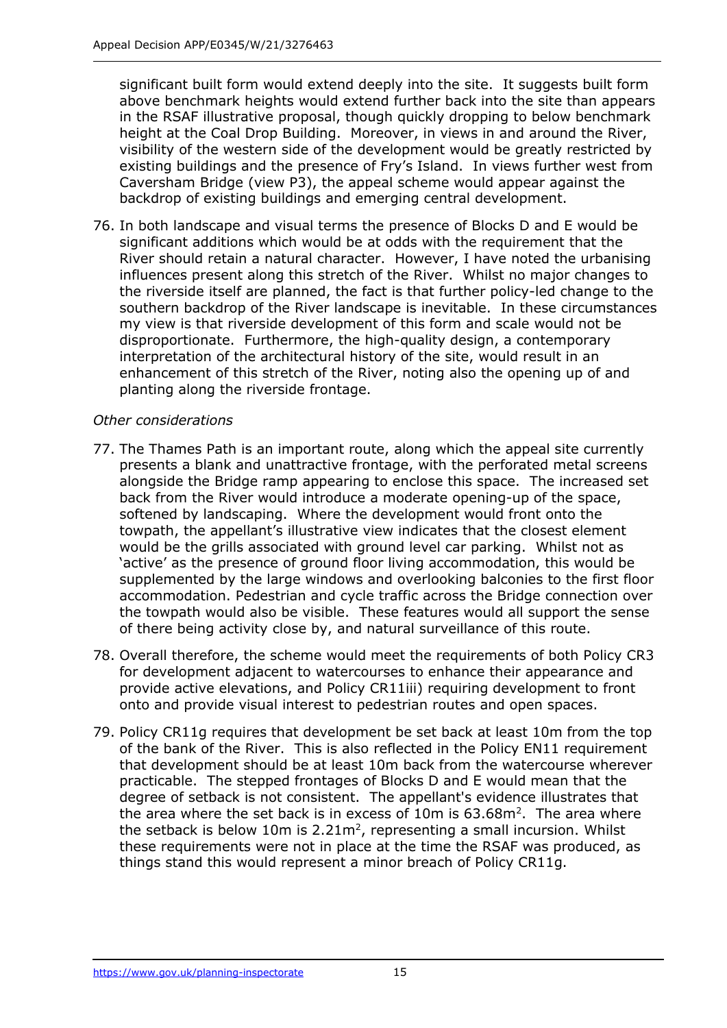significant built form would extend deeply into the site. It suggests built form above benchmark heights would extend further back into the site than appears in the RSAF illustrative proposal, though quickly dropping to below benchmark height at the Coal Drop Building. Moreover, in views in and around the River, visibility of the western side of the development would be greatly restricted by existing buildings and the presence of Fry's Island. In views further west from Caversham Bridge (view P3), the appeal scheme would appear against the backdrop of existing buildings and emerging central development.

76. In both landscape and visual terms the presence of Blocks D and E would be significant additions which would be at odds with the requirement that the River should retain a natural character. However, I have noted the urbanising influences present along this stretch of the River. Whilst no major changes to the riverside itself are planned, the fact is that further policy-led change to the southern backdrop of the River landscape is inevitable. In these circumstances my view is that riverside development of this form and scale would not be disproportionate. Furthermore, the high-quality design, a contemporary interpretation of the architectural history of the site, would result in an enhancement of this stretch of the River, noting also the opening up of and planting along the riverside frontage.

#### *Other considerations*

- 77. The Thames Path is an important route, along which the appeal site currently presents a blank and unattractive frontage, with the perforated metal screens alongside the Bridge ramp appearing to enclose this space. The increased set back from the River would introduce a moderate opening-up of the space, softened by landscaping. Where the development would front onto the towpath, the appellant's illustrative view indicates that the closest element would be the grills associated with ground level car parking. Whilst not as 'active' as the presence of ground floor living accommodation, this would be supplemented by the large windows and overlooking balconies to the first floor accommodation. Pedestrian and cycle traffic across the Bridge connection over the towpath would also be visible. These features would all support the sense of there being activity close by, and natural surveillance of this route.
- 78. Overall therefore, the scheme would meet the requirements of both Policy CR3 for development adjacent to watercourses to enhance their appearance and provide active elevations, and Policy CR11iii) requiring development to front onto and provide visual interest to pedestrian routes and open spaces.
- 79. Policy CR11g requires that development be set back at least 10m from the top of the bank of the River. This is also reflected in the Policy EN11 requirement that development should be at least 10m back from the watercourse wherever practicable. The stepped frontages of Blocks D and E would mean that the degree of setback is not consistent. The appellant's evidence illustrates that the area where the set back is in excess of  $10m$  is  $63.68m<sup>2</sup>$ . The area where the setback is below 10m is  $2.21m^2$ , representing a small incursion. Whilst these requirements were not in place at the time the RSAF was produced, as things stand this would represent a minor breach of Policy CR11g.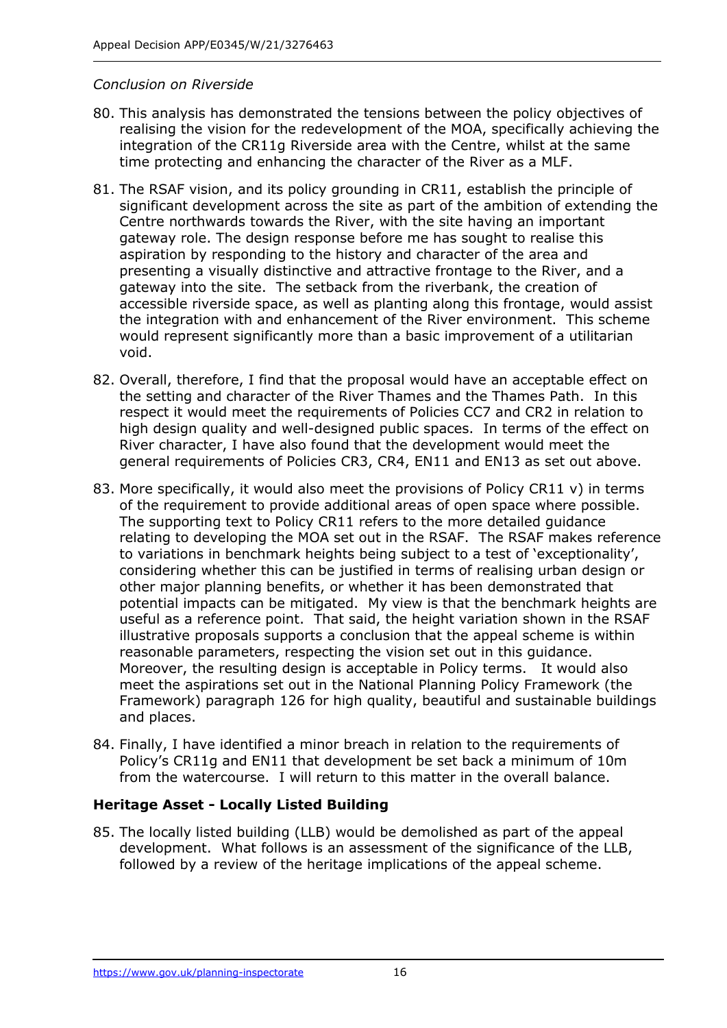#### *Conclusion on Riverside*

- 80. This analysis has demonstrated the tensions between the policy objectives of realising the vision for the redevelopment of the MOA, specifically achieving the integration of the CR11g Riverside area with the Centre, whilst at the same time protecting and enhancing the character of the River as a MLF.
- 81. The RSAF vision, and its policy grounding in CR11, establish the principle of significant development across the site as part of the ambition of extending the Centre northwards towards the River, with the site having an important gateway role. The design response before me has sought to realise this aspiration by responding to the history and character of the area and presenting a visually distinctive and attractive frontage to the River, and a gateway into the site. The setback from the riverbank, the creation of accessible riverside space, as well as planting along this frontage, would assist the integration with and enhancement of the River environment. This scheme would represent significantly more than a basic improvement of a utilitarian void.
- 82. Overall, therefore, I find that the proposal would have an acceptable effect on the setting and character of the River Thames and the Thames Path. In this respect it would meet the requirements of Policies CC7 and CR2 in relation to high design quality and well-designed public spaces. In terms of the effect on River character, I have also found that the development would meet the general requirements of Policies CR3, CR4, EN11 and EN13 as set out above.
- 83. More specifically, it would also meet the provisions of Policy CR11 v) in terms of the requirement to provide additional areas of open space where possible. The supporting text to Policy CR11 refers to the more detailed guidance relating to developing the MOA set out in the RSAF. The RSAF makes reference to variations in benchmark heights being subject to a test of 'exceptionality', considering whether this can be justified in terms of realising urban design or other major planning benefits, or whether it has been demonstrated that potential impacts can be mitigated. My view is that the benchmark heights are useful as a reference point. That said, the height variation shown in the RSAF illustrative proposals supports a conclusion that the appeal scheme is within reasonable parameters, respecting the vision set out in this guidance. Moreover, the resulting design is acceptable in Policy terms. It would also meet the aspirations set out in the National Planning Policy Framework (the Framework) paragraph 126 for high quality, beautiful and sustainable buildings and places.
- 84. Finally, I have identified a minor breach in relation to the requirements of Policy's CR11g and EN11 that development be set back a minimum of 10m from the watercourse. I will return to this matter in the overall balance.

## **Heritage Asset - Locally Listed Building**

85. The locally listed building (LLB) would be demolished as part of the appeal development. What follows is an assessment of the significance of the LLB, followed by a review of the heritage implications of the appeal scheme.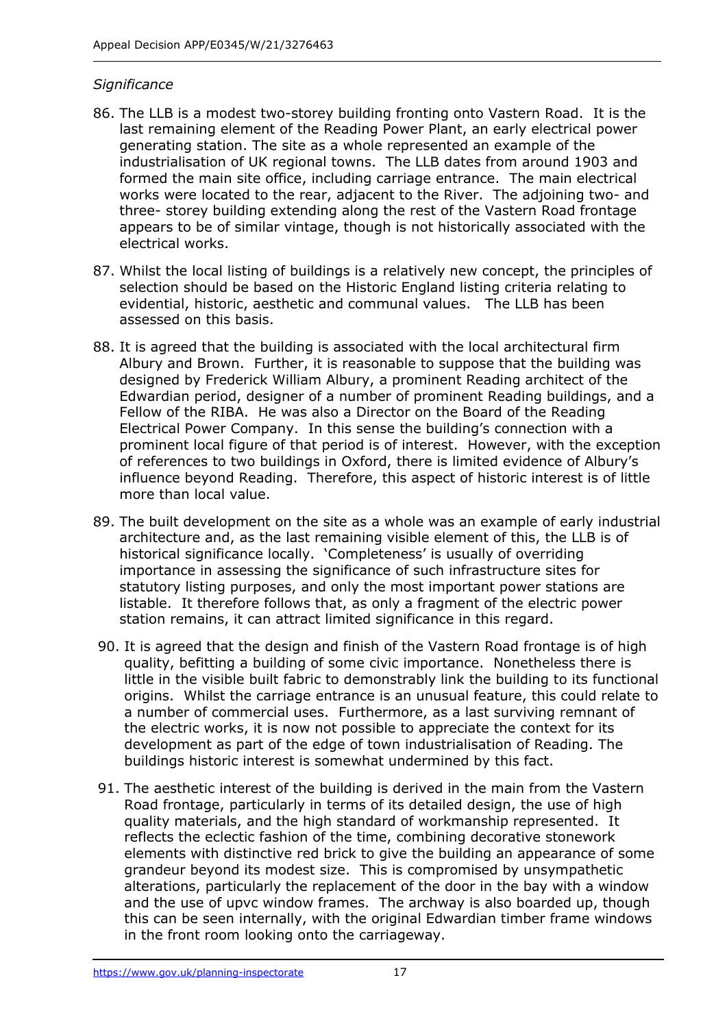#### *Significance*

- 86. The LLB is a modest two-storey building fronting onto Vastern Road. It is the last remaining element of the Reading Power Plant, an early electrical power generating station. The site as a whole represented an example of the industrialisation of UK regional towns. The LLB dates from around 1903 and formed the main site office, including carriage entrance. The main electrical works were located to the rear, adjacent to the River. The adjoining two- and three- storey building extending along the rest of the Vastern Road frontage appears to be of similar vintage, though is not historically associated with the electrical works.
- 87. Whilst the local listing of buildings is a relatively new concept, the principles of selection should be based on the Historic England listing criteria relating to evidential, historic, aesthetic and communal values. The LLB has been assessed on this basis.
- 88. It is agreed that the building is associated with the local architectural firm Albury and Brown. Further, it is reasonable to suppose that the building was designed by Frederick William Albury, a prominent Reading architect of the Edwardian period, designer of a number of prominent Reading buildings, and a Fellow of the RIBA. He was also a Director on the Board of the Reading Electrical Power Company. In this sense the building's connection with a prominent local figure of that period is of interest. However, with the exception of references to two buildings in Oxford, there is limited evidence of Albury's influence beyond Reading. Therefore, this aspect of historic interest is of little more than local value.
- 89. The built development on the site as a whole was an example of early industrial architecture and, as the last remaining visible element of this, the LLB is of historical significance locally. 'Completeness' is usually of overriding importance in assessing the significance of such infrastructure sites for statutory listing purposes, and only the most important power stations are listable. It therefore follows that, as only a fragment of the electric power station remains, it can attract limited significance in this regard.
- 90. It is agreed that the design and finish of the Vastern Road frontage is of high quality, befitting a building of some civic importance. Nonetheless there is little in the visible built fabric to demonstrably link the building to its functional origins. Whilst the carriage entrance is an unusual feature, this could relate to a number of commercial uses. Furthermore, as a last surviving remnant of the electric works, it is now not possible to appreciate the context for its development as part of the edge of town industrialisation of Reading. The buildings historic interest is somewhat undermined by this fact.
- 91. The aesthetic interest of the building is derived in the main from the Vastern Road frontage, particularly in terms of its detailed design, the use of high quality materials, and the high standard of workmanship represented. It reflects the eclectic fashion of the time, combining decorative stonework elements with distinctive red brick to give the building an appearance of some grandeur beyond its modest size. This is compromised by unsympathetic alterations, particularly the replacement of the door in the bay with a window and the use of upvc window frames. The archway is also boarded up, though this can be seen internally, with the original Edwardian timber frame windows in the front room looking onto the carriageway.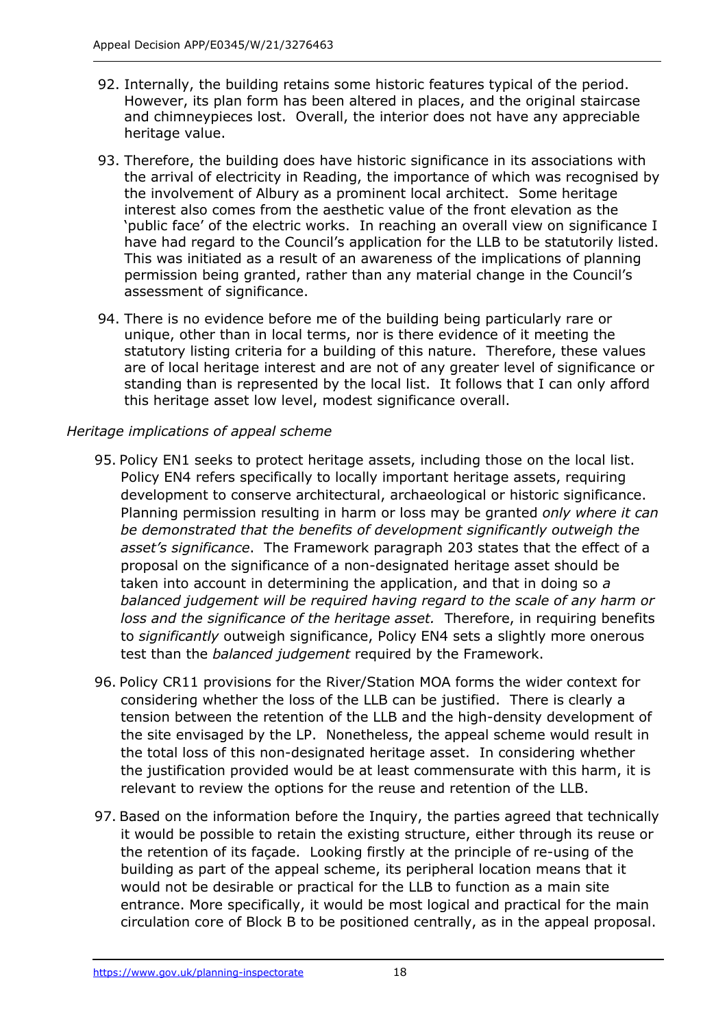- 92. Internally, the building retains some historic features typical of the period. However, its plan form has been altered in places, and the original staircase and chimneypieces lost. Overall, the interior does not have any appreciable heritage value.
- 93. Therefore, the building does have historic significance in its associations with the arrival of electricity in Reading, the importance of which was recognised by the involvement of Albury as a prominent local architect. Some heritage interest also comes from the aesthetic value of the front elevation as the 'public face' of the electric works. In reaching an overall view on significance I have had regard to the Council's application for the LLB to be statutorily listed. This was initiated as a result of an awareness of the implications of planning permission being granted, rather than any material change in the Council's assessment of significance.
- 94. There is no evidence before me of the building being particularly rare or unique, other than in local terms, nor is there evidence of it meeting the statutory listing criteria for a building of this nature. Therefore, these values are of local heritage interest and are not of any greater level of significance or standing than is represented by the local list. It follows that I can only afford this heritage asset low level, modest significance overall.

## *Heritage implications of appeal scheme*

- 95. Policy EN1 seeks to protect heritage assets, including those on the local list. Policy EN4 refers specifically to locally important heritage assets, requiring development to conserve architectural, archaeological or historic significance. Planning permission resulting in harm or loss may be granted *only where it can be demonstrated that the benefits of development significantly outweigh the asset's significance*. The Framework paragraph 203 states that the effect of a proposal on the significance of a non-designated heritage asset should be taken into account in determining the application, and that in doing so *a balanced judgement will be required having regard to the scale of any harm or loss and the significance of the heritage asset.* Therefore, in requiring benefits to *significantly* outweigh significance, Policy EN4 sets a slightly more onerous test than the *balanced judgement* required by the Framework.
- 96. Policy CR11 provisions for the River/Station MOA forms the wider context for considering whether the loss of the LLB can be justified. There is clearly a tension between the retention of the LLB and the high-density development of the site envisaged by the LP. Nonetheless, the appeal scheme would result in the total loss of this non-designated heritage asset. In considering whether the justification provided would be at least commensurate with this harm, it is relevant to review the options for the reuse and retention of the LLB.
- 97. Based on the information before the Inquiry, the parties agreed that technically it would be possible to retain the existing structure, either through its reuse or the retention of its façade. Looking firstly at the principle of re-using of the building as part of the appeal scheme, its peripheral location means that it would not be desirable or practical for the LLB to function as a main site entrance. More specifically, it would be most logical and practical for the main circulation core of Block B to be positioned centrally, as in the appeal proposal.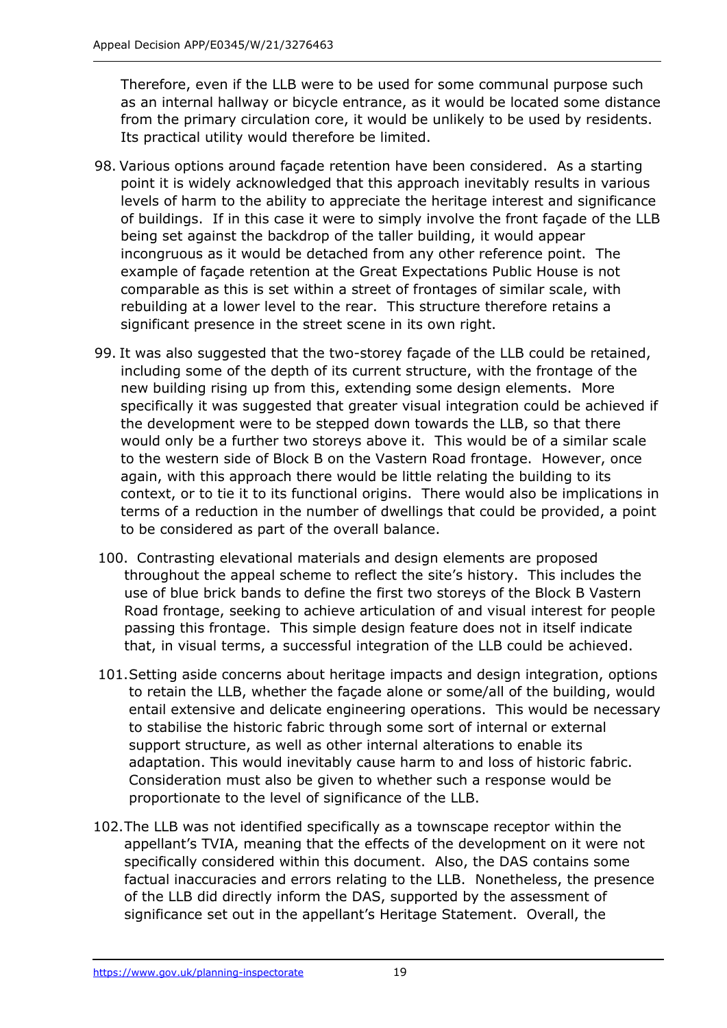Therefore, even if the LLB were to be used for some communal purpose such as an internal hallway or bicycle entrance, as it would be located some distance from the primary circulation core, it would be unlikely to be used by residents. Its practical utility would therefore be limited.

- 98. Various options around façade retention have been considered. As a starting point it is widely acknowledged that this approach inevitably results in various levels of harm to the ability to appreciate the heritage interest and significance of buildings. If in this case it were to simply involve the front façade of the LLB being set against the backdrop of the taller building, it would appear incongruous as it would be detached from any other reference point. The example of façade retention at the Great Expectations Public House is not comparable as this is set within a street of frontages of similar scale, with rebuilding at a lower level to the rear. This structure therefore retains a significant presence in the street scene in its own right.
- 99. It was also suggested that the two-storey façade of the LLB could be retained, including some of the depth of its current structure, with the frontage of the new building rising up from this, extending some design elements. More specifically it was suggested that greater visual integration could be achieved if the development were to be stepped down towards the LLB, so that there would only be a further two storeys above it. This would be of a similar scale to the western side of Block B on the Vastern Road frontage. However, once again, with this approach there would be little relating the building to its context, or to tie it to its functional origins. There would also be implications in terms of a reduction in the number of dwellings that could be provided, a point to be considered as part of the overall balance.
- 100. Contrasting elevational materials and design elements are proposed throughout the appeal scheme to reflect the site's history. This includes the use of blue brick bands to define the first two storeys of the Block B Vastern Road frontage, seeking to achieve articulation of and visual interest for people passing this frontage. This simple design feature does not in itself indicate that, in visual terms, a successful integration of the LLB could be achieved.
- 101.Setting aside concerns about heritage impacts and design integration, options to retain the LLB, whether the façade alone or some/all of the building, would entail extensive and delicate engineering operations. This would be necessary to stabilise the historic fabric through some sort of internal or external support structure, as well as other internal alterations to enable its adaptation. This would inevitably cause harm to and loss of historic fabric. Consideration must also be given to whether such a response would be proportionate to the level of significance of the LLB.
- 102.The LLB was not identified specifically as a townscape receptor within the appellant's TVIA, meaning that the effects of the development on it were not specifically considered within this document. Also, the DAS contains some factual inaccuracies and errors relating to the LLB. Nonetheless, the presence of the LLB did directly inform the DAS, supported by the assessment of significance set out in the appellant's Heritage Statement. Overall, the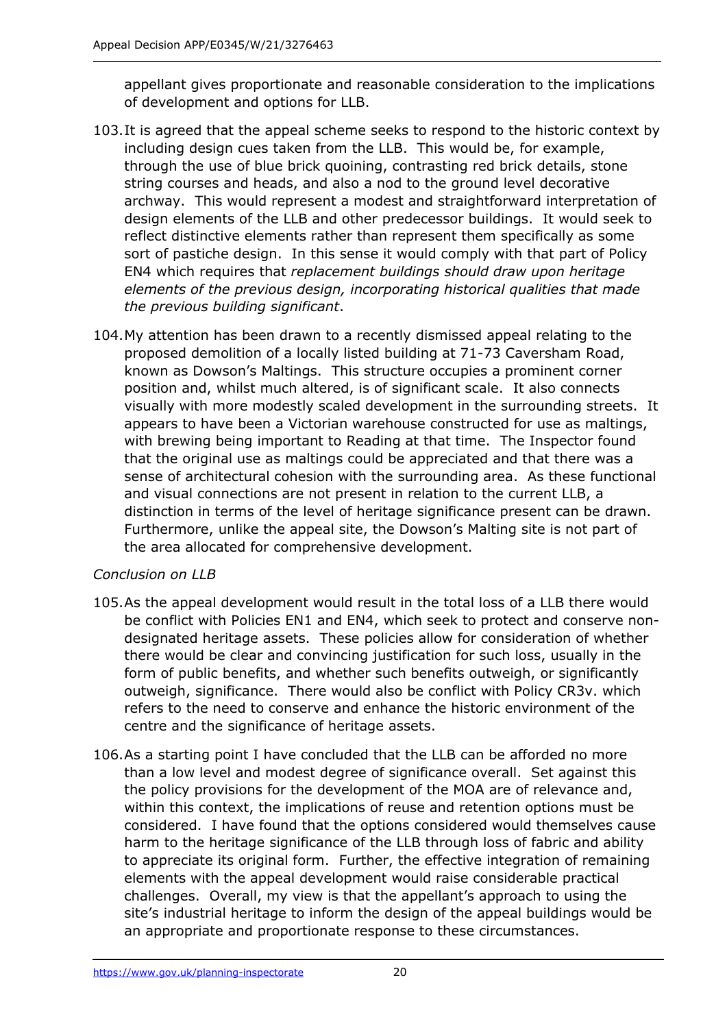appellant gives proportionate and reasonable consideration to the implications of development and options for LLB.

- 103.It is agreed that the appeal scheme seeks to respond to the historic context by including design cues taken from the LLB. This would be, for example, through the use of blue brick quoining, contrasting red brick details, stone string courses and heads, and also a nod to the ground level decorative archway. This would represent a modest and straightforward interpretation of design elements of the LLB and other predecessor buildings. It would seek to reflect distinctive elements rather than represent them specifically as some sort of pastiche design. In this sense it would comply with that part of Policy EN4 which requires that *replacement buildings should draw upon heritage elements of the previous design, incorporating historical qualities that made the previous building significant*.
- 104.My attention has been drawn to a recently dismissed appeal relating to the proposed demolition of a locally listed building at 71-73 Caversham Road, known as Dowson's Maltings. This structure occupies a prominent corner position and, whilst much altered, is of significant scale. It also connects visually with more modestly scaled development in the surrounding streets. It appears to have been a Victorian warehouse constructed for use as maltings, with brewing being important to Reading at that time. The Inspector found that the original use as maltings could be appreciated and that there was a sense of architectural cohesion with the surrounding area. As these functional and visual connections are not present in relation to the current LLB, a distinction in terms of the level of heritage significance present can be drawn. Furthermore, unlike the appeal site, the Dowson's Malting site is not part of the area allocated for comprehensive development.

## *Conclusion on LLB*

- 105.As the appeal development would result in the total loss of a LLB there would be conflict with Policies EN1 and EN4, which seek to protect and conserve nondesignated heritage assets. These policies allow for consideration of whether there would be clear and convincing justification for such loss, usually in the form of public benefits, and whether such benefits outweigh, or significantly outweigh, significance. There would also be conflict with Policy CR3v. which refers to the need to conserve and enhance the historic environment of the centre and the significance of heritage assets.
- 106.As a starting point I have concluded that the LLB can be afforded no more than a low level and modest degree of significance overall. Set against this the policy provisions for the development of the MOA are of relevance and, within this context, the implications of reuse and retention options must be considered. I have found that the options considered would themselves cause harm to the heritage significance of the LLB through loss of fabric and ability to appreciate its original form. Further, the effective integration of remaining elements with the appeal development would raise considerable practical challenges. Overall, my view is that the appellant's approach to using the site's industrial heritage to inform the design of the appeal buildings would be an appropriate and proportionate response to these circumstances.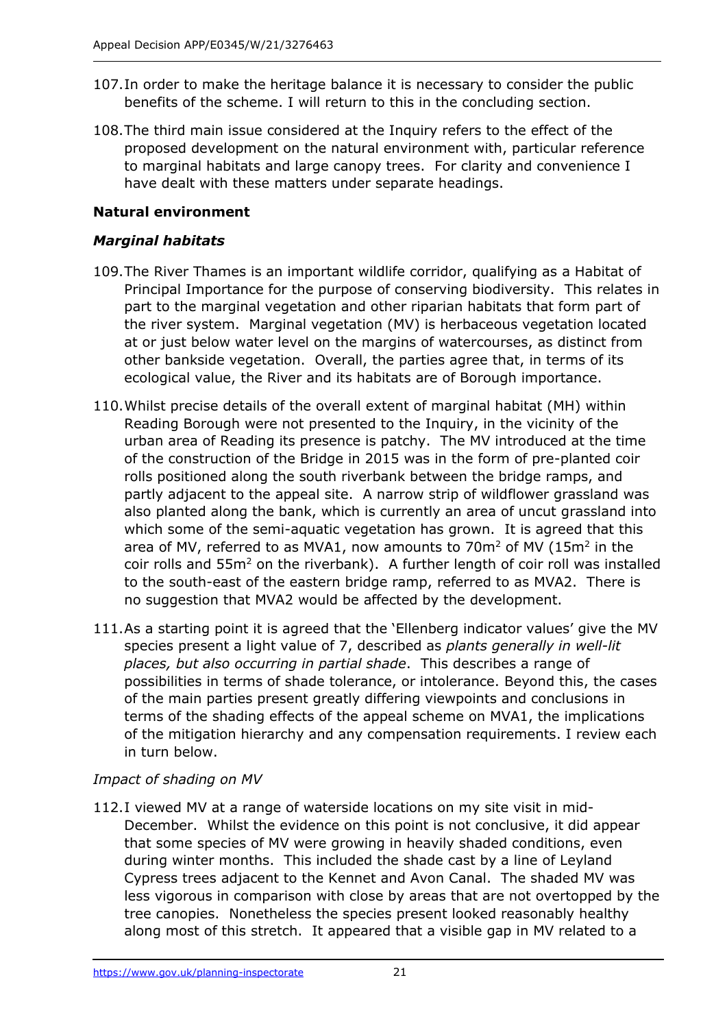- 107.In order to make the heritage balance it is necessary to consider the public benefits of the scheme. I will return to this in the concluding section.
- 108.The third main issue considered at the Inquiry refers to the effect of the proposed development on the natural environment with, particular reference to marginal habitats and large canopy trees. For clarity and convenience I have dealt with these matters under separate headings.

## **Natural environment**

#### *Marginal habitats*

- 109.The River Thames is an important wildlife corridor, qualifying as a Habitat of Principal Importance for the purpose of conserving biodiversity. This relates in part to the marginal vegetation and other riparian habitats that form part of the river system. Marginal vegetation (MV) is herbaceous vegetation located at or just below water level on the margins of watercourses, as distinct from other bankside vegetation. Overall, the parties agree that, in terms of its ecological value, the River and its habitats are of Borough importance.
- 110.Whilst precise details of the overall extent of marginal habitat (MH) within Reading Borough were not presented to the Inquiry, in the vicinity of the urban area of Reading its presence is patchy. The MV introduced at the time of the construction of the Bridge in 2015 was in the form of pre-planted coir rolls positioned along the south riverbank between the bridge ramps, and partly adjacent to the appeal site. A narrow strip of wildflower grassland was also planted along the bank, which is currently an area of uncut grassland into which some of the semi-aquatic vegetation has grown. It is agreed that this area of MV, referred to as MVA1, now amounts to 70 $m<sup>2</sup>$  of MV (15 $m<sup>2</sup>$  in the coir rolls and 55m<sup>2</sup> on the riverbank). A further length of coir roll was installed to the south-east of the eastern bridge ramp, referred to as MVA2. There is no suggestion that MVA2 would be affected by the development.
- 111.As a starting point it is agreed that the 'Ellenberg indicator values' give the MV species present a light value of 7, described as *plants generally in well-lit places, but also occurring in partial shade*. This describes a range of possibilities in terms of shade tolerance, or intolerance. Beyond this, the cases of the main parties present greatly differing viewpoints and conclusions in terms of the shading effects of the appeal scheme on MVA1, the implications of the mitigation hierarchy and any compensation requirements. I review each in turn below.

## *Impact of shading on MV*

112.I viewed MV at a range of waterside locations on my site visit in mid-December. Whilst the evidence on this point is not conclusive, it did appear that some species of MV were growing in heavily shaded conditions, even during winter months. This included the shade cast by a line of Leyland Cypress trees adjacent to the Kennet and Avon Canal. The shaded MV was less vigorous in comparison with close by areas that are not overtopped by the tree canopies. Nonetheless the species present looked reasonably healthy along most of this stretch. It appeared that a visible gap in MV related to a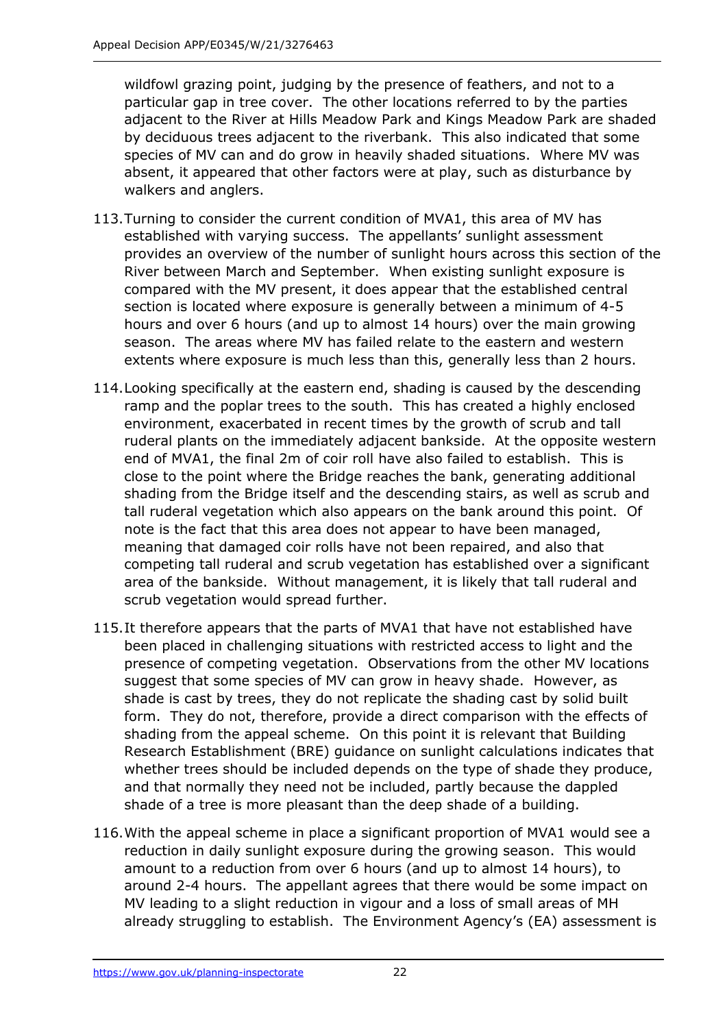wildfowl grazing point, judging by the presence of feathers, and not to a particular gap in tree cover. The other locations referred to by the parties adjacent to the River at Hills Meadow Park and Kings Meadow Park are shaded by deciduous trees adjacent to the riverbank. This also indicated that some species of MV can and do grow in heavily shaded situations. Where MV was absent, it appeared that other factors were at play, such as disturbance by walkers and anglers.

- 113.Turning to consider the current condition of MVA1, this area of MV has established with varying success. The appellants' sunlight assessment provides an overview of the number of sunlight hours across this section of the River between March and September. When existing sunlight exposure is compared with the MV present, it does appear that the established central section is located where exposure is generally between a minimum of 4-5 hours and over 6 hours (and up to almost 14 hours) over the main growing season. The areas where MV has failed relate to the eastern and western extents where exposure is much less than this, generally less than 2 hours.
- 114.Looking specifically at the eastern end, shading is caused by the descending ramp and the poplar trees to the south. This has created a highly enclosed environment, exacerbated in recent times by the growth of scrub and tall ruderal plants on the immediately adjacent bankside. At the opposite western end of MVA1, the final 2m of coir roll have also failed to establish. This is close to the point where the Bridge reaches the bank, generating additional shading from the Bridge itself and the descending stairs, as well as scrub and tall ruderal vegetation which also appears on the bank around this point. Of note is the fact that this area does not appear to have been managed, meaning that damaged coir rolls have not been repaired, and also that competing tall ruderal and scrub vegetation has established over a significant area of the bankside. Without management, it is likely that tall ruderal and scrub vegetation would spread further.
- 115.It therefore appears that the parts of MVA1 that have not established have been placed in challenging situations with restricted access to light and the presence of competing vegetation. Observations from the other MV locations suggest that some species of MV can grow in heavy shade. However, as shade is cast by trees, they do not replicate the shading cast by solid built form. They do not, therefore, provide a direct comparison with the effects of shading from the appeal scheme. On this point it is relevant that Building Research Establishment (BRE) guidance on sunlight calculations indicates that whether trees should be included depends on the type of shade they produce, and that normally they need not be included, partly because the dappled shade of a tree is more pleasant than the deep shade of a building.
- 116.With the appeal scheme in place a significant proportion of MVA1 would see a reduction in daily sunlight exposure during the growing season. This would amount to a reduction from over 6 hours (and up to almost 14 hours), to around 2-4 hours. The appellant agrees that there would be some impact on MV leading to a slight reduction in vigour and a loss of small areas of MH already struggling to establish. The Environment Agency's (EA) assessment is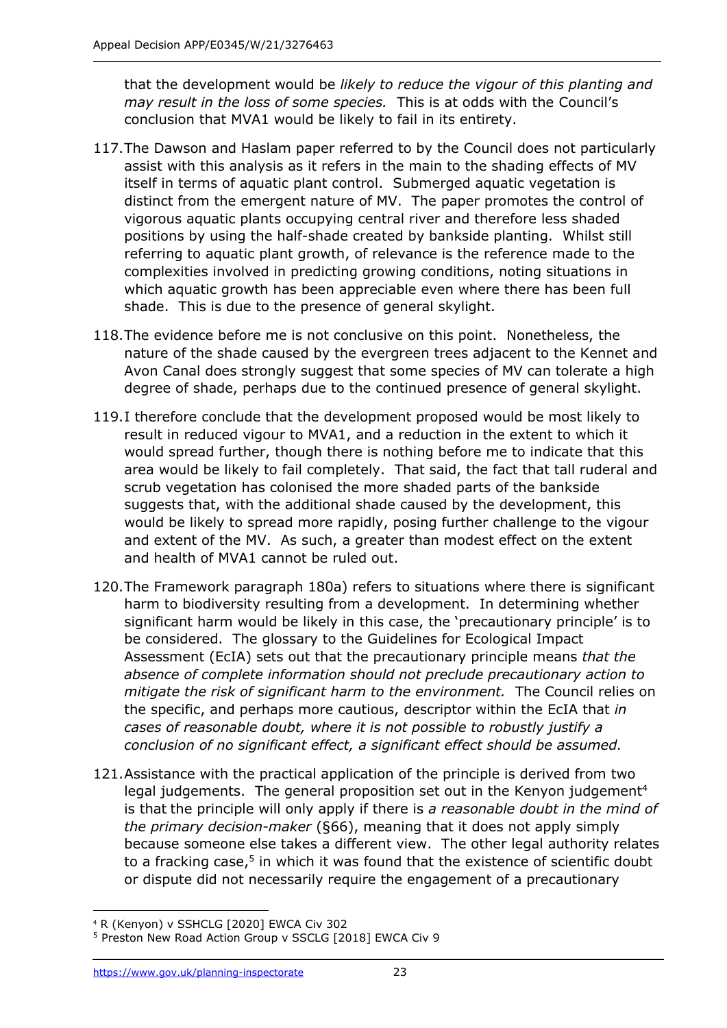that the development would be *likely to reduce the vigour of this planting and may result in the loss of some species.* This is at odds with the Council's conclusion that MVA1 would be likely to fail in its entirety.

- 117.The Dawson and Haslam paper referred to by the Council does not particularly assist with this analysis as it refers in the main to the shading effects of MV itself in terms of aquatic plant control. Submerged aquatic vegetation is distinct from the emergent nature of MV. The paper promotes the control of vigorous aquatic plants occupying central river and therefore less shaded positions by using the half-shade created by bankside planting. Whilst still referring to aquatic plant growth, of relevance is the reference made to the complexities involved in predicting growing conditions, noting situations in which aquatic growth has been appreciable even where there has been full shade. This is due to the presence of general skylight.
- 118.The evidence before me is not conclusive on this point. Nonetheless, the nature of the shade caused by the evergreen trees adjacent to the Kennet and Avon Canal does strongly suggest that some species of MV can tolerate a high degree of shade, perhaps due to the continued presence of general skylight.
- 119.I therefore conclude that the development proposed would be most likely to result in reduced vigour to MVA1, and a reduction in the extent to which it would spread further, though there is nothing before me to indicate that this area would be likely to fail completely. That said, the fact that tall ruderal and scrub vegetation has colonised the more shaded parts of the bankside suggests that, with the additional shade caused by the development, this would be likely to spread more rapidly, posing further challenge to the vigour and extent of the MV. As such, a greater than modest effect on the extent and health of MVA1 cannot be ruled out.
- 120.The Framework paragraph 180a) refers to situations where there is significant harm to biodiversity resulting from a development. In determining whether significant harm would be likely in this case, the 'precautionary principle' is to be considered. The glossary to the Guidelines for Ecological Impact Assessment (EcIA) sets out that the precautionary principle means *that the absence of complete information should not preclude precautionary action to mitigate the risk of significant harm to the environment.* The Council relies on the specific, and perhaps more cautious, descriptor within the EcIA that *in cases of reasonable doubt, where it is not possible to robustly justify a conclusion of no significant effect, a significant effect should be assumed.*
- 121.Assistance with the practical application of the principle is derived from two legal judgements. The general proposition set out in the Kenyon judgement<sup>4</sup> is that the principle will only apply if there is *a reasonable doubt in the mind of the primary decision-maker* (§66), meaning that it does not apply simply because someone else takes a different view. The other legal authority relates to a fracking case,<sup>5</sup> in which it was found that the existence of scientific doubt or dispute did not necessarily require the engagement of a precautionary

<sup>4</sup> R (Kenyon) v SSHCLG [2020] EWCA Civ 302

<sup>5</sup> Preston New Road Action Group v SSCLG [2018] EWCA Civ 9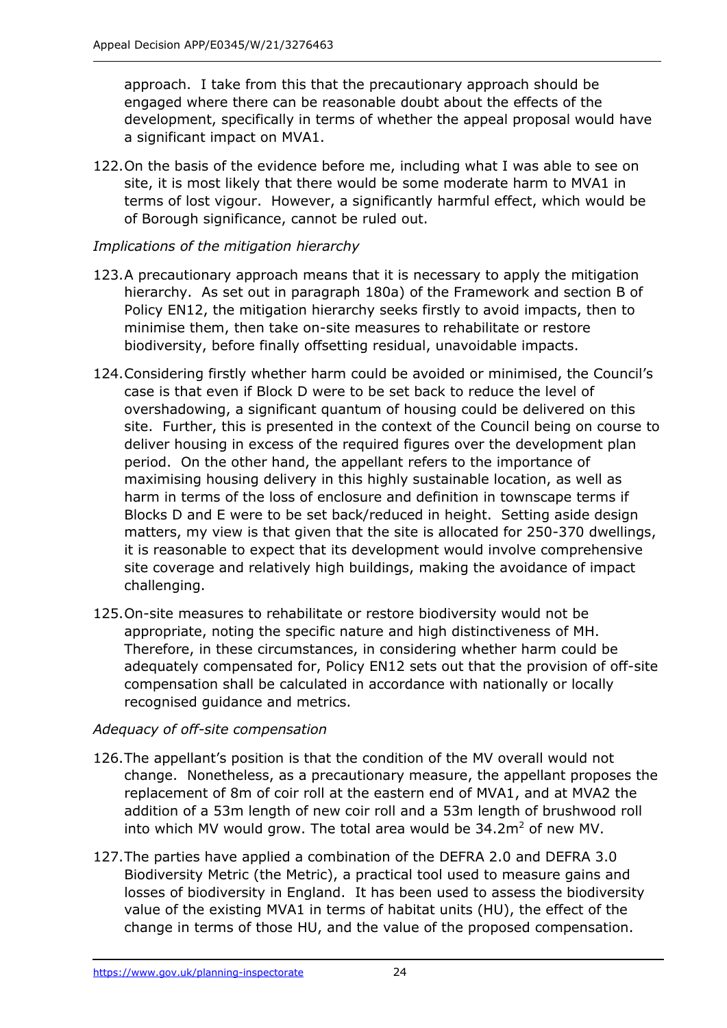approach. I take from this that the precautionary approach should be engaged where there can be reasonable doubt about the effects of the development, specifically in terms of whether the appeal proposal would have a significant impact on MVA1.

122.On the basis of the evidence before me, including what I was able to see on site, it is most likely that there would be some moderate harm to MVA1 in terms of lost vigour. However, a significantly harmful effect, which would be of Borough significance, cannot be ruled out.

#### *Implications of the mitigation hierarchy*

- 123.A precautionary approach means that it is necessary to apply the mitigation hierarchy. As set out in paragraph 180a) of the Framework and section B of Policy EN12, the mitigation hierarchy seeks firstly to avoid impacts, then to minimise them, then take on-site measures to rehabilitate or restore biodiversity, before finally offsetting residual, unavoidable impacts.
- 124.Considering firstly whether harm could be avoided or minimised, the Council's case is that even if Block D were to be set back to reduce the level of overshadowing, a significant quantum of housing could be delivered on this site. Further, this is presented in the context of the Council being on course to deliver housing in excess of the required figures over the development plan period. On the other hand, the appellant refers to the importance of maximising housing delivery in this highly sustainable location, as well as harm in terms of the loss of enclosure and definition in townscape terms if Blocks D and E were to be set back/reduced in height. Setting aside design matters, my view is that given that the site is allocated for 250-370 dwellings, it is reasonable to expect that its development would involve comprehensive site coverage and relatively high buildings, making the avoidance of impact challenging.
- 125.On-site measures to rehabilitate or restore biodiversity would not be appropriate, noting the specific nature and high distinctiveness of MH. Therefore, in these circumstances, in considering whether harm could be adequately compensated for, Policy EN12 sets out that the provision of off-site compensation shall be calculated in accordance with nationally or locally recognised guidance and metrics.

## *Adequacy of off-site compensation*

- 126.The appellant's position is that the condition of the MV overall would not change. Nonetheless, as a precautionary measure, the appellant proposes the replacement of 8m of coir roll at the eastern end of MVA1, and at MVA2 the addition of a 53m length of new coir roll and a 53m length of brushwood roll into which MV would grow. The total area would be  $34.2m<sup>2</sup>$  of new MV.
- 127.The parties have applied a combination of the DEFRA 2.0 and DEFRA 3.0 Biodiversity Metric (the Metric), a practical tool used to measure gains and losses of biodiversity in England. It has been used to assess the biodiversity value of the existing MVA1 in terms of habitat units (HU), the effect of the change in terms of those HU, and the value of the proposed compensation.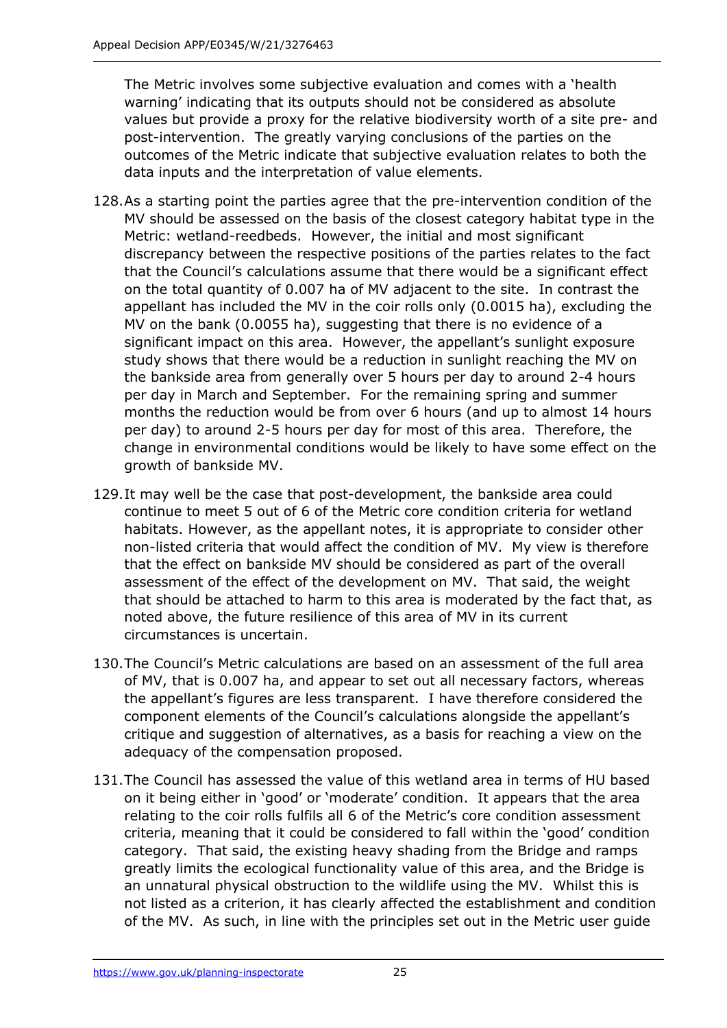The Metric involves some subjective evaluation and comes with a 'health warning' indicating that its outputs should not be considered as absolute values but provide a proxy for the relative biodiversity worth of a site pre- and post-intervention. The greatly varying conclusions of the parties on the outcomes of the Metric indicate that subjective evaluation relates to both the data inputs and the interpretation of value elements.

- 128.As a starting point the parties agree that the pre-intervention condition of the MV should be assessed on the basis of the closest category habitat type in the Metric: wetland-reedbeds. However, the initial and most significant discrepancy between the respective positions of the parties relates to the fact that the Council's calculations assume that there would be a significant effect on the total quantity of 0.007 ha of MV adjacent to the site. In contrast the appellant has included the MV in the coir rolls only (0.0015 ha), excluding the MV on the bank (0.0055 ha), suggesting that there is no evidence of a significant impact on this area. However, the appellant's sunlight exposure study shows that there would be a reduction in sunlight reaching the MV on the bankside area from generally over 5 hours per day to around 2-4 hours per day in March and September. For the remaining spring and summer months the reduction would be from over 6 hours (and up to almost 14 hours per day) to around 2-5 hours per day for most of this area. Therefore, the change in environmental conditions would be likely to have some effect on the growth of bankside MV.
- 129.It may well be the case that post-development, the bankside area could continue to meet 5 out of 6 of the Metric core condition criteria for wetland habitats. However, as the appellant notes, it is appropriate to consider other non-listed criteria that would affect the condition of MV. My view is therefore that the effect on bankside MV should be considered as part of the overall assessment of the effect of the development on MV. That said, the weight that should be attached to harm to this area is moderated by the fact that, as noted above, the future resilience of this area of MV in its current circumstances is uncertain.
- 130.The Council's Metric calculations are based on an assessment of the full area of MV, that is 0.007 ha, and appear to set out all necessary factors, whereas the appellant's figures are less transparent. I have therefore considered the component elements of the Council's calculations alongside the appellant's critique and suggestion of alternatives, as a basis for reaching a view on the adequacy of the compensation proposed.
- 131.The Council has assessed the value of this wetland area in terms of HU based on it being either in 'good' or 'moderate' condition. It appears that the area relating to the coir rolls fulfils all 6 of the Metric's core condition assessment criteria, meaning that it could be considered to fall within the 'good' condition category. That said, the existing heavy shading from the Bridge and ramps greatly limits the ecological functionality value of this area, and the Bridge is an unnatural physical obstruction to the wildlife using the MV. Whilst this is not listed as a criterion, it has clearly affected the establishment and condition of the MV. As such, in line with the principles set out in the Metric user guide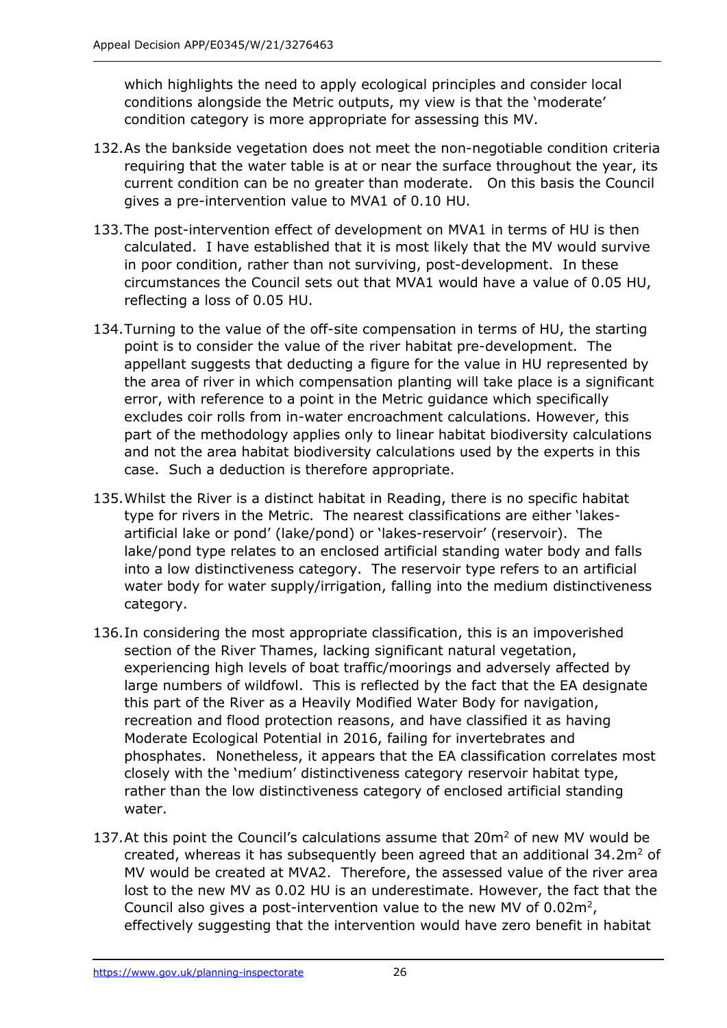which highlights the need to apply ecological principles and consider local conditions alongside the Metric outputs, my view is that the 'moderate' condition category is more appropriate for assessing this MV.

- 132.As the bankside vegetation does not meet the non-negotiable condition criteria requiring that the water table is at or near the surface throughout the year, its current condition can be no greater than moderate. On this basis the Council gives a pre-intervention value to MVA1 of 0.10 HU.
- 133.The post-intervention effect of development on MVA1 in terms of HU is then calculated. I have established that it is most likely that the MV would survive in poor condition, rather than not surviving, post-development. In these circumstances the Council sets out that MVA1 would have a value of 0.05 HU, reflecting a loss of 0.05 HU.
- 134.Turning to the value of the off-site compensation in terms of HU, the starting point is to consider the value of the river habitat pre-development. The appellant suggests that deducting a figure for the value in HU represented by the area of river in which compensation planting will take place is a significant error, with reference to a point in the Metric guidance which specifically excludes coir rolls from in-water encroachment calculations. However, this part of the methodology applies only to linear habitat biodiversity calculations and not the area habitat biodiversity calculations used by the experts in this case. Such a deduction is therefore appropriate.
- 135.Whilst the River is a distinct habitat in Reading, there is no specific habitat type for rivers in the Metric. The nearest classifications are either 'lakesartificial lake or pond' (lake/pond) or 'lakes-reservoir' (reservoir). The lake/pond type relates to an enclosed artificial standing water body and falls into a low distinctiveness category. The reservoir type refers to an artificial water body for water supply/irrigation, falling into the medium distinctiveness category.
- 136.In considering the most appropriate classification, this is an impoverished section of the River Thames, lacking significant natural vegetation, experiencing high levels of boat traffic/moorings and adversely affected by large numbers of wildfowl. This is reflected by the fact that the EA designate this part of the River as a Heavily Modified Water Body for navigation, recreation and flood protection reasons, and have classified it as having Moderate Ecological Potential in 2016, failing for invertebrates and phosphates. Nonetheless, it appears that the EA classification correlates most closely with the 'medium' distinctiveness category reservoir habitat type, rather than the low distinctiveness category of enclosed artificial standing water.
- 137. At this point the Council's calculations assume that  $20m^2$  of new MV would be created, whereas it has subsequently been agreed that an additional  $34.2m<sup>2</sup>$  of MV would be created at MVA2. Therefore, the assessed value of the river area lost to the new MV as 0.02 HU is an underestimate. However, the fact that the Council also gives a post-intervention value to the new MV of  $0.02m^2$ , effectively suggesting that the intervention would have zero benefit in habitat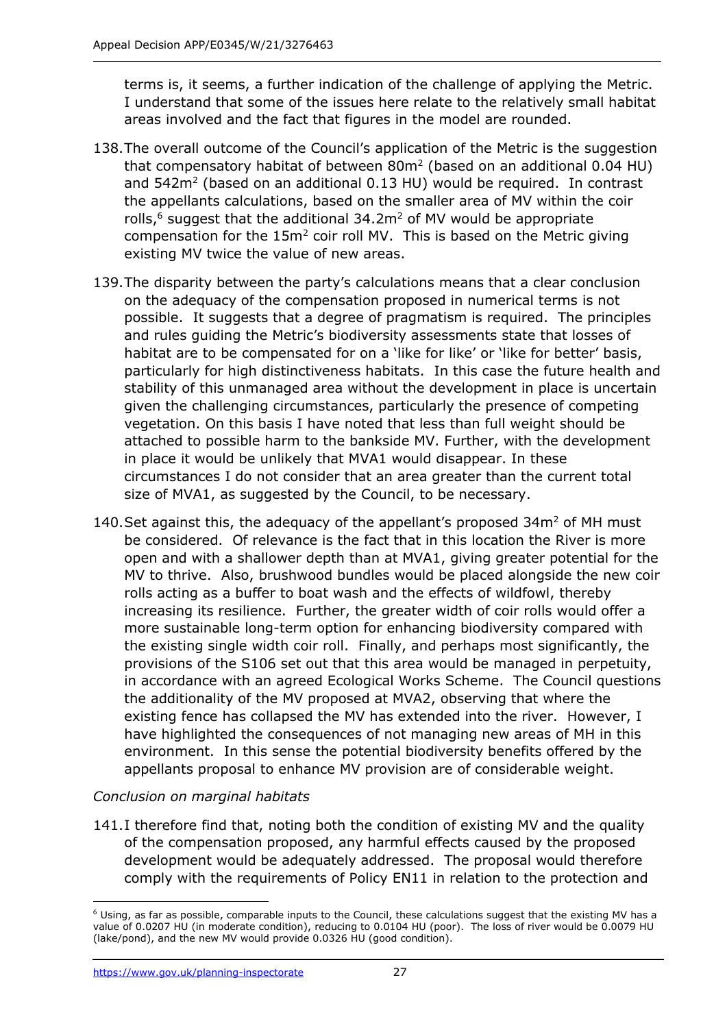terms is, it seems, a further indication of the challenge of applying the Metric. I understand that some of the issues here relate to the relatively small habitat areas involved and the fact that figures in the model are rounded.

- 138.The overall outcome of the Council's application of the Metric is the suggestion that compensatory habitat of between  $80m^2$  (based on an additional 0.04 HU) and  $542m^2$  (based on an additional 0.13 HU) would be required. In contrast the appellants calculations, based on the smaller area of MV within the coir rolls, $6$  suggest that the additional 34.2m<sup>2</sup> of MV would be appropriate compensation for the  $15m^2$  coir roll MV. This is based on the Metric giving existing MV twice the value of new areas.
- 139.The disparity between the party's calculations means that a clear conclusion on the adequacy of the compensation proposed in numerical terms is not possible. It suggests that a degree of pragmatism is required. The principles and rules guiding the Metric's biodiversity assessments state that losses of habitat are to be compensated for on a 'like for like' or 'like for better' basis, particularly for high distinctiveness habitats. In this case the future health and stability of this unmanaged area without the development in place is uncertain given the challenging circumstances, particularly the presence of competing vegetation. On this basis I have noted that less than full weight should be attached to possible harm to the bankside MV. Further, with the development in place it would be unlikely that MVA1 would disappear. In these circumstances I do not consider that an area greater than the current total size of MVA1, as suggested by the Council, to be necessary.
- 140. Set against this, the adequacy of the appellant's proposed  $34m<sup>2</sup>$  of MH must be considered. Of relevance is the fact that in this location the River is more open and with a shallower depth than at MVA1, giving greater potential for the MV to thrive. Also, brushwood bundles would be placed alongside the new coir rolls acting as a buffer to boat wash and the effects of wildfowl, thereby increasing its resilience. Further, the greater width of coir rolls would offer a more sustainable long-term option for enhancing biodiversity compared with the existing single width coir roll. Finally, and perhaps most significantly, the provisions of the S106 set out that this area would be managed in perpetuity, in accordance with an agreed Ecological Works Scheme. The Council questions the additionality of the MV proposed at MVA2, observing that where the existing fence has collapsed the MV has extended into the river. However, I have highlighted the consequences of not managing new areas of MH in this environment. In this sense the potential biodiversity benefits offered by the appellants proposal to enhance MV provision are of considerable weight.

## *Conclusion on marginal habitats*

141.I therefore find that, noting both the condition of existing MV and the quality of the compensation proposed, any harmful effects caused by the proposed development would be adequately addressed. The proposal would therefore comply with the requirements of Policy EN11 in relation to the protection and

<sup>6</sup> Using, as far as possible, comparable inputs to the Council, these calculations suggest that the existing MV has a value of 0.0207 HU (in moderate condition), reducing to 0.0104 HU (poor). The loss of river would be 0.0079 HU (lake/pond), and the new MV would provide 0.0326 HU (good condition).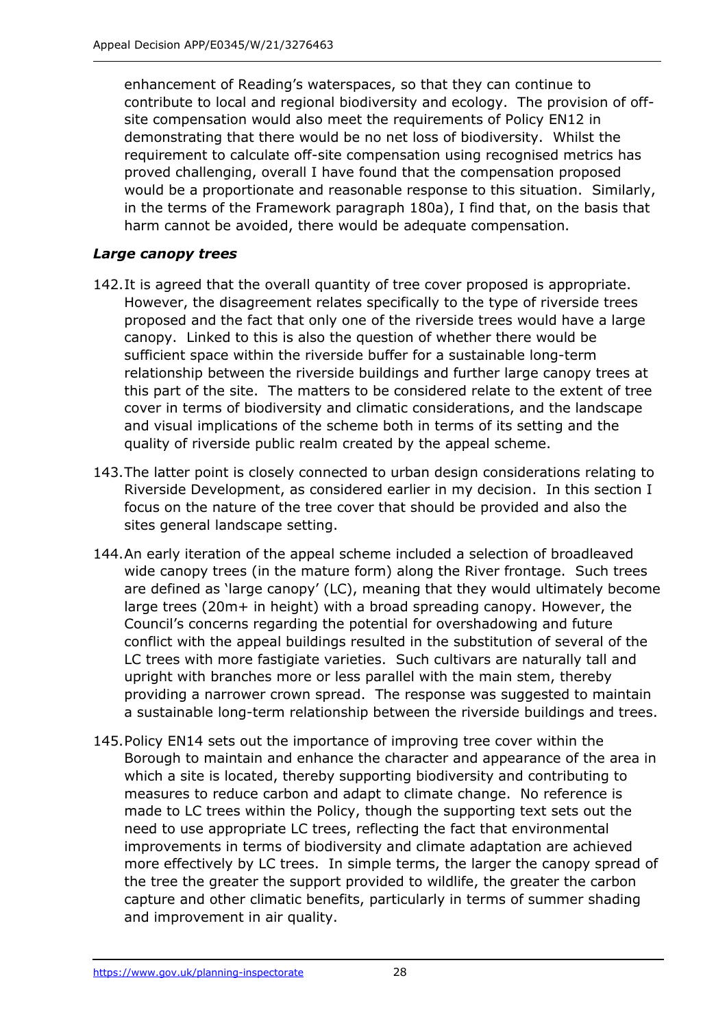enhancement of Reading's waterspaces, so that they can continue to contribute to local and regional biodiversity and ecology. The provision of offsite compensation would also meet the requirements of Policy EN12 in demonstrating that there would be no net loss of biodiversity. Whilst the requirement to calculate off-site compensation using recognised metrics has proved challenging, overall I have found that the compensation proposed would be a proportionate and reasonable response to this situation. Similarly, in the terms of the Framework paragraph 180a), I find that, on the basis that harm cannot be avoided, there would be adequate compensation.

## *Large canopy trees*

- 142.It is agreed that the overall quantity of tree cover proposed is appropriate. However, the disagreement relates specifically to the type of riverside trees proposed and the fact that only one of the riverside trees would have a large canopy. Linked to this is also the question of whether there would be sufficient space within the riverside buffer for a sustainable long-term relationship between the riverside buildings and further large canopy trees at this part of the site. The matters to be considered relate to the extent of tree cover in terms of biodiversity and climatic considerations, and the landscape and visual implications of the scheme both in terms of its setting and the quality of riverside public realm created by the appeal scheme.
- 143.The latter point is closely connected to urban design considerations relating to Riverside Development, as considered earlier in my decision. In this section I focus on the nature of the tree cover that should be provided and also the sites general landscape setting.
- 144.An early iteration of the appeal scheme included a selection of broadleaved wide canopy trees (in the mature form) along the River frontage. Such trees are defined as 'large canopy' (LC), meaning that they would ultimately become large trees (20m+ in height) with a broad spreading canopy. However, the Council's concerns regarding the potential for overshadowing and future conflict with the appeal buildings resulted in the substitution of several of the LC trees with more fastigiate varieties. Such cultivars are naturally tall and upright with branches more or less parallel with the main stem, thereby providing a narrower crown spread. The response was suggested to maintain a sustainable long-term relationship between the riverside buildings and trees.
- 145.Policy EN14 sets out the importance of improving tree cover within the Borough to maintain and enhance the character and appearance of the area in which a site is located, thereby supporting biodiversity and contributing to measures to reduce carbon and adapt to climate change. No reference is made to LC trees within the Policy, though the supporting text sets out the need to use appropriate LC trees, reflecting the fact that environmental improvements in terms of biodiversity and climate adaptation are achieved more effectively by LC trees. In simple terms, the larger the canopy spread of the tree the greater the support provided to wildlife, the greater the carbon capture and other climatic benefits, particularly in terms of summer shading and improvement in air quality.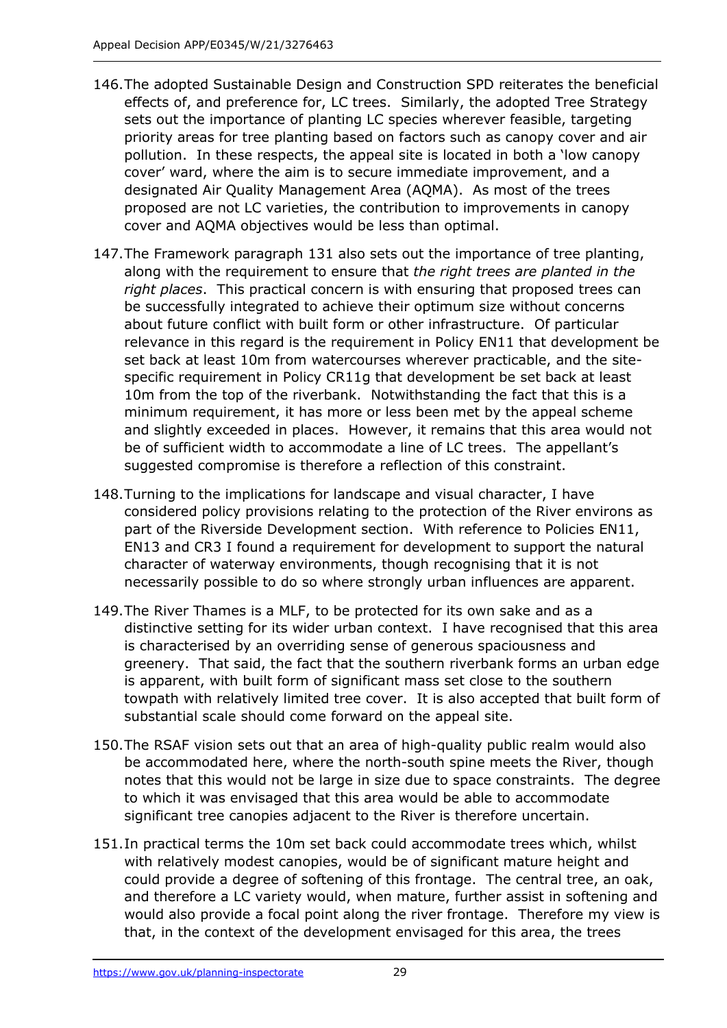- 146.The adopted Sustainable Design and Construction SPD reiterates the beneficial effects of, and preference for, LC trees. Similarly, the adopted Tree Strategy sets out the importance of planting LC species wherever feasible, targeting priority areas for tree planting based on factors such as canopy cover and air pollution. In these respects, the appeal site is located in both a 'low canopy cover' ward, where the aim is to secure immediate improvement, and a designated Air Quality Management Area (AQMA). As most of the trees proposed are not LC varieties, the contribution to improvements in canopy cover and AQMA objectives would be less than optimal.
- 147.The Framework paragraph 131 also sets out the importance of tree planting, along with the requirement to ensure that *the right trees are planted in the right places*. This practical concern is with ensuring that proposed trees can be successfully integrated to achieve their optimum size without concerns about future conflict with built form or other infrastructure. Of particular relevance in this regard is the requirement in Policy EN11 that development be set back at least 10m from watercourses wherever practicable, and the sitespecific requirement in Policy CR11g that development be set back at least 10m from the top of the riverbank. Notwithstanding the fact that this is a minimum requirement, it has more or less been met by the appeal scheme and slightly exceeded in places. However, it remains that this area would not be of sufficient width to accommodate a line of LC trees. The appellant's suggested compromise is therefore a reflection of this constraint.
- 148.Turning to the implications for landscape and visual character, I have considered policy provisions relating to the protection of the River environs as part of the Riverside Development section. With reference to Policies EN11, EN13 and CR3 I found a requirement for development to support the natural character of waterway environments, though recognising that it is not necessarily possible to do so where strongly urban influences are apparent.
- 149.The River Thames is a MLF, to be protected for its own sake and as a distinctive setting for its wider urban context. I have recognised that this area is characterised by an overriding sense of generous spaciousness and greenery. That said, the fact that the southern riverbank forms an urban edge is apparent, with built form of significant mass set close to the southern towpath with relatively limited tree cover. It is also accepted that built form of substantial scale should come forward on the appeal site.
- 150.The RSAF vision sets out that an area of high-quality public realm would also be accommodated here, where the north-south spine meets the River, though notes that this would not be large in size due to space constraints. The degree to which it was envisaged that this area would be able to accommodate significant tree canopies adjacent to the River is therefore uncertain.
- 151.In practical terms the 10m set back could accommodate trees which, whilst with relatively modest canopies, would be of significant mature height and could provide a degree of softening of this frontage. The central tree, an oak, and therefore a LC variety would, when mature, further assist in softening and would also provide a focal point along the river frontage. Therefore my view is that, in the context of the development envisaged for this area, the trees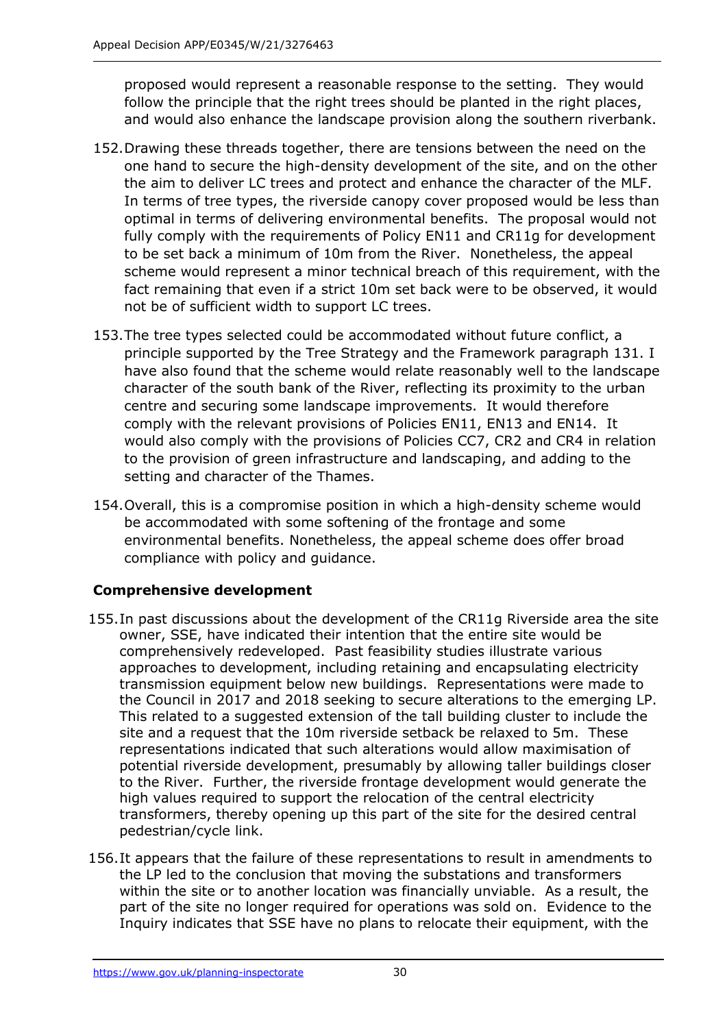proposed would represent a reasonable response to the setting. They would follow the principle that the right trees should be planted in the right places, and would also enhance the landscape provision along the southern riverbank.

- 152.Drawing these threads together, there are tensions between the need on the one hand to secure the high-density development of the site, and on the other the aim to deliver LC trees and protect and enhance the character of the MLF. In terms of tree types, the riverside canopy cover proposed would be less than optimal in terms of delivering environmental benefits. The proposal would not fully comply with the requirements of Policy EN11 and CR11g for development to be set back a minimum of 10m from the River. Nonetheless, the appeal scheme would represent a minor technical breach of this requirement, with the fact remaining that even if a strict 10m set back were to be observed, it would not be of sufficient width to support LC trees.
- 153.The tree types selected could be accommodated without future conflict, a principle supported by the Tree Strategy and the Framework paragraph 131. I have also found that the scheme would relate reasonably well to the landscape character of the south bank of the River, reflecting its proximity to the urban centre and securing some landscape improvements. It would therefore comply with the relevant provisions of Policies EN11, EN13 and EN14. It would also comply with the provisions of Policies CC7, CR2 and CR4 in relation to the provision of green infrastructure and landscaping, and adding to the setting and character of the Thames.
- 154.Overall, this is a compromise position in which a high-density scheme would be accommodated with some softening of the frontage and some environmental benefits. Nonetheless, the appeal scheme does offer broad compliance with policy and guidance.

# **Comprehensive development**

- 155.In past discussions about the development of the CR11g Riverside area the site owner, SSE, have indicated their intention that the entire site would be comprehensively redeveloped. Past feasibility studies illustrate various approaches to development, including retaining and encapsulating electricity transmission equipment below new buildings. Representations were made to the Council in 2017 and 2018 seeking to secure alterations to the emerging LP. This related to a suggested extension of the tall building cluster to include the site and a request that the 10m riverside setback be relaxed to 5m. These representations indicated that such alterations would allow maximisation of potential riverside development, presumably by allowing taller buildings closer to the River. Further, the riverside frontage development would generate the high values required to support the relocation of the central electricity transformers, thereby opening up this part of the site for the desired central pedestrian/cycle link.
- 156.It appears that the failure of these representations to result in amendments to the LP led to the conclusion that moving the substations and transformers within the site or to another location was financially unviable. As a result, the part of the site no longer required for operations was sold on. Evidence to the Inquiry indicates that SSE have no plans to relocate their equipment, with the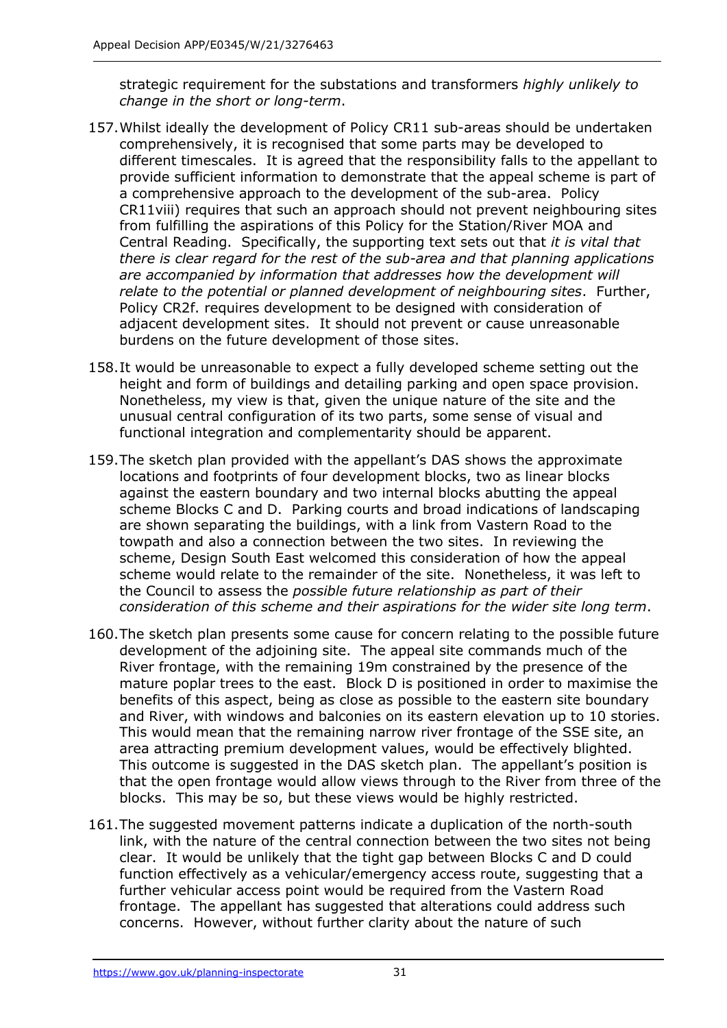strategic requirement for the substations and transformers *highly unlikely to change in the short or long-term*.

- 157.Whilst ideally the development of Policy CR11 sub-areas should be undertaken comprehensively, it is recognised that some parts may be developed to different timescales. It is agreed that the responsibility falls to the appellant to provide sufficient information to demonstrate that the appeal scheme is part of a comprehensive approach to the development of the sub-area. Policy CR11viii) requires that such an approach should not prevent neighbouring sites from fulfilling the aspirations of this Policy for the Station/River MOA and Central Reading. Specifically, the supporting text sets out that *it is vital that there is clear regard for the rest of the sub-area and that planning applications are accompanied by information that addresses how the development will relate to the potential or planned development of neighbouring sites*. Further, Policy CR2f. requires development to be designed with consideration of adjacent development sites. It should not prevent or cause unreasonable burdens on the future development of those sites.
- 158.It would be unreasonable to expect a fully developed scheme setting out the height and form of buildings and detailing parking and open space provision. Nonetheless, my view is that, given the unique nature of the site and the unusual central configuration of its two parts, some sense of visual and functional integration and complementarity should be apparent.
- 159.The sketch plan provided with the appellant's DAS shows the approximate locations and footprints of four development blocks, two as linear blocks against the eastern boundary and two internal blocks abutting the appeal scheme Blocks C and D. Parking courts and broad indications of landscaping are shown separating the buildings, with a link from Vastern Road to the towpath and also a connection between the two sites. In reviewing the scheme, Design South East welcomed this consideration of how the appeal scheme would relate to the remainder of the site. Nonetheless, it was left to the Council to assess the *possible future relationship as part of their consideration of this scheme and their aspirations for the wider site long term*.
- 160.The sketch plan presents some cause for concern relating to the possible future development of the adjoining site. The appeal site commands much of the River frontage, with the remaining 19m constrained by the presence of the mature poplar trees to the east. Block D is positioned in order to maximise the benefits of this aspect, being as close as possible to the eastern site boundary and River, with windows and balconies on its eastern elevation up to 10 stories. This would mean that the remaining narrow river frontage of the SSE site, an area attracting premium development values, would be effectively blighted. This outcome is suggested in the DAS sketch plan. The appellant's position is that the open frontage would allow views through to the River from three of the blocks. This may be so, but these views would be highly restricted.
- 161.The suggested movement patterns indicate a duplication of the north-south link, with the nature of the central connection between the two sites not being clear. It would be unlikely that the tight gap between Blocks C and D could function effectively as a vehicular/emergency access route, suggesting that a further vehicular access point would be required from the Vastern Road frontage. The appellant has suggested that alterations could address such concerns. However, without further clarity about the nature of such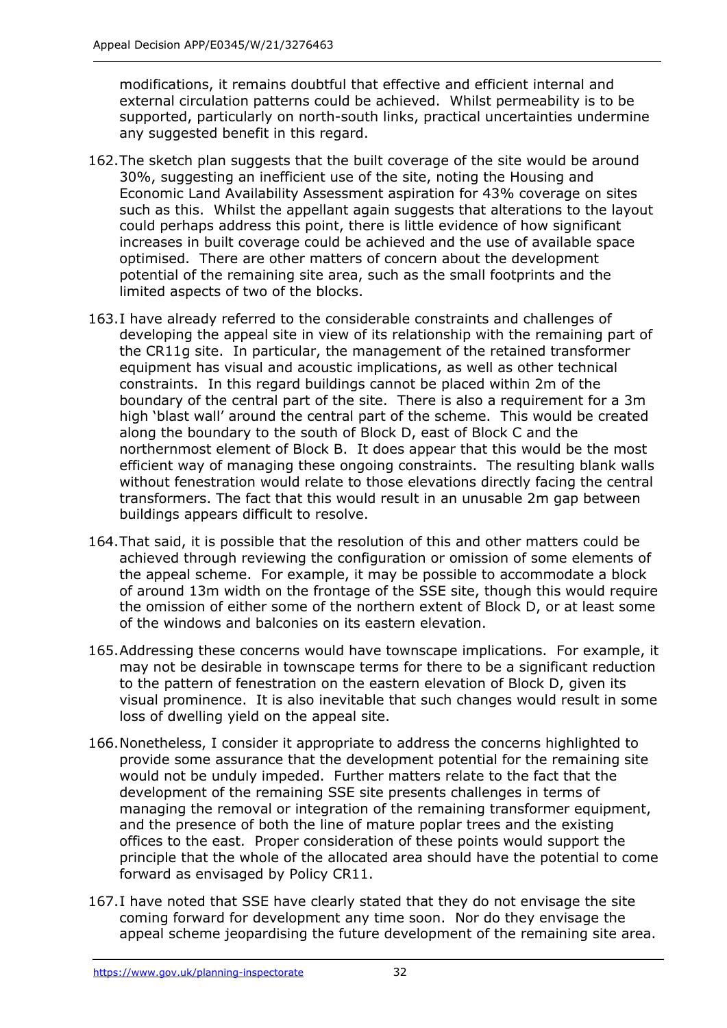modifications, it remains doubtful that effective and efficient internal and external circulation patterns could be achieved. Whilst permeability is to be supported, particularly on north-south links, practical uncertainties undermine any suggested benefit in this regard.

- 162.The sketch plan suggests that the built coverage of the site would be around 30%, suggesting an inefficient use of the site, noting the Housing and Economic Land Availability Assessment aspiration for 43% coverage on sites such as this. Whilst the appellant again suggests that alterations to the layout could perhaps address this point, there is little evidence of how significant increases in built coverage could be achieved and the use of available space optimised. There are other matters of concern about the development potential of the remaining site area, such as the small footprints and the limited aspects of two of the blocks.
- 163.I have already referred to the considerable constraints and challenges of developing the appeal site in view of its relationship with the remaining part of the CR11g site. In particular, the management of the retained transformer equipment has visual and acoustic implications, as well as other technical constraints. In this regard buildings cannot be placed within 2m of the boundary of the central part of the site. There is also a requirement for a 3m high 'blast wall' around the central part of the scheme. This would be created along the boundary to the south of Block D, east of Block C and the northernmost element of Block B. It does appear that this would be the most efficient way of managing these ongoing constraints. The resulting blank walls without fenestration would relate to those elevations directly facing the central transformers. The fact that this would result in an unusable 2m gap between buildings appears difficult to resolve.
- 164.That said, it is possible that the resolution of this and other matters could be achieved through reviewing the configuration or omission of some elements of the appeal scheme. For example, it may be possible to accommodate a block of around 13m width on the frontage of the SSE site, though this would require the omission of either some of the northern extent of Block D, or at least some of the windows and balconies on its eastern elevation.
- 165.Addressing these concerns would have townscape implications. For example, it may not be desirable in townscape terms for there to be a significant reduction to the pattern of fenestration on the eastern elevation of Block D, given its visual prominence. It is also inevitable that such changes would result in some loss of dwelling yield on the appeal site.
- 166.Nonetheless, I consider it appropriate to address the concerns highlighted to provide some assurance that the development potential for the remaining site would not be unduly impeded. Further matters relate to the fact that the development of the remaining SSE site presents challenges in terms of managing the removal or integration of the remaining transformer equipment, and the presence of both the line of mature poplar trees and the existing offices to the east. Proper consideration of these points would support the principle that the whole of the allocated area should have the potential to come forward as envisaged by Policy CR11.
- 167.I have noted that SSE have clearly stated that they do not envisage the site coming forward for development any time soon. Nor do they envisage the appeal scheme jeopardising the future development of the remaining site area.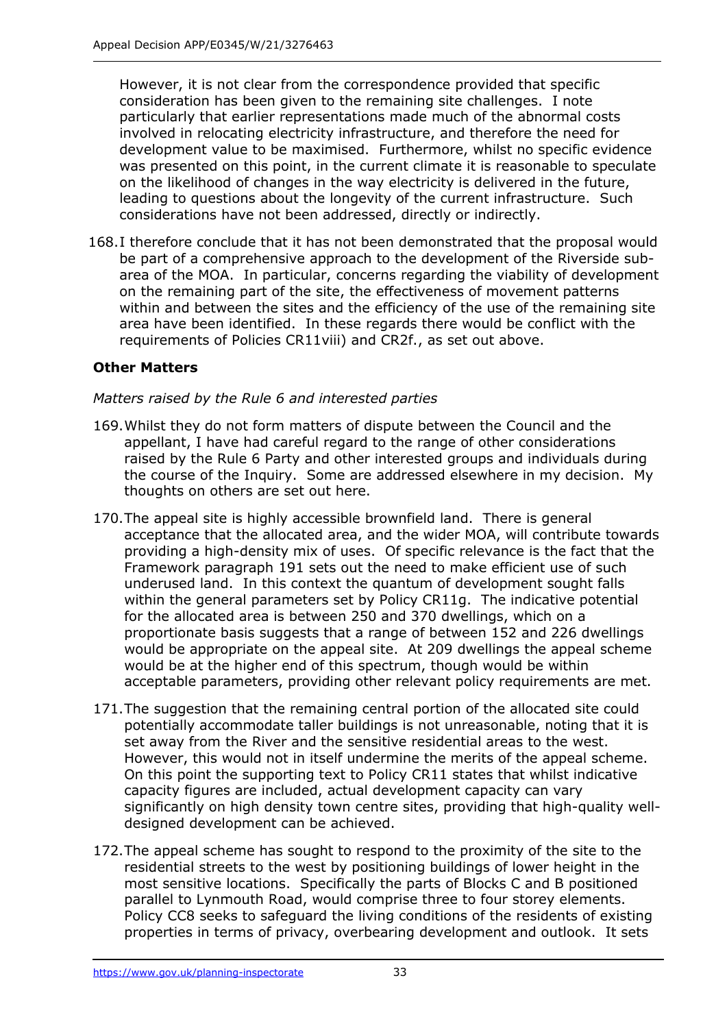However, it is not clear from the correspondence provided that specific consideration has been given to the remaining site challenges. I note particularly that earlier representations made much of the abnormal costs involved in relocating electricity infrastructure, and therefore the need for development value to be maximised. Furthermore, whilst no specific evidence was presented on this point, in the current climate it is reasonable to speculate on the likelihood of changes in the way electricity is delivered in the future, leading to questions about the longevity of the current infrastructure. Such considerations have not been addressed, directly or indirectly.

168.I therefore conclude that it has not been demonstrated that the proposal would be part of a comprehensive approach to the development of the Riverside subarea of the MOA. In particular, concerns regarding the viability of development on the remaining part of the site, the effectiveness of movement patterns within and between the sites and the efficiency of the use of the remaining site area have been identified. In these regards there would be conflict with the requirements of Policies CR11viii) and CR2f., as set out above.

## **Other Matters**

#### *Matters raised by the Rule 6 and interested parties*

- 169.Whilst they do not form matters of dispute between the Council and the appellant, I have had careful regard to the range of other considerations raised by the Rule 6 Party and other interested groups and individuals during the course of the Inquiry. Some are addressed elsewhere in my decision. My thoughts on others are set out here.
- 170.The appeal site is highly accessible brownfield land. There is general acceptance that the allocated area, and the wider MOA, will contribute towards providing a high-density mix of uses. Of specific relevance is the fact that the Framework paragraph 191 sets out the need to make efficient use of such underused land. In this context the quantum of development sought falls within the general parameters set by Policy CR11g. The indicative potential for the allocated area is between 250 and 370 dwellings, which on a proportionate basis suggests that a range of between 152 and 226 dwellings would be appropriate on the appeal site. At 209 dwellings the appeal scheme would be at the higher end of this spectrum, though would be within acceptable parameters, providing other relevant policy requirements are met.
- 171.The suggestion that the remaining central portion of the allocated site could potentially accommodate taller buildings is not unreasonable, noting that it is set away from the River and the sensitive residential areas to the west. However, this would not in itself undermine the merits of the appeal scheme. On this point the supporting text to Policy CR11 states that whilst indicative capacity figures are included, actual development capacity can vary significantly on high density town centre sites, providing that high-quality welldesigned development can be achieved.
- 172.The appeal scheme has sought to respond to the proximity of the site to the residential streets to the west by positioning buildings of lower height in the most sensitive locations. Specifically the parts of Blocks C and B positioned parallel to Lynmouth Road, would comprise three to four storey elements. Policy CC8 seeks to safeguard the living conditions of the residents of existing properties in terms of privacy, overbearing development and outlook. It sets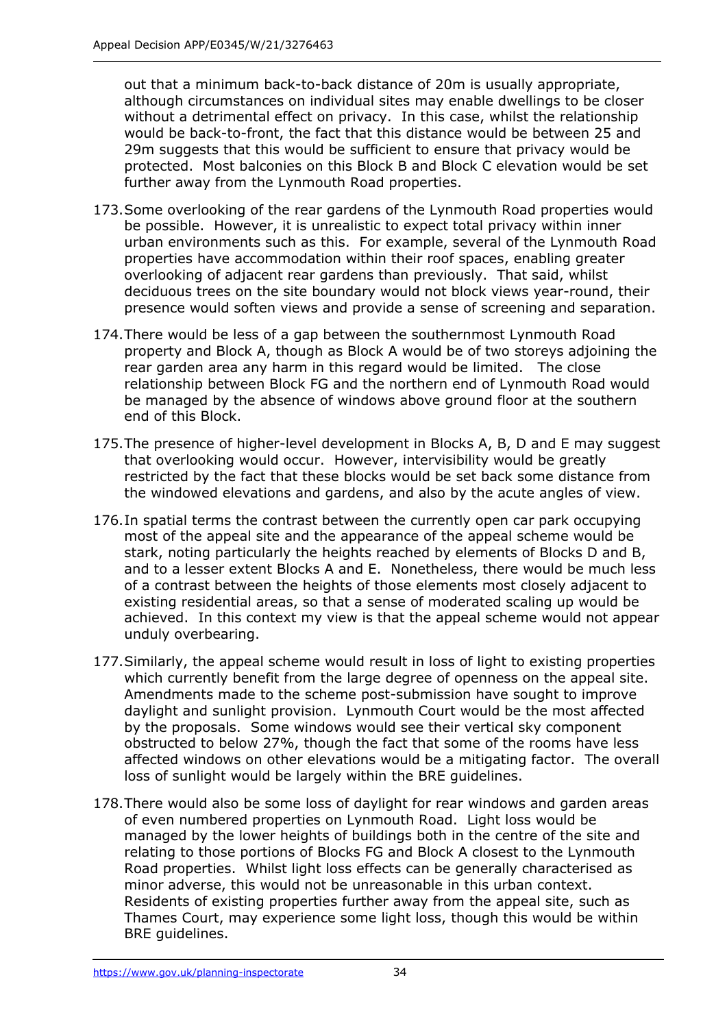out that a minimum back-to-back distance of 20m is usually appropriate, although circumstances on individual sites may enable dwellings to be closer without a detrimental effect on privacy. In this case, whilst the relationship would be back-to-front, the fact that this distance would be between 25 and 29m suggests that this would be sufficient to ensure that privacy would be protected. Most balconies on this Block B and Block C elevation would be set further away from the Lynmouth Road properties.

- 173.Some overlooking of the rear gardens of the Lynmouth Road properties would be possible. However, it is unrealistic to expect total privacy within inner urban environments such as this. For example, several of the Lynmouth Road properties have accommodation within their roof spaces, enabling greater overlooking of adjacent rear gardens than previously. That said, whilst deciduous trees on the site boundary would not block views year-round, their presence would soften views and provide a sense of screening and separation.
- 174.There would be less of a gap between the southernmost Lynmouth Road property and Block A, though as Block A would be of two storeys adjoining the rear garden area any harm in this regard would be limited. The close relationship between Block FG and the northern end of Lynmouth Road would be managed by the absence of windows above ground floor at the southern end of this Block.
- 175.The presence of higher-level development in Blocks A, B, D and E may suggest that overlooking would occur. However, intervisibility would be greatly restricted by the fact that these blocks would be set back some distance from the windowed elevations and gardens, and also by the acute angles of view.
- 176.In spatial terms the contrast between the currently open car park occupying most of the appeal site and the appearance of the appeal scheme would be stark, noting particularly the heights reached by elements of Blocks D and B, and to a lesser extent Blocks A and E. Nonetheless, there would be much less of a contrast between the heights of those elements most closely adjacent to existing residential areas, so that a sense of moderated scaling up would be achieved. In this context my view is that the appeal scheme would not appear unduly overbearing.
- 177.Similarly, the appeal scheme would result in loss of light to existing properties which currently benefit from the large degree of openness on the appeal site. Amendments made to the scheme post-submission have sought to improve daylight and sunlight provision. Lynmouth Court would be the most affected by the proposals. Some windows would see their vertical sky component obstructed to below 27%, though the fact that some of the rooms have less affected windows on other elevations would be a mitigating factor. The overall loss of sunlight would be largely within the BRE guidelines.
- 178.There would also be some loss of daylight for rear windows and garden areas of even numbered properties on Lynmouth Road. Light loss would be managed by the lower heights of buildings both in the centre of the site and relating to those portions of Blocks FG and Block A closest to the Lynmouth Road properties. Whilst light loss effects can be generally characterised as minor adverse, this would not be unreasonable in this urban context. Residents of existing properties further away from the appeal site, such as Thames Court, may experience some light loss, though this would be within BRE guidelines.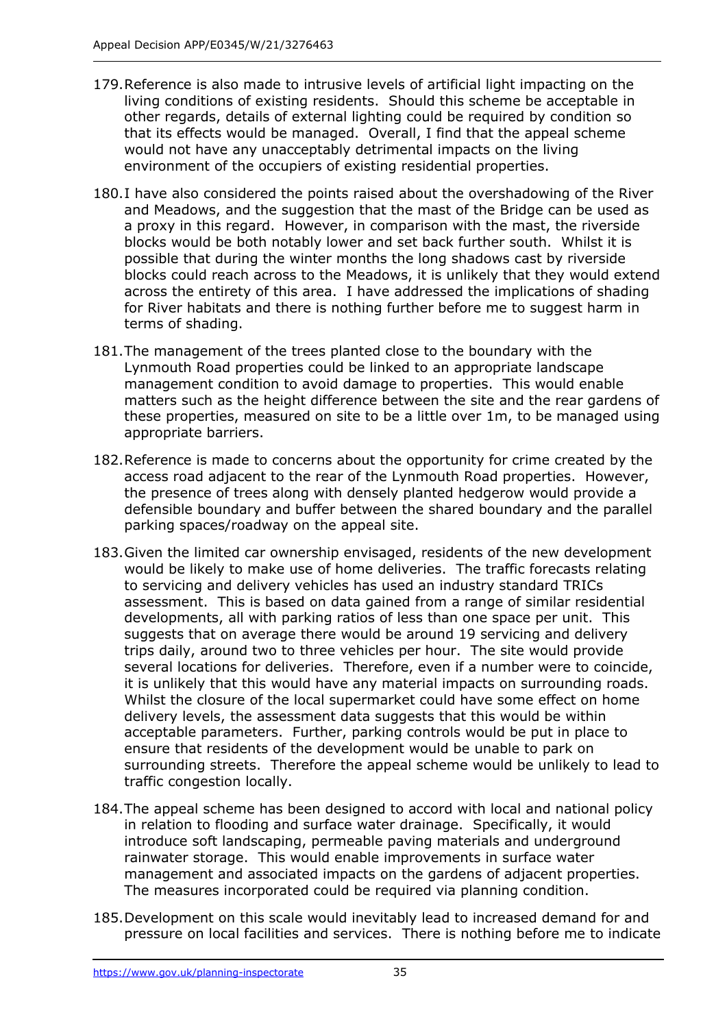- 179.Reference is also made to intrusive levels of artificial light impacting on the living conditions of existing residents. Should this scheme be acceptable in other regards, details of external lighting could be required by condition so that its effects would be managed. Overall, I find that the appeal scheme would not have any unacceptably detrimental impacts on the living environment of the occupiers of existing residential properties.
- 180.I have also considered the points raised about the overshadowing of the River and Meadows, and the suggestion that the mast of the Bridge can be used as a proxy in this regard. However, in comparison with the mast, the riverside blocks would be both notably lower and set back further south. Whilst it is possible that during the winter months the long shadows cast by riverside blocks could reach across to the Meadows, it is unlikely that they would extend across the entirety of this area. I have addressed the implications of shading for River habitats and there is nothing further before me to suggest harm in terms of shading.
- 181.The management of the trees planted close to the boundary with the Lynmouth Road properties could be linked to an appropriate landscape management condition to avoid damage to properties. This would enable matters such as the height difference between the site and the rear gardens of these properties, measured on site to be a little over 1m, to be managed using appropriate barriers.
- 182.Reference is made to concerns about the opportunity for crime created by the access road adjacent to the rear of the Lynmouth Road properties. However, the presence of trees along with densely planted hedgerow would provide a defensible boundary and buffer between the shared boundary and the parallel parking spaces/roadway on the appeal site.
- 183.Given the limited car ownership envisaged, residents of the new development would be likely to make use of home deliveries. The traffic forecasts relating to servicing and delivery vehicles has used an industry standard TRICs assessment. This is based on data gained from a range of similar residential developments, all with parking ratios of less than one space per unit. This suggests that on average there would be around 19 servicing and delivery trips daily, around two to three vehicles per hour. The site would provide several locations for deliveries. Therefore, even if a number were to coincide, it is unlikely that this would have any material impacts on surrounding roads. Whilst the closure of the local supermarket could have some effect on home delivery levels, the assessment data suggests that this would be within acceptable parameters. Further, parking controls would be put in place to ensure that residents of the development would be unable to park on surrounding streets. Therefore the appeal scheme would be unlikely to lead to traffic congestion locally.
- 184.The appeal scheme has been designed to accord with local and national policy in relation to flooding and surface water drainage. Specifically, it would introduce soft landscaping, permeable paving materials and underground rainwater storage. This would enable improvements in surface water management and associated impacts on the gardens of adjacent properties. The measures incorporated could be required via planning condition.
- 185.Development on this scale would inevitably lead to increased demand for and pressure on local facilities and services. There is nothing before me to indicate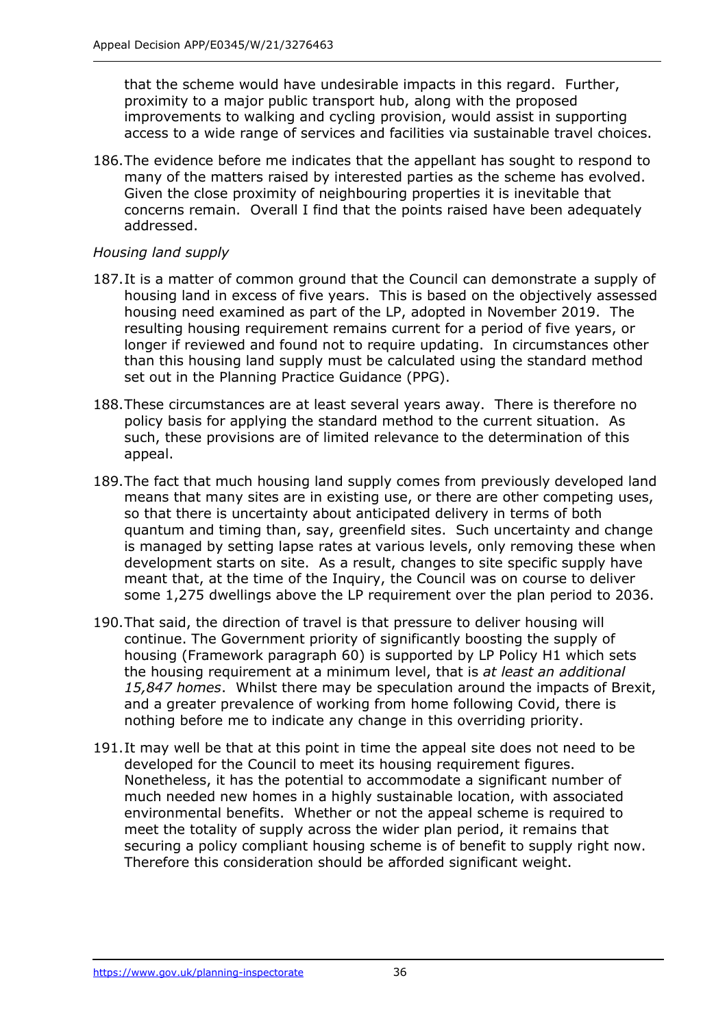that the scheme would have undesirable impacts in this regard. Further, proximity to a major public transport hub, along with the proposed improvements to walking and cycling provision, would assist in supporting access to a wide range of services and facilities via sustainable travel choices.

186.The evidence before me indicates that the appellant has sought to respond to many of the matters raised by interested parties as the scheme has evolved. Given the close proximity of neighbouring properties it is inevitable that concerns remain. Overall I find that the points raised have been adequately addressed.

#### *Housing land supply*

- 187.It is a matter of common ground that the Council can demonstrate a supply of housing land in excess of five years. This is based on the objectively assessed housing need examined as part of the LP, adopted in November 2019. The resulting housing requirement remains current for a period of five years, or longer if reviewed and found not to require updating. In circumstances other than this housing land supply must be calculated using the standard method set out in the Planning Practice Guidance (PPG).
- 188.These circumstances are at least several years away. There is therefore no policy basis for applying the standard method to the current situation. As such, these provisions are of limited relevance to the determination of this appeal.
- 189.The fact that much housing land supply comes from previously developed land means that many sites are in existing use, or there are other competing uses, so that there is uncertainty about anticipated delivery in terms of both quantum and timing than, say, greenfield sites. Such uncertainty and change is managed by setting lapse rates at various levels, only removing these when development starts on site. As a result, changes to site specific supply have meant that, at the time of the Inquiry, the Council was on course to deliver some 1,275 dwellings above the LP requirement over the plan period to 2036.
- 190.That said, the direction of travel is that pressure to deliver housing will continue. The Government priority of significantly boosting the supply of housing (Framework paragraph 60) is supported by LP Policy H1 which sets the housing requirement at a minimum level, that is *at least an additional 15,847 homes*. Whilst there may be speculation around the impacts of Brexit, and a greater prevalence of working from home following Covid, there is nothing before me to indicate any change in this overriding priority.
- 191.It may well be that at this point in time the appeal site does not need to be developed for the Council to meet its housing requirement figures. Nonetheless, it has the potential to accommodate a significant number of much needed new homes in a highly sustainable location, with associated environmental benefits. Whether or not the appeal scheme is required to meet the totality of supply across the wider plan period, it remains that securing a policy compliant housing scheme is of benefit to supply right now. Therefore this consideration should be afforded significant weight.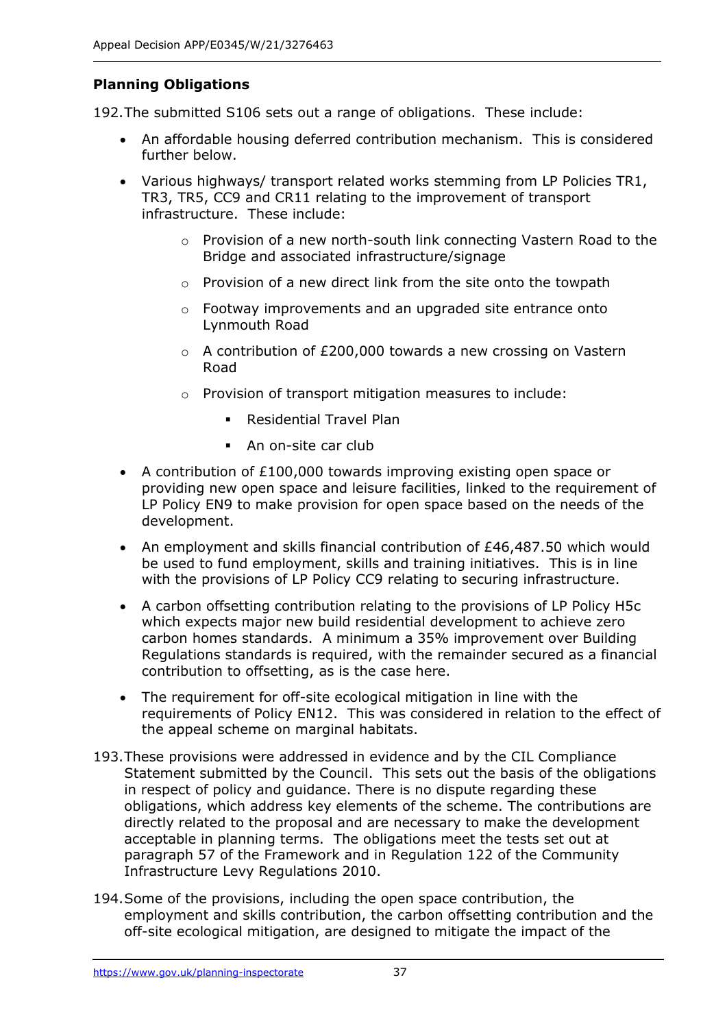# **Planning Obligations**

192.The submitted S106 sets out a range of obligations. These include:

- An affordable housing deferred contribution mechanism. This is considered further below.
- Various highways/ transport related works stemming from LP Policies TR1, TR3, TR5, CC9 and CR11 relating to the improvement of transport infrastructure. These include:
	- o Provision of a new north-south link connecting Vastern Road to the Bridge and associated infrastructure/signage
	- $\circ$  Provision of a new direct link from the site onto the towpath
	- $\circ$  Footway improvements and an upgraded site entrance onto Lynmouth Road
	- $\circ$  A contribution of £200,000 towards a new crossing on Vastern Road
	- o Provision of transport mitigation measures to include:
		- **Residential Travel Plan**
		- An on-site car club
- A contribution of £100,000 towards improving existing open space or providing new open space and leisure facilities, linked to the requirement of LP Policy EN9 to make provision for open space based on the needs of the development.
- An employment and skills financial contribution of £46,487.50 which would be used to fund employment, skills and training initiatives. This is in line with the provisions of LP Policy CC9 relating to securing infrastructure.
- A carbon offsetting contribution relating to the provisions of LP Policy H5c which expects major new build residential development to achieve zero carbon homes standards. A minimum a 35% improvement over Building Regulations standards is required, with the remainder secured as a financial contribution to offsetting, as is the case here.
- The requirement for off-site ecological mitigation in line with the requirements of Policy EN12. This was considered in relation to the effect of the appeal scheme on marginal habitats.
- 193.These provisions were addressed in evidence and by the CIL Compliance Statement submitted by the Council. This sets out the basis of the obligations in respect of policy and guidance. There is no dispute regarding these obligations, which address key elements of the scheme. The contributions are directly related to the proposal and are necessary to make the development acceptable in planning terms. The obligations meet the tests set out at paragraph 57 of the Framework and in Regulation 122 of the Community Infrastructure Levy Regulations 2010.
- 194.Some of the provisions, including the open space contribution, the employment and skills contribution, the carbon offsetting contribution and the off-site ecological mitigation, are designed to mitigate the impact of the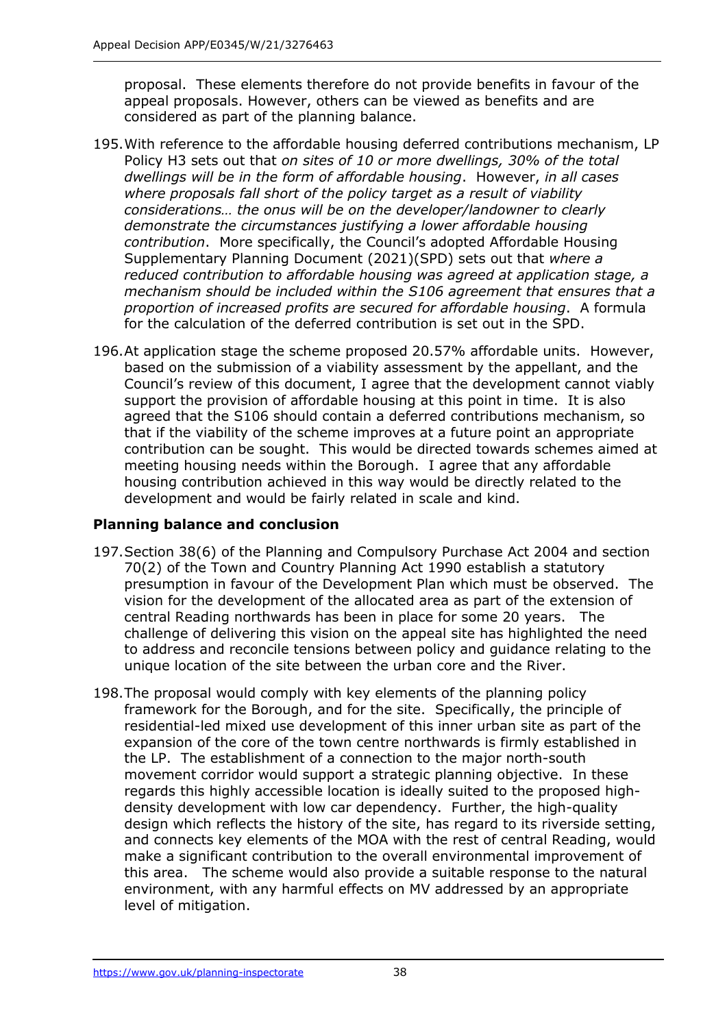proposal. These elements therefore do not provide benefits in favour of the appeal proposals. However, others can be viewed as benefits and are considered as part of the planning balance.

- 195.With reference to the affordable housing deferred contributions mechanism, LP Policy H3 sets out that *on sites of 10 or more dwellings, 30% of the total dwellings will be in the form of affordable housing*. However, *in all cases where proposals fall short of the policy target as a result of viability considerations… the onus will be on the developer/landowner to clearly demonstrate the circumstances justifying a lower affordable housing contribution*. More specifically, the Council's adopted Affordable Housing Supplementary Planning Document (2021)(SPD) sets out that *where a reduced contribution to affordable housing was agreed at application stage, a mechanism should be included within the S106 agreement that ensures that a proportion of increased profits are secured for affordable housing*. A formula for the calculation of the deferred contribution is set out in the SPD.
- 196.At application stage the scheme proposed 20.57% affordable units. However, based on the submission of a viability assessment by the appellant, and the Council's review of this document, I agree that the development cannot viably support the provision of affordable housing at this point in time. It is also agreed that the S106 should contain a deferred contributions mechanism, so that if the viability of the scheme improves at a future point an appropriate contribution can be sought. This would be directed towards schemes aimed at meeting housing needs within the Borough. I agree that any affordable housing contribution achieved in this way would be directly related to the development and would be fairly related in scale and kind.

## **Planning balance and conclusion**

- 197.Section 38(6) of the Planning and Compulsory Purchase Act 2004 and section 70(2) of the Town and Country Planning Act 1990 establish a statutory presumption in favour of the Development Plan which must be observed. The vision for the development of the allocated area as part of the extension of central Reading northwards has been in place for some 20 years. The challenge of delivering this vision on the appeal site has highlighted the need to address and reconcile tensions between policy and guidance relating to the unique location of the site between the urban core and the River.
- 198.The proposal would comply with key elements of the planning policy framework for the Borough, and for the site. Specifically, the principle of residential-led mixed use development of this inner urban site as part of the expansion of the core of the town centre northwards is firmly established in the LP. The establishment of a connection to the major north-south movement corridor would support a strategic planning objective. In these regards this highly accessible location is ideally suited to the proposed highdensity development with low car dependency. Further, the high-quality design which reflects the history of the site, has regard to its riverside setting, and connects key elements of the MOA with the rest of central Reading, would make a significant contribution to the overall environmental improvement of this area. The scheme would also provide a suitable response to the natural environment, with any harmful effects on MV addressed by an appropriate level of mitigation.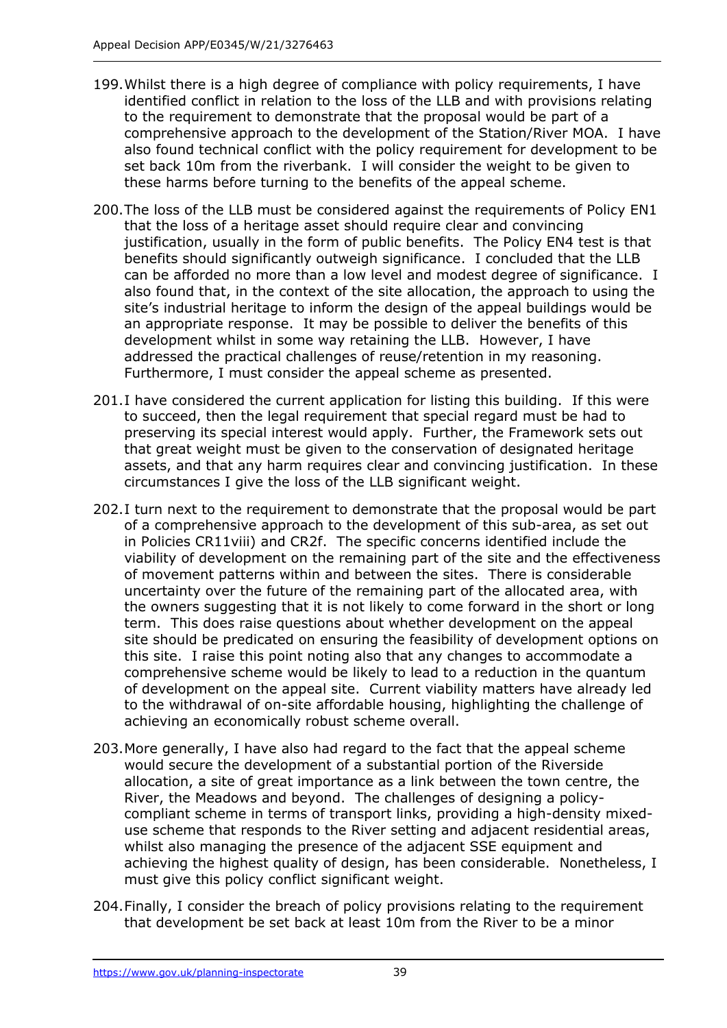- 199.Whilst there is a high degree of compliance with policy requirements, I have identified conflict in relation to the loss of the LLB and with provisions relating to the requirement to demonstrate that the proposal would be part of a comprehensive approach to the development of the Station/River MOA. I have also found technical conflict with the policy requirement for development to be set back 10m from the riverbank. I will consider the weight to be given to these harms before turning to the benefits of the appeal scheme.
- 200.The loss of the LLB must be considered against the requirements of Policy EN1 that the loss of a heritage asset should require clear and convincing justification, usually in the form of public benefits. The Policy EN4 test is that benefits should significantly outweigh significance. I concluded that the LLB can be afforded no more than a low level and modest degree of significance. I also found that, in the context of the site allocation, the approach to using the site's industrial heritage to inform the design of the appeal buildings would be an appropriate response. It may be possible to deliver the benefits of this development whilst in some way retaining the LLB. However, I have addressed the practical challenges of reuse/retention in my reasoning. Furthermore, I must consider the appeal scheme as presented.
- 201.I have considered the current application for listing this building. If this were to succeed, then the legal requirement that special regard must be had to preserving its special interest would apply. Further, the Framework sets out that great weight must be given to the conservation of designated heritage assets, and that any harm requires clear and convincing justification. In these circumstances I give the loss of the LLB significant weight.
- 202.I turn next to the requirement to demonstrate that the proposal would be part of a comprehensive approach to the development of this sub-area, as set out in Policies CR11viii) and CR2f. The specific concerns identified include the viability of development on the remaining part of the site and the effectiveness of movement patterns within and between the sites. There is considerable uncertainty over the future of the remaining part of the allocated area, with the owners suggesting that it is not likely to come forward in the short or long term. This does raise questions about whether development on the appeal site should be predicated on ensuring the feasibility of development options on this site. I raise this point noting also that any changes to accommodate a comprehensive scheme would be likely to lead to a reduction in the quantum of development on the appeal site. Current viability matters have already led to the withdrawal of on-site affordable housing, highlighting the challenge of achieving an economically robust scheme overall.
- 203.More generally, I have also had regard to the fact that the appeal scheme would secure the development of a substantial portion of the Riverside allocation, a site of great importance as a link between the town centre, the River, the Meadows and beyond. The challenges of designing a policycompliant scheme in terms of transport links, providing a high-density mixeduse scheme that responds to the River setting and adjacent residential areas, whilst also managing the presence of the adjacent SSE equipment and achieving the highest quality of design, has been considerable. Nonetheless, I must give this policy conflict significant weight.
- 204.Finally, I consider the breach of policy provisions relating to the requirement that development be set back at least 10m from the River to be a minor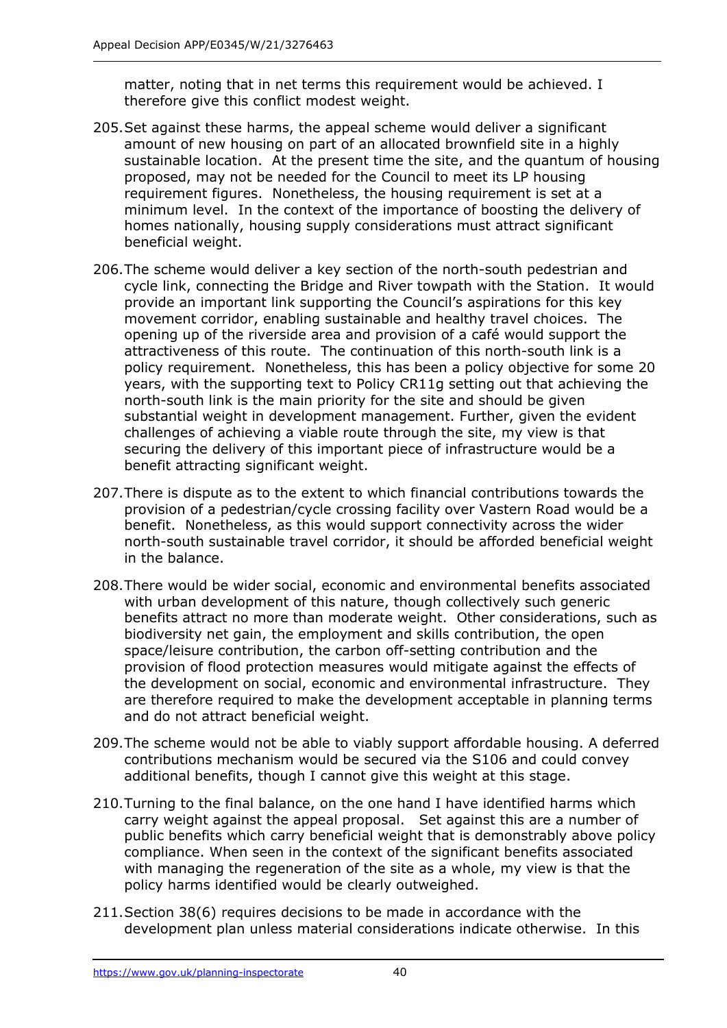matter, noting that in net terms this requirement would be achieved. I therefore give this conflict modest weight.

- 205.Set against these harms, the appeal scheme would deliver a significant amount of new housing on part of an allocated brownfield site in a highly sustainable location. At the present time the site, and the quantum of housing proposed, may not be needed for the Council to meet its LP housing requirement figures. Nonetheless, the housing requirement is set at a minimum level. In the context of the importance of boosting the delivery of homes nationally, housing supply considerations must attract significant beneficial weight.
- 206.The scheme would deliver a key section of the north-south pedestrian and cycle link, connecting the Bridge and River towpath with the Station. It would provide an important link supporting the Council's aspirations for this key movement corridor, enabling sustainable and healthy travel choices. The opening up of the riverside area and provision of a café would support the attractiveness of this route. The continuation of this north-south link is a policy requirement. Nonetheless, this has been a policy objective for some 20 years, with the supporting text to Policy CR11g setting out that achieving the north-south link is the main priority for the site and should be given substantial weight in development management. Further, given the evident challenges of achieving a viable route through the site, my view is that securing the delivery of this important piece of infrastructure would be a benefit attracting significant weight.
- 207.There is dispute as to the extent to which financial contributions towards the provision of a pedestrian/cycle crossing facility over Vastern Road would be a benefit. Nonetheless, as this would support connectivity across the wider north-south sustainable travel corridor, it should be afforded beneficial weight in the balance.
- 208.There would be wider social, economic and environmental benefits associated with urban development of this nature, though collectively such generic benefits attract no more than moderate weight. Other considerations, such as biodiversity net gain, the employment and skills contribution, the open space/leisure contribution, the carbon off-setting contribution and the provision of flood protection measures would mitigate against the effects of the development on social, economic and environmental infrastructure. They are therefore required to make the development acceptable in planning terms and do not attract beneficial weight.
- 209.The scheme would not be able to viably support affordable housing. A deferred contributions mechanism would be secured via the S106 and could convey additional benefits, though I cannot give this weight at this stage.
- 210.Turning to the final balance, on the one hand I have identified harms which carry weight against the appeal proposal. Set against this are a number of public benefits which carry beneficial weight that is demonstrably above policy compliance. When seen in the context of the significant benefits associated with managing the regeneration of the site as a whole, my view is that the policy harms identified would be clearly outweighed.
- 211.Section 38(6) requires decisions to be made in accordance with the development plan unless material considerations indicate otherwise. In this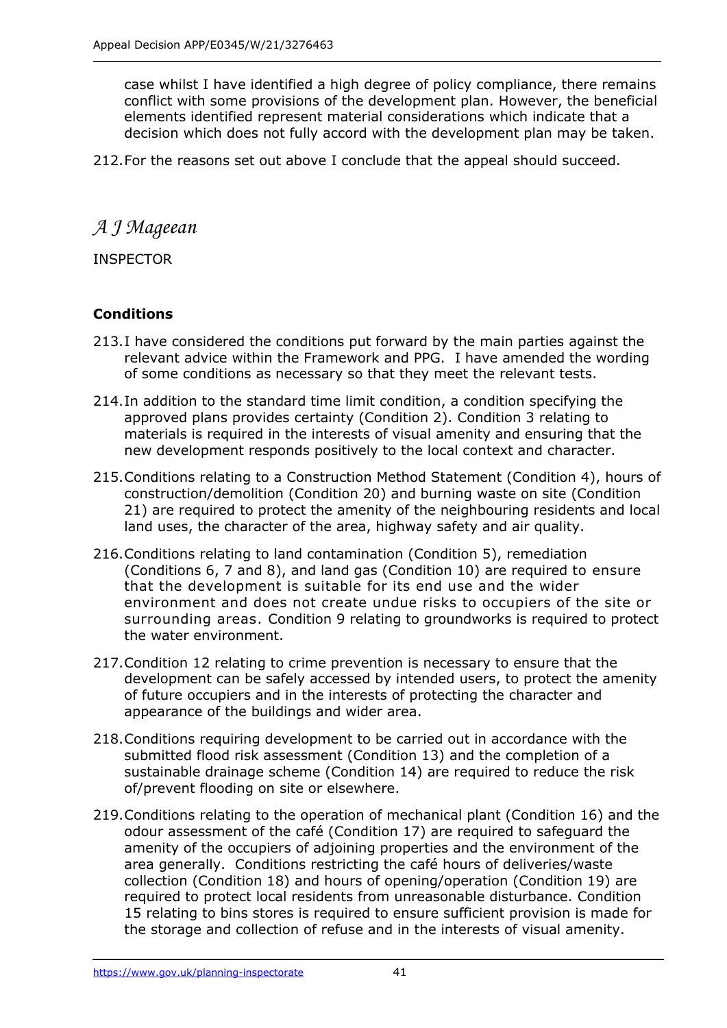case whilst I have identified a high degree of policy compliance, there remains conflict with some provisions of the development plan. However, the beneficial elements identified represent material considerations which indicate that a decision which does not fully accord with the development plan may be taken.

212.For the reasons set out above I conclude that the appeal should succeed.

*A J Mageean* 

INSPECTOR

# **Conditions**

- 213.I have considered the conditions put forward by the main parties against the relevant advice within the Framework and PPG. I have amended the wording of some conditions as necessary so that they meet the relevant tests.
- 214.In addition to the standard time limit condition, a condition specifying the approved plans provides certainty (Condition 2). Condition 3 relating to materials is required in the interests of visual amenity and ensuring that the new development responds positively to the local context and character.
- 215.Conditions relating to a Construction Method Statement (Condition 4), hours of construction/demolition (Condition 20) and burning waste on site (Condition 21) are required to protect the amenity of the neighbouring residents and local land uses, the character of the area, highway safety and air quality.
- 216.Conditions relating to land contamination (Condition 5), remediation (Conditions 6, 7 and 8), and land gas (Condition 10) are required to ensure that the development is suitable for its end use and the wider environment and does not create undue risks to occupiers of the site or surrounding areas. Condition 9 relating to groundworks is required to protect the water environment.
- 217.Condition 12 relating to crime prevention is necessary to ensure that the development can be safely accessed by intended users, to protect the amenity of future occupiers and in the interests of protecting the character and appearance of the buildings and wider area.
- 218.Conditions requiring development to be carried out in accordance with the submitted flood risk assessment (Condition 13) and the completion of a sustainable drainage scheme (Condition 14) are required to reduce the risk of/prevent flooding on site or elsewhere.
- 219.Conditions relating to the operation of mechanical plant (Condition 16) and the odour assessment of the café (Condition 17) are required to safeguard the amenity of the occupiers of adjoining properties and the environment of the area generally. Conditions restricting the café hours of deliveries/waste collection (Condition 18) and hours of opening/operation (Condition 19) are required to protect local residents from unreasonable disturbance. Condition 15 relating to bins stores is required to ensure sufficient provision is made for the storage and collection of refuse and in the interests of visual amenity.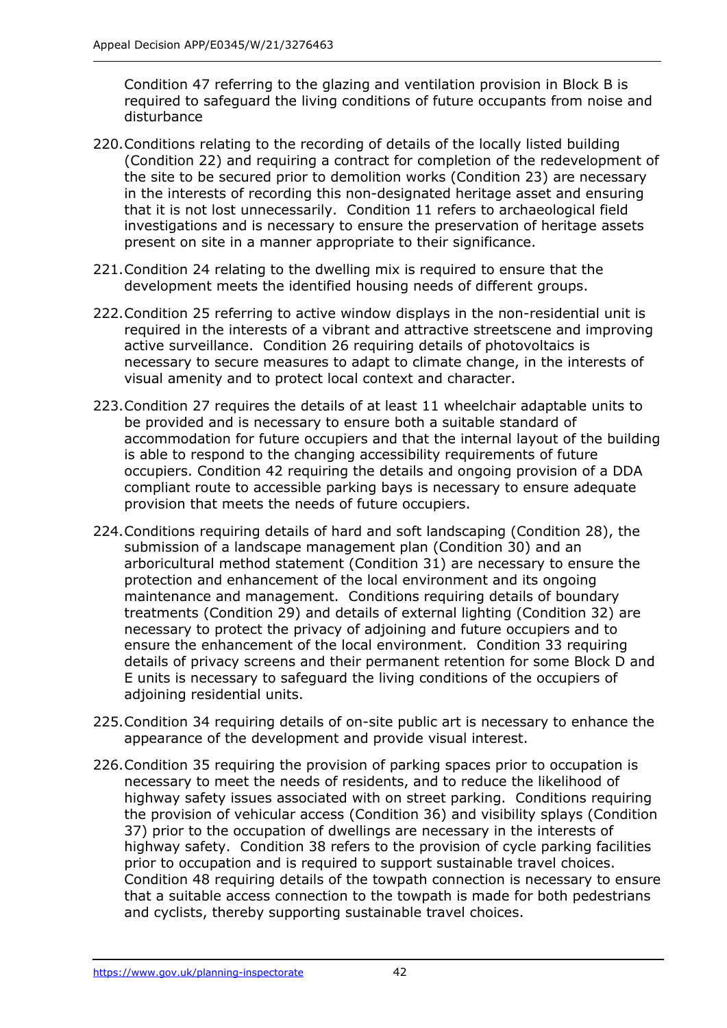Condition 47 referring to the glazing and ventilation provision in Block B is required to safeguard the living conditions of future occupants from noise and disturbance

- 220.Conditions relating to the recording of details of the locally listed building (Condition 22) and requiring a contract for completion of the redevelopment of the site to be secured prior to demolition works (Condition 23) are necessary in the interests of recording this non-designated heritage asset and ensuring that it is not lost unnecessarily. Condition 11 refers to archaeological field investigations and is necessary to ensure the preservation of heritage assets present on site in a manner appropriate to their significance.
- 221.Condition 24 relating to the dwelling mix is required to ensure that the development meets the identified housing needs of different groups.
- 222.Condition 25 referring to active window displays in the non-residential unit is required in the interests of a vibrant and attractive streetscene and improving active surveillance. Condition 26 requiring details of photovoltaics is necessary to secure measures to adapt to climate change, in the interests of visual amenity and to protect local context and character.
- 223.Condition 27 requires the details of at least 11 wheelchair adaptable units to be provided and is necessary to ensure both a suitable standard of accommodation for future occupiers and that the internal layout of the building is able to respond to the changing accessibility requirements of future occupiers. Condition 42 requiring the details and ongoing provision of a DDA compliant route to accessible parking bays is necessary to ensure adequate provision that meets the needs of future occupiers.
- 224.Conditions requiring details of hard and soft landscaping (Condition 28), the submission of a landscape management plan (Condition 30) and an arboricultural method statement (Condition 31) are necessary to ensure the protection and enhancement of the local environment and its ongoing maintenance and management. Conditions requiring details of boundary treatments (Condition 29) and details of external lighting (Condition 32) are necessary to protect the privacy of adjoining and future occupiers and to ensure the enhancement of the local environment. Condition 33 requiring details of privacy screens and their permanent retention for some Block D and E units is necessary to safeguard the living conditions of the occupiers of adjoining residential units.
- 225.Condition 34 requiring details of on-site public art is necessary to enhance the appearance of the development and provide visual interest.
- 226.Condition 35 requiring the provision of parking spaces prior to occupation is necessary to meet the needs of residents, and to reduce the likelihood of highway safety issues associated with on street parking. Conditions requiring the provision of vehicular access (Condition 36) and visibility splays (Condition 37) prior to the occupation of dwellings are necessary in the interests of highway safety. Condition 38 refers to the provision of cycle parking facilities prior to occupation and is required to support sustainable travel choices. Condition 48 requiring details of the towpath connection is necessary to ensure that a suitable access connection to the towpath is made for both pedestrians and cyclists, thereby supporting sustainable travel choices.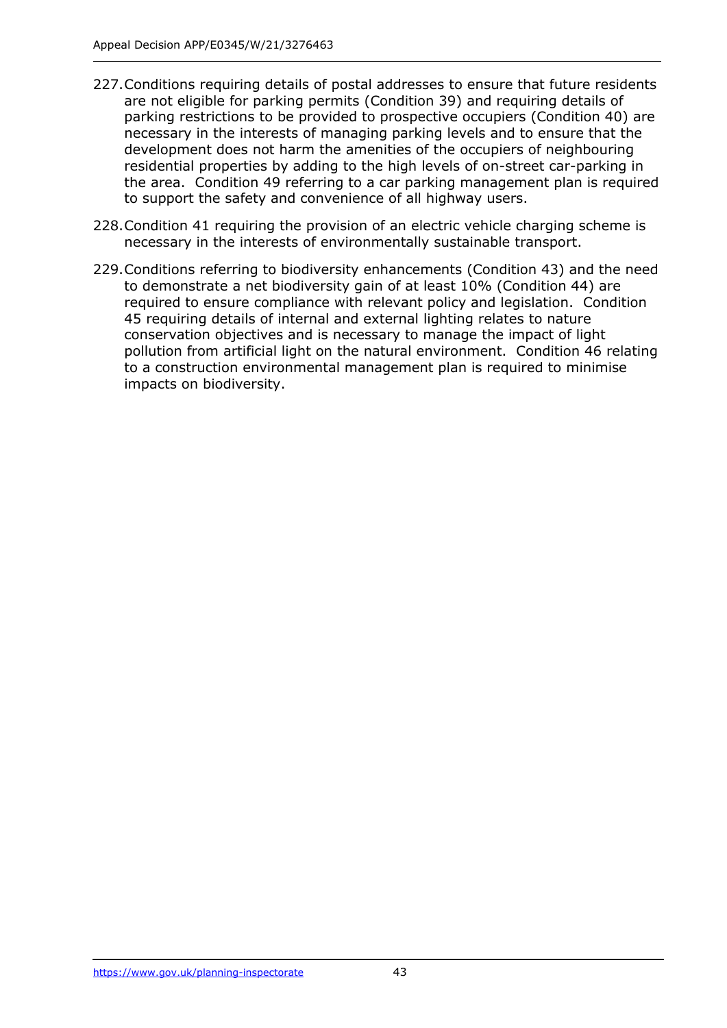- 227.Conditions requiring details of postal addresses to ensure that future residents are not eligible for parking permits (Condition 39) and requiring details of parking restrictions to be provided to prospective occupiers (Condition 40) are necessary in the interests of managing parking levels and to ensure that the development does not harm the amenities of the occupiers of neighbouring residential properties by adding to the high levels of on-street car-parking in the area. Condition 49 referring to a car parking management plan is required to support the safety and convenience of all highway users.
- 228.Condition 41 requiring the provision of an electric vehicle charging scheme is necessary in the interests of environmentally sustainable transport.
- 229.Conditions referring to biodiversity enhancements (Condition 43) and the need to demonstrate a net biodiversity gain of at least 10% (Condition 44) are required to ensure compliance with relevant policy and legislation. Condition 45 requiring details of internal and external lighting relates to nature conservation objectives and is necessary to manage the impact of light pollution from artificial light on the natural environment. Condition 46 relating to a construction environmental management plan is required to minimise impacts on biodiversity.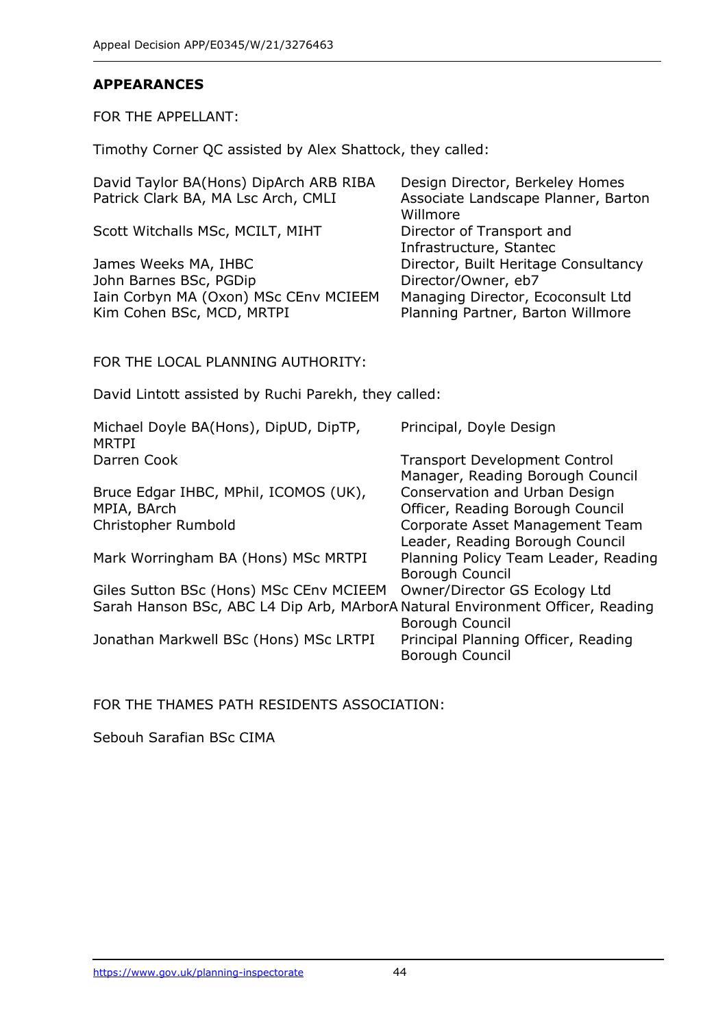#### **APPEARANCES**

FOR THE APPELLANT:

Timothy Corner QC assisted by Alex Shattock, they called:

| David Taylor BA(Hons) DipArch ARB RIBA<br>Patrick Clark BA, MA Lsc Arch, CMLI                                             | Design Director, Berkeley Homes<br>Associate Landscape Planner, Barton<br>Willmore |
|---------------------------------------------------------------------------------------------------------------------------|------------------------------------------------------------------------------------|
| Scott Witchalls MSc, MCILT, MIHT                                                                                          | Director of Transport and<br>Infrastructure, Stantec                               |
| James Weeks MA, IHBC<br>John Barnes BSc, PGDip                                                                            | Director, Built Heritage Consultancy<br>Director/Owner, eb7                        |
| Iain Corbyn MA (Oxon) MSc CEnv MCIEEM<br>Kim Cohen BSc, MCD, MRTPI                                                        | Managing Director, Ecoconsult Ltd<br>Planning Partner, Barton Willmore             |
| FOR THE LOCAL PLANNING AUTHORITY:                                                                                         |                                                                                    |
| David Lintott assisted by Ruchi Parekh, they called:                                                                      |                                                                                    |
| Michael Doyle BA(Hons), DipUD, DipTP,<br><b>MRTPI</b>                                                                     | Principal, Doyle Design                                                            |
| Darren Cook                                                                                                               | <b>Transport Development Control</b><br>Manager, Reading Borough Council           |
| Bruce Edgar IHBC, MPhil, ICOMOS (UK),<br>MPIA, BArch                                                                      | Conservation and Urban Design<br>Officer, Reading Borough Council                  |
| Christopher Rumbold                                                                                                       | Corporate Asset Management Team<br>Leader, Reading Borough Council                 |
| Mark Worringham BA (Hons) MSc MRTPI                                                                                       | Planning Policy Team Leader, Reading<br>Borough Council                            |
| Giles Sutton BSc (Hons) MSc CEnv MCIEEM<br>Sarah Hanson BSc, ABC L4 Dip Arb, MArborA Natural Environment Officer, Reading | Owner/Director GS Ecology Ltd                                                      |

Jonathan Markwell BSc (Hons) MSc LRTPI

FOR THE THAMES PATH RESIDENTS ASSOCIATION:

Sebouh Sarafian BSc CIMA

Borough Council<br>Principal Planning Officer, Reading

Borough Council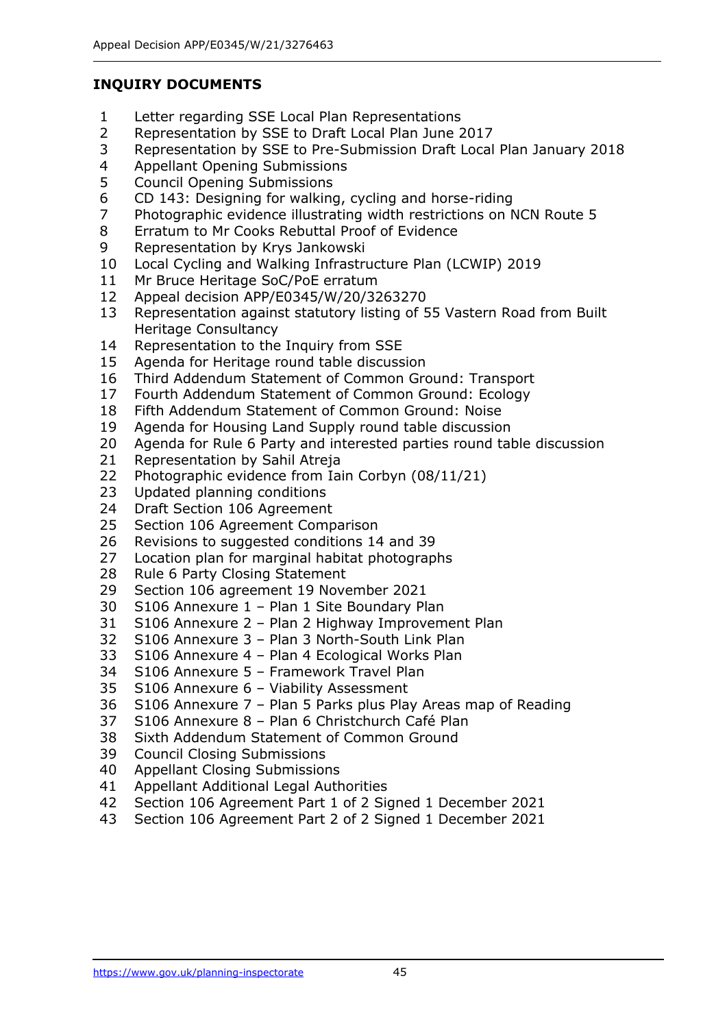## **INQUIRY DOCUMENTS**

- Letter regarding SSE Local Plan Representations
- Representation by SSE to Draft Local Plan June 2017
- Representation by SSE to Pre-Submission Draft Local Plan January 2018
- Appellant Opening Submissions
- Council Opening Submissions
- CD 143: Designing for walking, cycling and horse-riding
- Photographic evidence illustrating width restrictions on NCN Route 5
- Erratum to Mr Cooks Rebuttal Proof of Evidence
- Representation by Krys Jankowski
- Local Cycling and Walking Infrastructure Plan (LCWIP) 2019
- Mr Bruce Heritage SoC/PoE erratum
- Appeal decision APP/E0345/W/20/3263270
- Representation against statutory listing of 55 Vastern Road from Built Heritage Consultancy
- Representation to the Inquiry from SSE
- Agenda for Heritage round table discussion
- Third Addendum Statement of Common Ground: Transport
- Fourth Addendum Statement of Common Ground: Ecology
- Fifth Addendum Statement of Common Ground: Noise
- Agenda for Housing Land Supply round table discussion
- Agenda for Rule 6 Party and interested parties round table discussion
- Representation by Sahil Atreja
- Photographic evidence from Iain Corbyn (08/11/21)
- Updated planning conditions
- Draft Section 106 Agreement
- Section 106 Agreement Comparison
- Revisions to suggested conditions 14 and 39
- Location plan for marginal habitat photographs
- Rule 6 Party Closing Statement
- Section 106 agreement 19 November 2021
- S106 Annexure 1 Plan 1 Site Boundary Plan
- S106 Annexure 2 Plan 2 Highway Improvement Plan
- S106 Annexure 3 Plan 3 North-South Link Plan
- S106 Annexure 4 Plan 4 Ecological Works Plan
- S106 Annexure 5 Framework Travel Plan
- S106 Annexure 6 Viability Assessment
- S106 Annexure 7 Plan 5 Parks plus Play Areas map of Reading
- S106 Annexure 8 Plan 6 Christchurch Café Plan
- Sixth Addendum Statement of Common Ground
- Council Closing Submissions
- Appellant Closing Submissions
- Appellant Additional Legal Authorities
- Section 106 Agreement Part 1 of 2 Signed 1 December 2021
- Section 106 Agreement Part 2 of 2 Signed 1 December 2021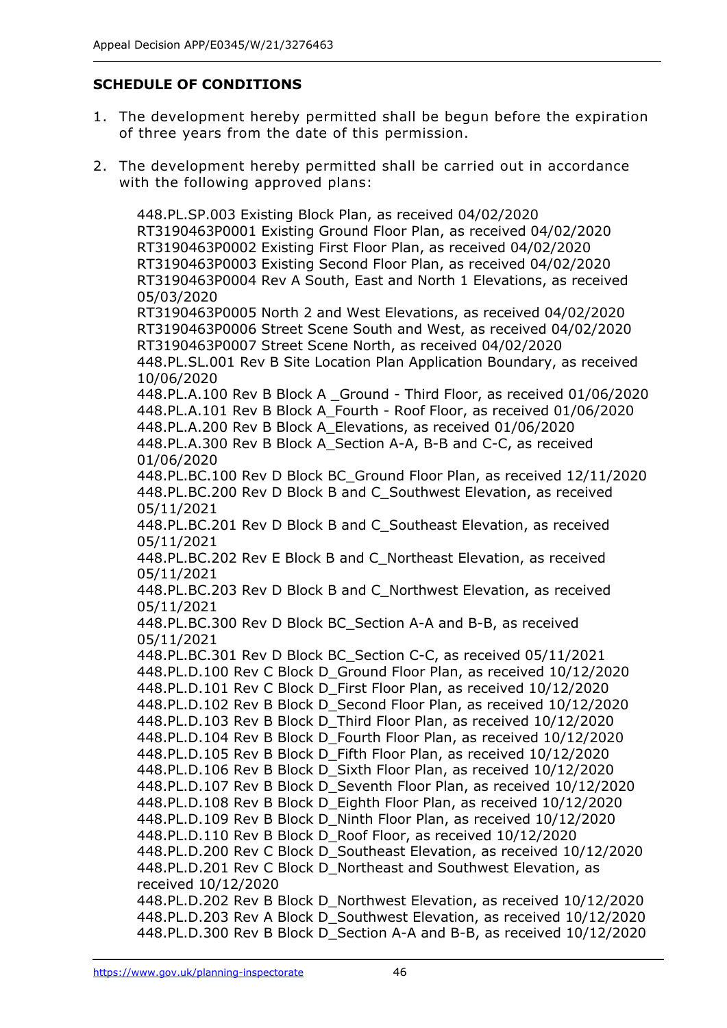# **SCHEDULE OF CONDITIONS**

- 1. The development hereby permitted shall be begun before the expiration of three years from the date of this permission.
- 2. The development hereby permitted shall be carried out in accordance with the following approved plans:

448.PL.SP.003 Existing Block Plan, as received 04/02/2020 RT3190463P0001 Existing Ground Floor Plan, as received 04/02/2020 RT3190463P0002 Existing First Floor Plan, as received 04/02/2020 RT3190463P0003 Existing Second Floor Plan, as received 04/02/2020 RT3190463P0004 Rev A South, East and North 1 Elevations, as received 05/03/2020 RT3190463P0005 North 2 and West Elevations, as received 04/02/2020 RT3190463P0006 Street Scene South and West, as received 04/02/2020 RT3190463P0007 Street Scene North, as received 04/02/2020 448.PL.SL.001 Rev B Site Location Plan Application Boundary, as received 10/06/2020 448.PL.A.100 Rev B Block A \_Ground - Third Floor, as received 01/06/2020 448.PL.A.101 Rev B Block A\_Fourth - Roof Floor, as received 01/06/2020 448.PL.A.200 Rev B Block A\_Elevations, as received 01/06/2020 448.PL.A.300 Rev B Block A\_Section A-A, B-B and C-C, as received 01/06/2020 448.PL.BC.100 Rev D Block BC\_Ground Floor Plan, as received 12/11/2020 448.PL.BC.200 Rev D Block B and C\_Southwest Elevation, as received 05/11/2021 448.PL.BC.201 Rev D Block B and C\_Southeast Elevation, as received 05/11/2021 448.PL.BC.202 Rev E Block B and C\_Northeast Elevation, as received 05/11/2021 448.PL.BC.203 Rev D Block B and C\_Northwest Elevation, as received 05/11/2021 448.PL.BC.300 Rev D Block BC\_Section A-A and B-B, as received 05/11/2021 448.PL.BC.301 Rev D Block BC\_Section C-C, as received 05/11/2021 448.PL.D.100 Rev C Block D\_Ground Floor Plan, as received 10/12/2020 448.PL.D.101 Rev C Block D\_First Floor Plan, as received 10/12/2020 448.PL.D.102 Rev B Block D\_Second Floor Plan, as received 10/12/2020 448.PL.D.103 Rev B Block D\_Third Floor Plan, as received 10/12/2020 448.PL.D.104 Rev B Block D\_Fourth Floor Plan, as received 10/12/2020 448.PL.D.105 Rev B Block D\_Fifth Floor Plan, as received 10/12/2020 448.PL.D.106 Rev B Block D\_Sixth Floor Plan, as received 10/12/2020 448.PL.D.107 Rev B Block D Seventh Floor Plan, as received 10/12/2020 448.PL.D.108 Rev B Block D\_Eighth Floor Plan, as received 10/12/2020 448.PL.D.109 Rev B Block D\_Ninth Floor Plan, as received 10/12/2020 448.PL.D.110 Rev B Block D\_Roof Floor, as received 10/12/2020 448.PL.D.200 Rev C Block D\_Southeast Elevation, as received 10/12/2020 448.PL.D.201 Rev C Block D\_Northeast and Southwest Elevation, as received 10/12/2020 448.PL.D.202 Rev B Block D\_Northwest Elevation, as received 10/12/2020 448.PL.D.203 Rev A Block D Southwest Elevation, as received 10/12/2020 448.PL.D.300 Rev B Block D\_Section A-A and B-B, as received 10/12/2020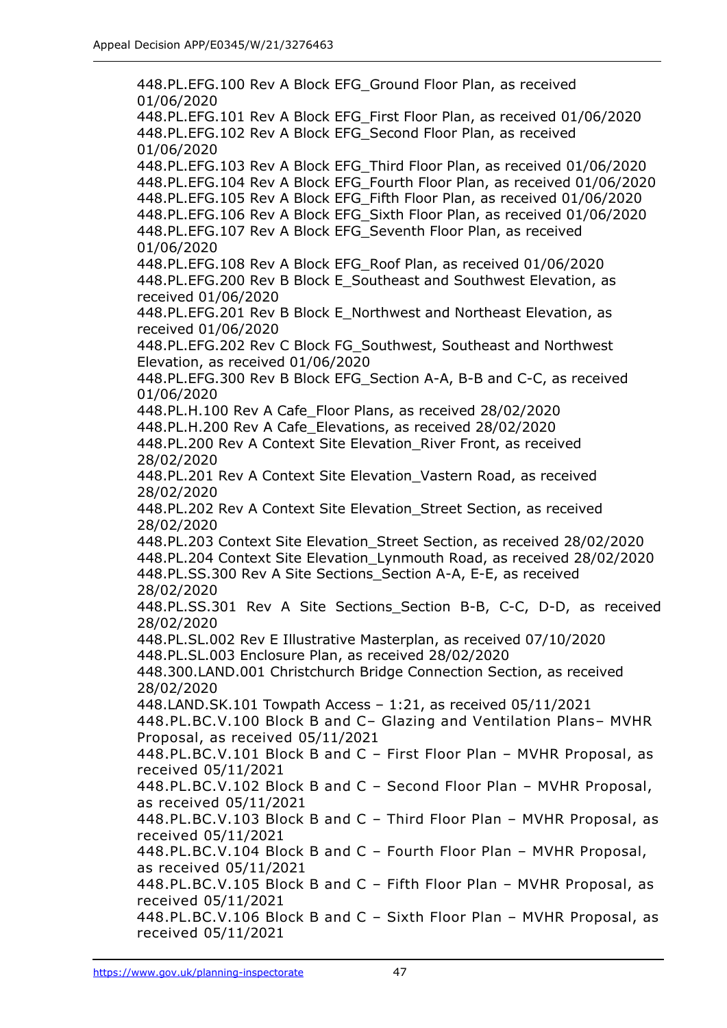448.PL.EFG.100 Rev A Block EFG\_Ground Floor Plan, as received 01/06/2020 448.PL.EFG.101 Rev A Block EFG\_First Floor Plan, as received 01/06/2020 448.PL.EFG.102 Rev A Block EFG\_Second Floor Plan, as received 01/06/2020 448.PL.EFG.103 Rev A Block EFG\_Third Floor Plan, as received 01/06/2020 448.PL.EFG.104 Rev A Block EFG\_Fourth Floor Plan, as received 01/06/2020 448.PL.EFG.105 Rev A Block EFG\_Fifth Floor Plan, as received 01/06/2020 448.PL.EFG.106 Rev A Block EFG\_Sixth Floor Plan, as received 01/06/2020 448.PL.EFG.107 Rev A Block EFG\_Seventh Floor Plan, as received 01/06/2020 448.PL.EFG.108 Rev A Block EFG\_Roof Plan, as received 01/06/2020 448.PL.EFG.200 Rev B Block E\_Southeast and Southwest Elevation, as received 01/06/2020 448.PL.EFG.201 Rev B Block E\_Northwest and Northeast Elevation, as received 01/06/2020 448.PL.EFG.202 Rev C Block FG\_Southwest, Southeast and Northwest Elevation, as received 01/06/2020 448.PL.EFG.300 Rev B Block EFG\_Section A-A, B-B and C-C, as received 01/06/2020 448.PL.H.100 Rev A Cafe\_Floor Plans, as received 28/02/2020 448.PL.H.200 Rev A Cafe\_Elevations, as received 28/02/2020 448.PL.200 Rev A Context Site Elevation\_River Front, as received 28/02/2020 448.PL.201 Rev A Context Site Elevation\_Vastern Road, as received 28/02/2020 448.PL.202 Rev A Context Site Elevation\_Street Section, as received 28/02/2020 448.PL.203 Context Site Elevation\_Street Section, as received 28/02/2020 448.PL.204 Context Site Elevation\_Lynmouth Road, as received 28/02/2020 448.PL.SS.300 Rev A Site Sections\_Section A-A, E-E, as received 28/02/2020 448.PL.SS.301 Rev A Site Sections\_Section B-B, C-C, D-D, as received 28/02/2020 448.PL.SL.002 Rev E Illustrative Masterplan, as received 07/10/2020 448.PL.SL.003 Enclosure Plan, as received 28/02/2020 448.300.LAND.001 Christchurch Bridge Connection Section, as received 28/02/2020 448.LAND.SK.101 Towpath Access – 1:21, as received 05/11/2021 448.PL.BC.V.100 Block B and C– Glazing and Ventilation Plans– MVHR Proposal, as received 05/11/2021 448.PL.BC.V.101 Block B and C – First Floor Plan – MVHR Proposal, as received 05/11/2021 448.PL.BC.V.102 Block B and C – Second Floor Plan – MVHR Proposal, as received 05/11/2021 448.PL.BC.V.103 Block B and C – Third Floor Plan – MVHR Proposal, as received 05/11/2021 448.PL.BC.V.104 Block B and C – Fourth Floor Plan – MVHR Proposal, as received 05/11/2021 448.PL.BC.V.105 Block B and C – Fifth Floor Plan – MVHR Proposal, as received 05/11/2021 448.PL.BC.V.106 Block B and C – Sixth Floor Plan – MVHR Proposal, as received 05/11/2021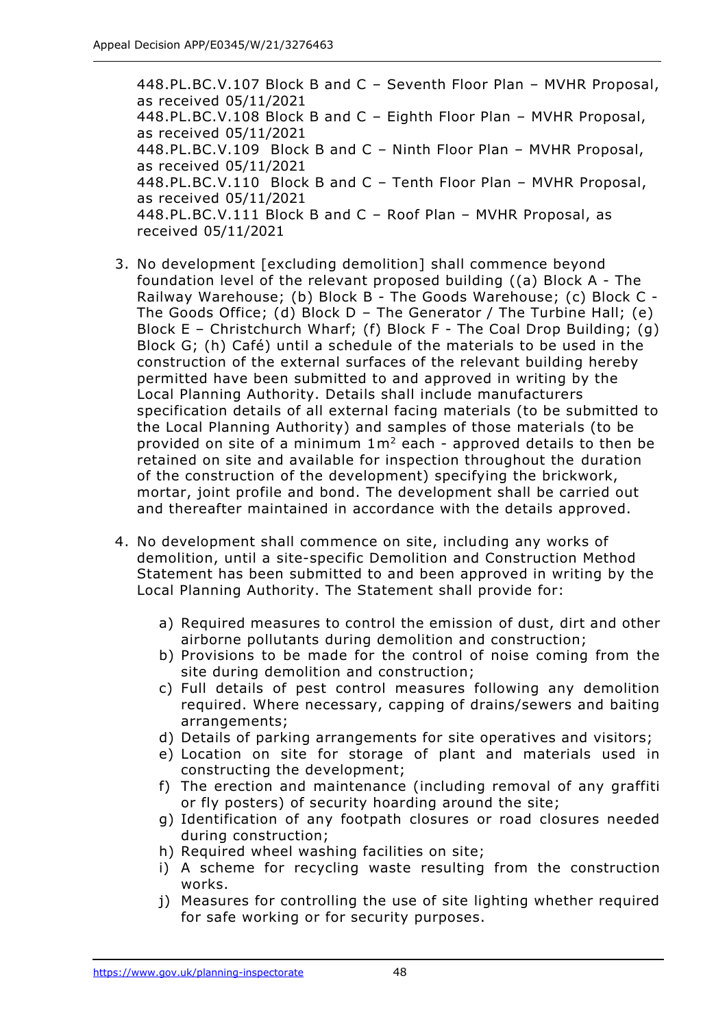448.PL.BC.V.107 Block B and C – Seventh Floor Plan – MVHR Proposal, as received 05/11/2021 448.PL.BC.V.108 Block B and C – Eighth Floor Plan – MVHR Proposal, as received 05/11/2021 448.PL.BC.V.109 Block B and C – Ninth Floor Plan – MVHR Proposal, as received 05/11/2021 448.PL.BC.V.110 Block B and C – Tenth Floor Plan – MVHR Proposal, as received 05/11/2021 448.PL.BC.V.111 Block B and C – Roof Plan – MVHR Proposal, as received 05/11/2021

- 3. No development [excluding demolition] shall commence beyond foundation level of the relevant proposed building ((a) Block A - The Railway Warehouse; (b) Block B - The Goods Warehouse; (c) Block C - The Goods Office; (d) Block D – The Generator / The Turbine Hall; (e) Block E – Christchurch Wharf; (f) Block F - The Coal Drop Building; (g) Block G; (h) Café) until a schedule of the materials to be used in the construction of the external surfaces of the relevant building hereby permitted have been submitted to and approved in writing by the Local Planning Authority. Details shall include manufacturers specification details of all external facing materials (to be submitted to the Local Planning Authority) and samples of those materials (to be provided on site of a minimum  $1m^2$  each - approved details to then be retained on site and available for inspection throughout the duration of the construction of the development) specifying the brickwork, mortar, joint profile and bond. The development shall be carried out and thereafter maintained in accordance with the details approved.
- 4. No development shall commence on site, including any works of demolition, until a site-specific Demolition and Construction Method Statement has been submitted to and been approved in writing by the Local Planning Authority. The Statement shall provide for:
	- a) Required measures to control the emission of dust, dirt and other airborne pollutants during demolition and construction;
	- b) Provisions to be made for the control of noise coming from the site during demolition and construction;
	- c) Full details of pest control measures following any demolition required. Where necessary, capping of drains/sewers and baiting arrangements;
	- d) Details of parking arrangements for site operatives and visitors;
	- e) Location on site for storage of plant and materials used in constructing the development;
	- f) The erection and maintenance (including removal of any graffiti or fly posters) of security hoarding around the site;
	- g) Identification of any footpath closures or road closures needed during construction;
	- h) Required wheel washing facilities on site;
	- i) A scheme for recycling waste resulting from the construction works.
	- j) Measures for controlling the use of site lighting whether required for safe working or for security purposes.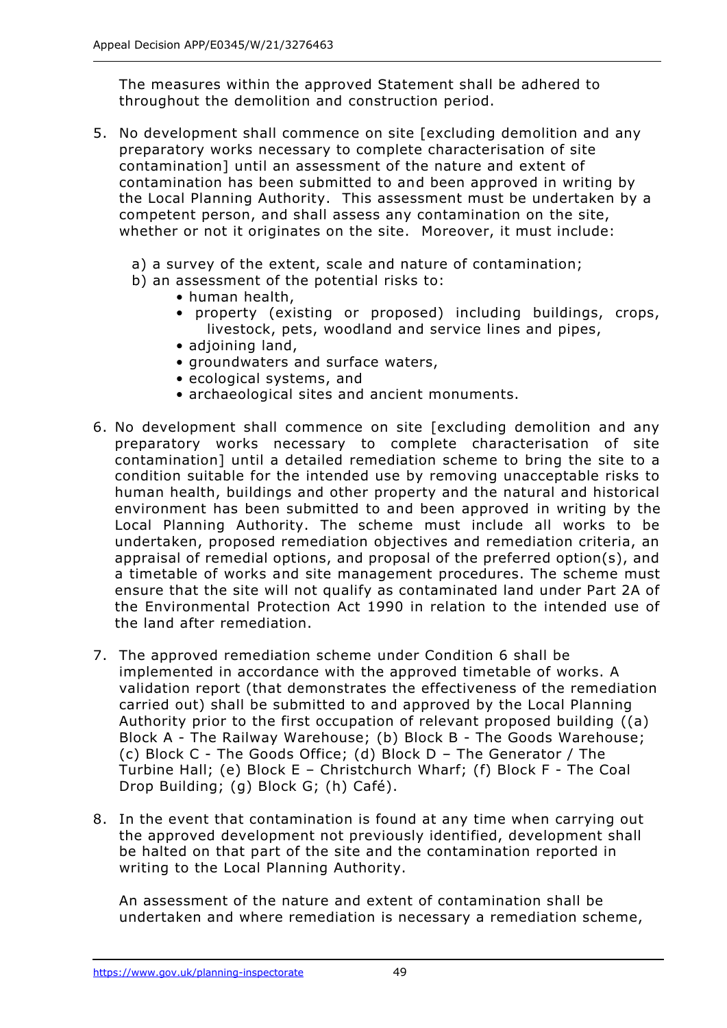The measures within the approved Statement shall be adhered to throughout the demolition and construction period.

- 5. No development shall commence on site [excluding demolition and any preparatory works necessary to complete characterisation of site contamination] until an assessment of the nature and extent of contamination has been submitted to and been approved in writing by the Local Planning Authority. This assessment must be undertaken by a competent person, and shall assess any contamination on the site, whether or not it originates on the site. Moreover, it must include:
	- a) a survey of the extent, scale and nature of contamination;
	- b) an assessment of the potential risks to:
		- human health,
		- property (existing or proposed) including buildings, crops, livestock, pets, woodland and service lines and pipes,
		- adjoining land,
		- groundwaters and surface waters,
		- ecological systems, and
		- archaeological sites and ancient monuments.
- 6. No development shall commence on site [excluding demolition and any preparatory works necessary to complete characterisation of site contamination] until a detailed remediation scheme to bring the site to a condition suitable for the intended use by removing unacceptable risks to human health, buildings and other property and the natural and historical environment has been submitted to and been approved in writing by the Local Planning Authority. The scheme must include all works to be undertaken, proposed remediation objectives and remediation criteria, an appraisal of remedial options, and proposal of the preferred option(s), and a timetable of works and site management procedures. The scheme must ensure that the site will not qualify as contaminated land under Part 2A of the Environmental Protection Act 1990 in relation to the intended use of the land after remediation.
- 7. The approved remediation scheme under Condition 6 shall be implemented in accordance with the approved timetable of works. A validation report (that demonstrates the effectiveness of the remediation carried out) shall be submitted to and approved by the Local Planning Authority prior to the first occupation of relevant proposed building ((a) Block A - The Railway Warehouse; (b) Block B - The Goods Warehouse; (c) Block C - The Goods Office; (d) Block D – The Generator / The Turbine Hall; (e) Block E – Christchurch Wharf; (f) Block F - The Coal Drop Building; (g) Block G; (h) Café).
- 8. In the event that contamination is found at any time when carrying out the approved development not previously identified, development shall be halted on that part of the site and the contamination reported in writing to the Local Planning Authority.

An assessment of the nature and extent of contamination shall be undertaken and where remediation is necessary a remediation scheme,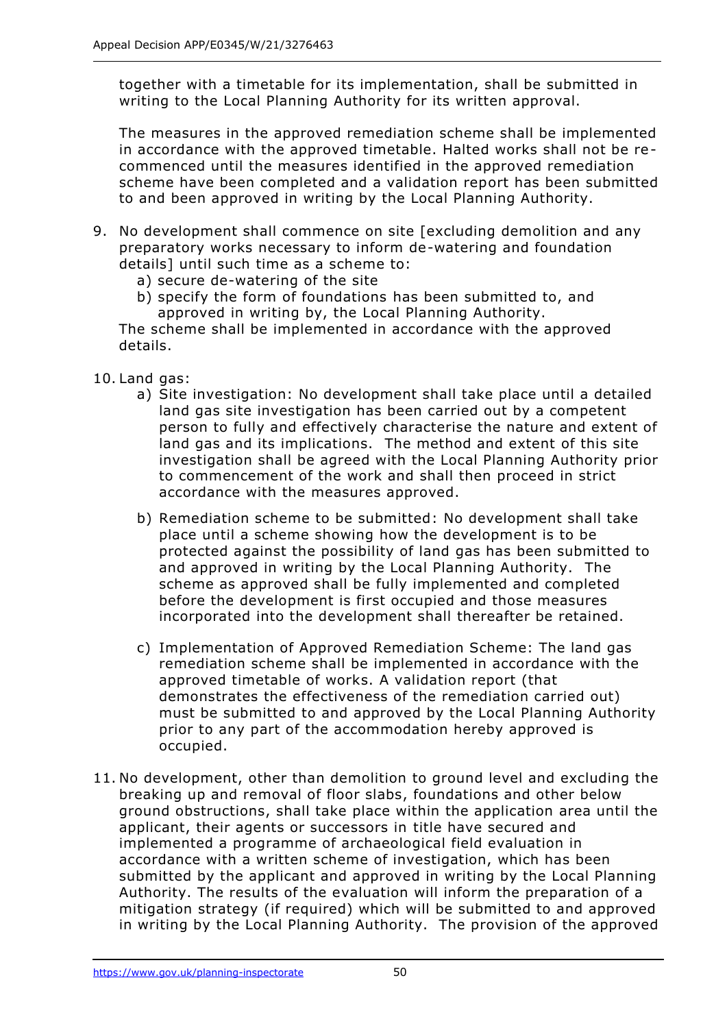together with a timetable for its implementation, shall be submitted in writing to the Local Planning Authority for its written approval.

The measures in the approved remediation scheme shall be implemented in accordance with the approved timetable. Halted works shall not be recommenced until the measures identified in the approved remediation scheme have been completed and a validation report has been submitted to and been approved in writing by the Local Planning Authority.

- 9. No development shall commence on site [excluding demolition and any preparatory works necessary to inform de-watering and foundation details] until such time as a scheme to:
	- a) secure de-watering of the site
	- b) specify the form of foundations has been submitted to, and approved in writing by, the Local Planning Authority.

The scheme shall be implemented in accordance with the approved details.

- 10. Land gas:
	- a) Site investigation: No development shall take place until a detailed land gas site investigation has been carried out by a competent person to fully and effectively characterise the nature and extent of land gas and its implications. The method and extent of this site investigation shall be agreed with the Local Planning Authority prior to commencement of the work and shall then proceed in strict accordance with the measures approved.
	- b) Remediation scheme to be submitted: No development shall take place until a scheme showing how the development is to be protected against the possibility of land gas has been submitted to and approved in writing by the Local Planning Authority. The scheme as approved shall be fully implemented and completed before the development is first occupied and those measures incorporated into the development shall thereafter be retained.
	- c) Implementation of Approved Remediation Scheme: The land gas remediation scheme shall be implemented in accordance with the approved timetable of works. A validation report (that demonstrates the effectiveness of the remediation carried out) must be submitted to and approved by the Local Planning Authority prior to any part of the accommodation hereby approved is occupied.
- 11. No development, other than demolition to ground level and excluding the breaking up and removal of floor slabs, foundations and other below ground obstructions, shall take place within the application area until the applicant, their agents or successors in title have secured and implemented a programme of archaeological field evaluation in accordance with a written scheme of investigation, which has been submitted by the applicant and approved in writing by the Local Planning Authority. The results of the evaluation will inform the preparation of a mitigation strategy (if required) which will be submitted to and approved in writing by the Local Planning Authority. The provision of the approved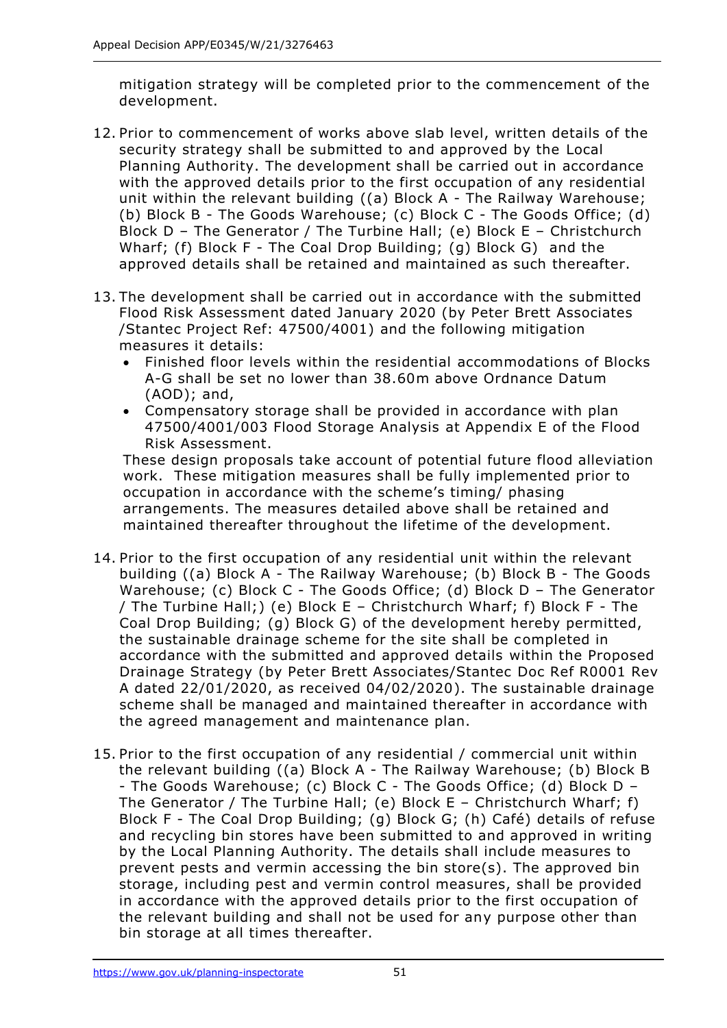mitigation strategy will be completed prior to the commencement of the development.

- 12. Prior to commencement of works above slab level, written details of the security strategy shall be submitted to and approved by the Local Planning Authority. The development shall be carried out in accordance with the approved details prior to the first occupation of any residential unit within the relevant building ((a) Block A - The Railway Warehouse; (b) Block B - The Goods Warehouse; (c) Block C - The Goods Office; (d) Block D – The Generator / The Turbine Hall; (e) Block E – Christchurch Wharf; (f) Block F - The Coal Drop Building; (g) Block G) and the approved details shall be retained and maintained as such thereafter.
- 13. The development shall be carried out in accordance with the submitted Flood Risk Assessment dated January 2020 (by Peter Brett Associates /Stantec Project Ref: 47500/4001) and the following mitigation measures it details:
	- Finished floor levels within the residential accommodations of Blocks A-G shall be set no lower than 38.60m above Ordnance Datum (AOD); and,
	- Compensatory storage shall be provided in accordance with plan 47500/4001/003 Flood Storage Analysis at Appendix E of the Flood Risk Assessment.

These design proposals take account of potential future flood alleviation work. These mitigation measures shall be fully implemented prior to occupation in accordance with the scheme's timing/ phasing arrangements. The measures detailed above shall be retained and maintained thereafter throughout the lifetime of the development.

- 14. Prior to the first occupation of any residential unit within the relevant building ((a) Block A - The Railway Warehouse; (b) Block B - The Goods Warehouse; (c) Block C - The Goods Office; (d) Block D – The Generator / The Turbine Hall;) (e) Block E – Christchurch Wharf; f) Block F - The Coal Drop Building; (g) Block G) of the development hereby permitted, the sustainable drainage scheme for the site shall be completed in accordance with the submitted and approved details within the Proposed Drainage Strategy (by Peter Brett Associates/Stantec Doc Ref R0001 Rev A dated 22/01/2020, as received 04/02/2020). The sustainable drainage scheme shall be managed and maintained thereafter in accordance with the agreed management and maintenance plan.
- 15. Prior to the first occupation of any residential / commercial unit within the relevant building ((a) Block A - The Railway Warehouse; (b) Block B - The Goods Warehouse; (c) Block C - The Goods Office; (d) Block D – The Generator / The Turbine Hall; (e) Block  $E$  – Christchurch Wharf; f) Block F - The Coal Drop Building; (g) Block G; (h) Café) details of refuse and recycling bin stores have been submitted to and approved in writing by the Local Planning Authority. The details shall include measures to prevent pests and vermin accessing the bin store(s). The approved bin storage, including pest and vermin control measures, shall be provided in accordance with the approved details prior to the first occupation of the relevant building and shall not be used for any purpose other than bin storage at all times thereafter.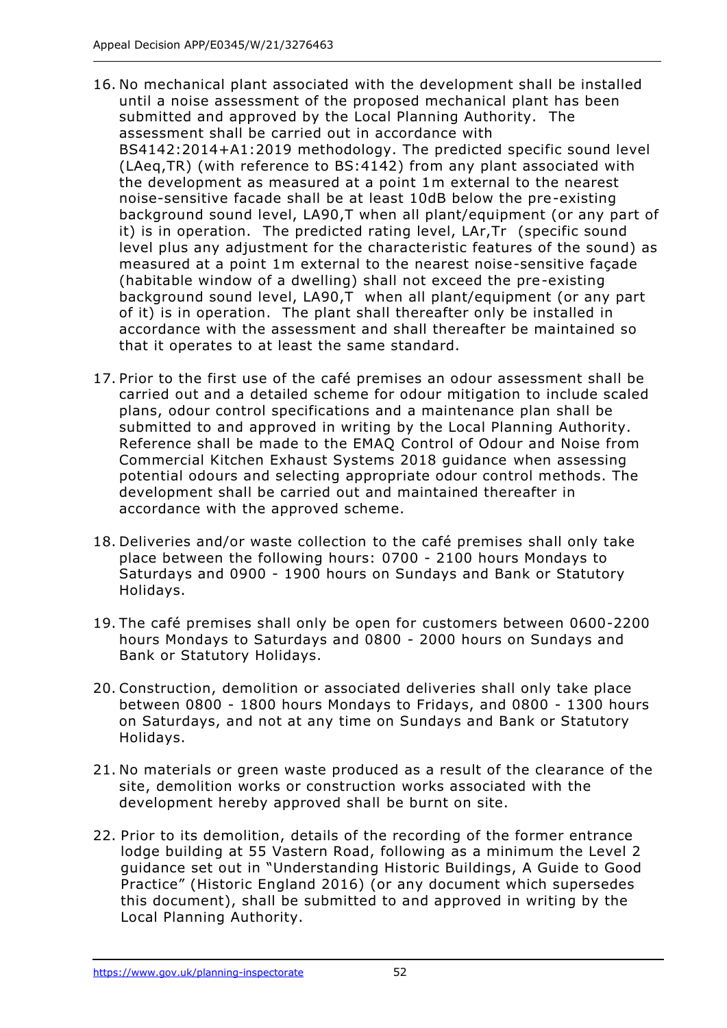- 16. No mechanical plant associated with the development shall be installed until a noise assessment of the proposed mechanical plant has been submitted and approved by the Local Planning Authority. The assessment shall be carried out in accordance with BS4142:2014+A1:2019 methodology. The predicted specific sound level (LAeq,TR) (with reference to BS:4142) from any plant associated with the development as measured at a point 1m external to the nearest noise-sensitive facade shall be at least 10dB below the pre-existing background sound level, LA90,T when all plant/equipment (or any part of it) is in operation. The predicted rating level, LAr,Tr (specific sound level plus any adjustment for the characteristic features of the sound) as measured at a point 1m external to the nearest noise-sensitive façade (habitable window of a dwelling) shall not exceed the pre-existing background sound level, LA90,T when all plant/equipment (or any part of it) is in operation. The plant shall thereafter only be installed in accordance with the assessment and shall thereafter be maintained so that it operates to at least the same standard.
- 17. Prior to the first use of the café premises an odour assessment shall be carried out and a detailed scheme for odour mitigation to include scaled plans, odour control specifications and a maintenance plan shall be submitted to and approved in writing by the Local Planning Authority. Reference shall be made to the EMAQ Control of Odour and Noise from Commercial Kitchen Exhaust Systems 2018 guidance when assessing potential odours and selecting appropriate odour control methods. The development shall be carried out and maintained thereafter in accordance with the approved scheme.
- 18. Deliveries and/or waste collection to the café premises shall only take place between the following hours: 0700 - 2100 hours Mondays to Saturdays and 0900 - 1900 hours on Sundays and Bank or Statutory Holidays.
- 19. The café premises shall only be open for customers between 0600-2200 hours Mondays to Saturdays and 0800 - 2000 hours on Sundays and Bank or Statutory Holidays.
- 20. Construction, demolition or associated deliveries shall only take place between 0800 - 1800 hours Mondays to Fridays, and 0800 - 1300 hours on Saturdays, and not at any time on Sundays and Bank or Statutory Holidays.
- 21. No materials or green waste produced as a result of the clearance of the site, demolition works or construction works associated with the development hereby approved shall be burnt on site.
- 22. Prior to its demolition, details of the recording of the former entrance lodge building at 55 Vastern Road, following as a minimum the Level 2 guidance set out in "Understanding Historic Buildings, A Guide to Good Practice" (Historic England 2016) (or any document which supersedes this document), shall be submitted to and approved in writing by the Local Planning Authority.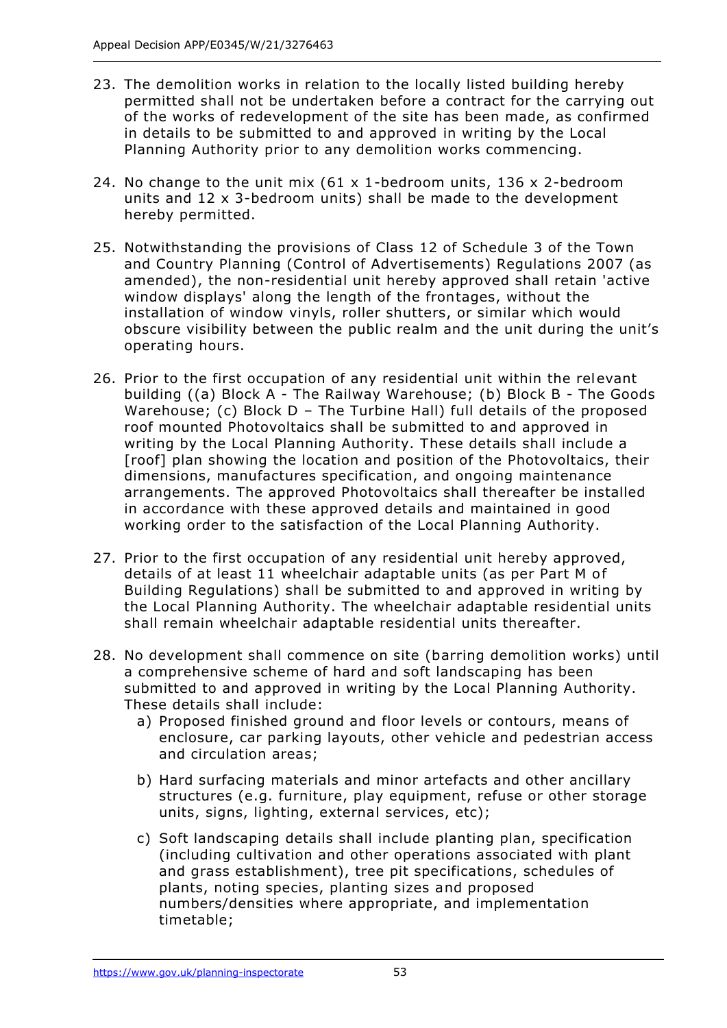- 23. The demolition works in relation to the locally listed building hereby permitted shall not be undertaken before a contract for the carrying out of the works of redevelopment of the site has been made, as confirmed in details to be submitted to and approved in writing by the Local Planning Authority prior to any demolition works commencing.
- 24. No change to the unit mix (61 x 1-bedroom units, 136 x 2-bedroom units and 12 x 3-bedroom units) shall be made to the development hereby permitted.
- 25. Notwithstanding the provisions of Class 12 of Schedule 3 of the Town and Country Planning (Control of Advertisements) Regulations 2007 (as amended), the non-residential unit hereby approved shall retain 'active window displays' along the length of the frontages, without the installation of window vinyls, roller shutters, or similar which would obscure visibility between the public realm and the unit during the unit's operating hours.
- 26. Prior to the first occupation of any residential unit within the relevant building ((a) Block A - The Railway Warehouse; (b) Block B - The Goods Warehouse; (c) Block D - The Turbine Hall) full details of the proposed roof mounted Photovoltaics shall be submitted to and approved in writing by the Local Planning Authority. These details shall include a [roof] plan showing the location and position of the Photovoltaics, their dimensions, manufactures specification, and ongoing maintenance arrangements. The approved Photovoltaics shall thereafter be installed in accordance with these approved details and maintained in good working order to the satisfaction of the Local Planning Authority.
- 27. Prior to the first occupation of any residential unit hereby approved, details of at least 11 wheelchair adaptable units (as per Part M of Building Regulations) shall be submitted to and approved in writing by the Local Planning Authority. The wheelchair adaptable residential units shall remain wheelchair adaptable residential units thereafter.
- 28. No development shall commence on site (barring demolition works) until a comprehensive scheme of hard and soft landscaping has been submitted to and approved in writing by the Local Planning Authority. These details shall include:
	- a) Proposed finished ground and floor levels or contours, means of enclosure, car parking layouts, other vehicle and pedestrian access and circulation areas;
	- b) Hard surfacing materials and minor artefacts and other ancillary structures (e.g. furniture, play equipment, refuse or other storage units, signs, lighting, external services, etc);
	- c) Soft landscaping details shall include planting plan, specification (including cultivation and other operations associated with plant and grass establishment), tree pit specifications, schedules of plants, noting species, planting sizes and proposed numbers/densities where appropriate, and implementation timetable;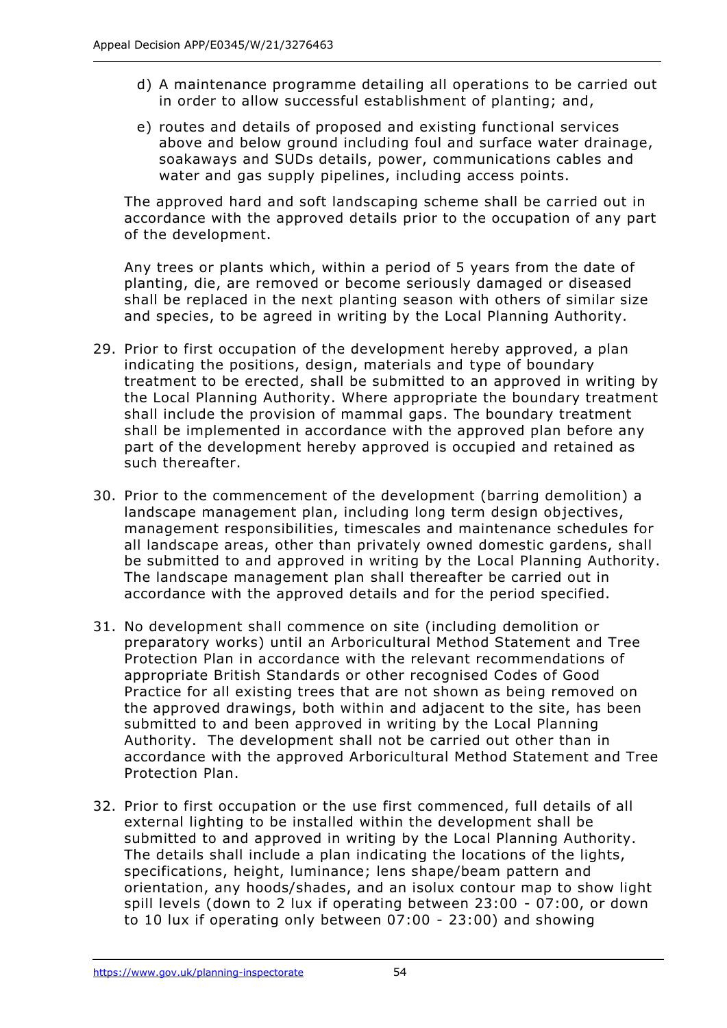- d) A maintenance programme detailing all operations to be carried out in order to allow successful establishment of planting; and,
- e) routes and details of proposed and existing functional services above and below ground including foul and surface water drainage, soakaways and SUDs details, power, communications cables and water and gas supply pipelines, including access points.

The approved hard and soft landscaping scheme shall be carried out in accordance with the approved details prior to the occupation of any part of the development.

Any trees or plants which, within a period of 5 years from the date of planting, die, are removed or become seriously damaged or diseased shall be replaced in the next planting season with others of similar size and species, to be agreed in writing by the Local Planning Authority.

- 29. Prior to first occupation of the development hereby approved, a plan indicating the positions, design, materials and type of boundary treatment to be erected, shall be submitted to an approved in writing by the Local Planning Authority. Where appropriate the boundary treatment shall include the provision of mammal gaps. The boundary treatment shall be implemented in accordance with the approved plan before any part of the development hereby approved is occupied and retained as such thereafter.
- 30. Prior to the commencement of the development (barring demolition) a landscape management plan, including long term design objectives, management responsibilities, timescales and maintenance schedules for all landscape areas, other than privately owned domestic gardens, shall be submitted to and approved in writing by the Local Planning Authority. The landscape management plan shall thereafter be carried out in accordance with the approved details and for the period specified.
- 31. No development shall commence on site (including demolition or preparatory works) until an Arboricultural Method Statement and Tree Protection Plan in accordance with the relevant recommendations of appropriate British Standards or other recognised Codes of Good Practice for all existing trees that are not shown as being removed on the approved drawings, both within and adjacent to the site, has been submitted to and been approved in writing by the Local Planning Authority. The development shall not be carried out other than in accordance with the approved Arboricultural Method Statement and Tree Protection Plan.
- 32. Prior to first occupation or the use first commenced, full details of all external lighting to be installed within the development shall be submitted to and approved in writing by the Local Planning Authority. The details shall include a plan indicating the locations of the lights, specifications, height, luminance; lens shape/beam pattern and orientation, any hoods/shades, and an isolux contour map to show light spill levels (down to 2 lux if operating between 23:00 - 07:00, or down to 10 lux if operating only between 07:00 - 23:00) and showing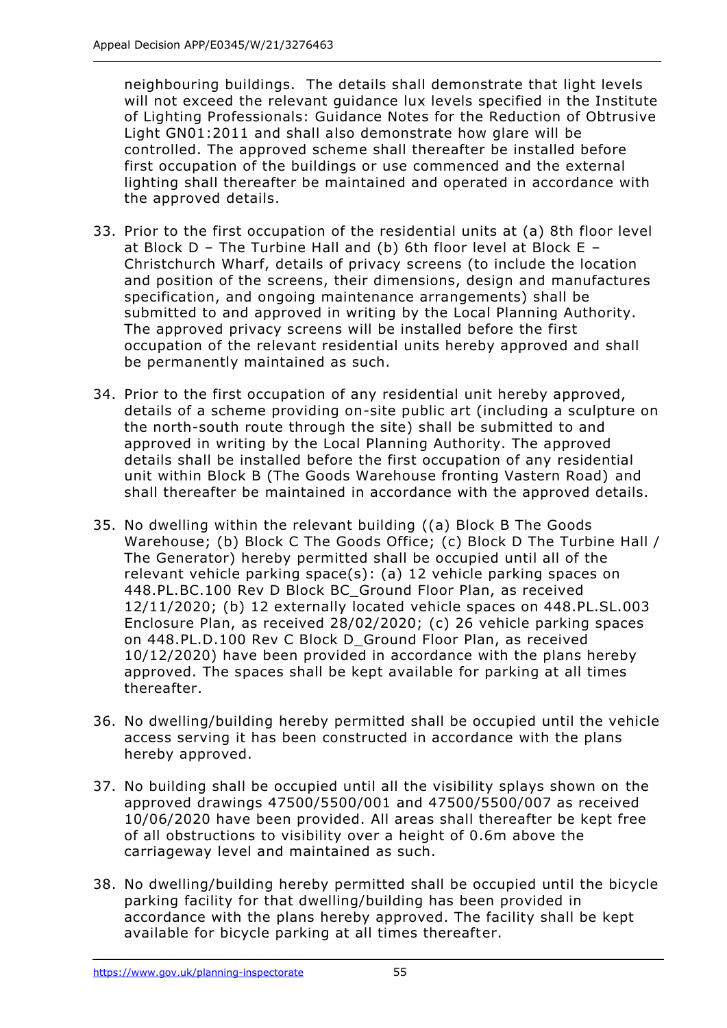neighbouring buildings. The details shall demonstrate that light levels will not exceed the relevant quidance lux levels specified in the Institute of Lighting Professionals: Guidance Notes for the Reduction of Obtrusive Light GN01:2011 and shall also demonstrate how glare will be controlled. The approved scheme shall thereafter be installed before first occupation of the buildings or use commenced and the external lighting shall thereafter be maintained and operated in accordance with the approved details.

- 33. Prior to the first occupation of the residential units at (a) 8th floor level at Block  $D$  – The Turbine Hall and (b) 6th floor level at Block E – Christchurch Wharf, details of privacy screens (to include the location and position of the screens, their dimensions, design and manufactures specification, and ongoing maintenance arrangements) shall be submitted to and approved in writing by the Local Planning Authority. The approved privacy screens will be installed before the first occupation of the relevant residential units hereby approved and shall be permanently maintained as such.
- 34. Prior to the first occupation of any residential unit hereby approved, details of a scheme providing on-site public art (including a sculpture on the north-south route through the site) shall be submitted to and approved in writing by the Local Planning Authority. The approved details shall be installed before the first occupation of any residential unit within Block B (The Goods Warehouse fronting Vastern Road) and shall thereafter be maintained in accordance with the approved details.
- 35. No dwelling within the relevant building ((a) Block B The Goods Warehouse; (b) Block C The Goods Office; (c) Block D The Turbine Hall / The Generator) hereby permitted shall be occupied until all of the relevant vehicle parking space(s): (a) 12 vehicle parking spaces on 448.PL.BC.100 Rev D Block BC\_Ground Floor Plan, as received 12/11/2020; (b) 12 externally located vehicle spaces on 448.PL.SL.003 Enclosure Plan, as received 28/02/2020; (c) 26 vehicle parking spaces on 448.PL.D.100 Rev C Block D\_Ground Floor Plan, as received 10/12/2020) have been provided in accordance with the plans hereby approved. The spaces shall be kept available for parking at all times thereafter.
- 36. No dwelling/building hereby permitted shall be occupied until the vehicle access serving it has been constructed in accordance with the plans hereby approved.
- 37. No building shall be occupied until all the visibility splays shown on the approved drawings 47500/5500/001 and 47500/5500/007 as received 10/06/2020 have been provided. All areas shall thereafter be kept free of all obstructions to visibility over a height of 0.6m above the carriageway level and maintained as such.
- 38. No dwelling/building hereby permitted shall be occupied until the bicycle parking facility for that dwelling/building has been provided in accordance with the plans hereby approved. The facility shall be kept available for bicycle parking at all times thereafter.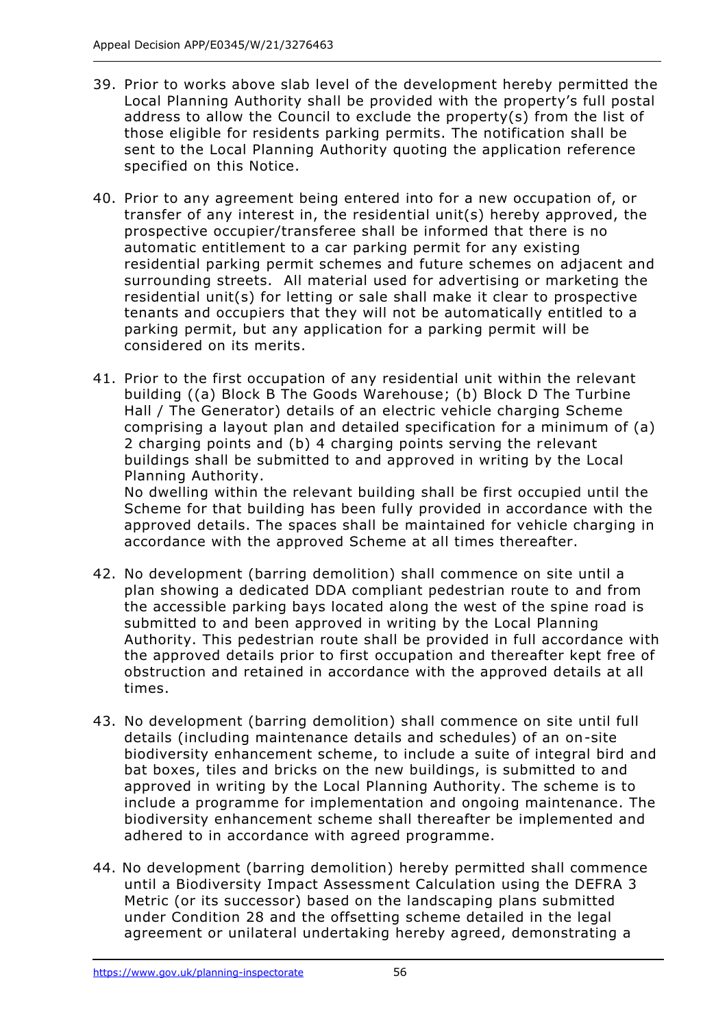- 39. Prior to works above slab level of the development hereby permitted the Local Planning Authority shall be provided with the property's full postal address to allow the Council to exclude the property(s) from the list of those eligible for residents parking permits. The notification shall be sent to the Local Planning Authority quoting the application reference specified on this Notice.
- 40. Prior to any agreement being entered into for a new occupation of, or transfer of any interest in, the residential unit(s) hereby approved, the prospective occupier/transferee shall be informed that there is no automatic entitlement to a car parking permit for any existing residential parking permit schemes and future schemes on adjacent and surrounding streets. All material used for advertising or marketing the residential unit(s) for letting or sale shall make it clear to prospective tenants and occupiers that they will not be automatically entitled to a parking permit, but any application for a parking permit will be considered on its merits.
- 41. Prior to the first occupation of any residential unit within the relevant building ((a) Block B The Goods Warehouse; (b) Block D The Turbine Hall / The Generator) details of an electric vehicle charging Scheme comprising a layout plan and detailed specification for a minimum of (a) 2 charging points and (b) 4 charging points serving the relevant buildings shall be submitted to and approved in writing by the Local Planning Authority.

No dwelling within the relevant building shall be first occupied until the Scheme for that building has been fully provided in accordance with the approved details. The spaces shall be maintained for vehicle charging in accordance with the approved Scheme at all times thereafter.

- 42. No development (barring demolition) shall commence on site until a plan showing a dedicated DDA compliant pedestrian route to and from the accessible parking bays located along the west of the spine road is submitted to and been approved in writing by the Local Planning Authority. This pedestrian route shall be provided in full accordance with the approved details prior to first occupation and thereafter kept free of obstruction and retained in accordance with the approved details at all times.
- 43. No development (barring demolition) shall commence on site until full details (including maintenance details and schedules) of an on-site biodiversity enhancement scheme, to include a suite of integral bird and bat boxes, tiles and bricks on the new buildings, is submitted to and approved in writing by the Local Planning Authority. The scheme is to include a programme for implementation and ongoing maintenance. The biodiversity enhancement scheme shall thereafter be implemented and adhered to in accordance with agreed programme.
- 44. No development (barring demolition) hereby permitted shall commence until a Biodiversity Impact Assessment Calculation using the DEFRA 3 Metric (or its successor) based on the landscaping plans submitted under Condition 28 and the offsetting scheme detailed in the legal agreement or unilateral undertaking hereby agreed, demonstrating a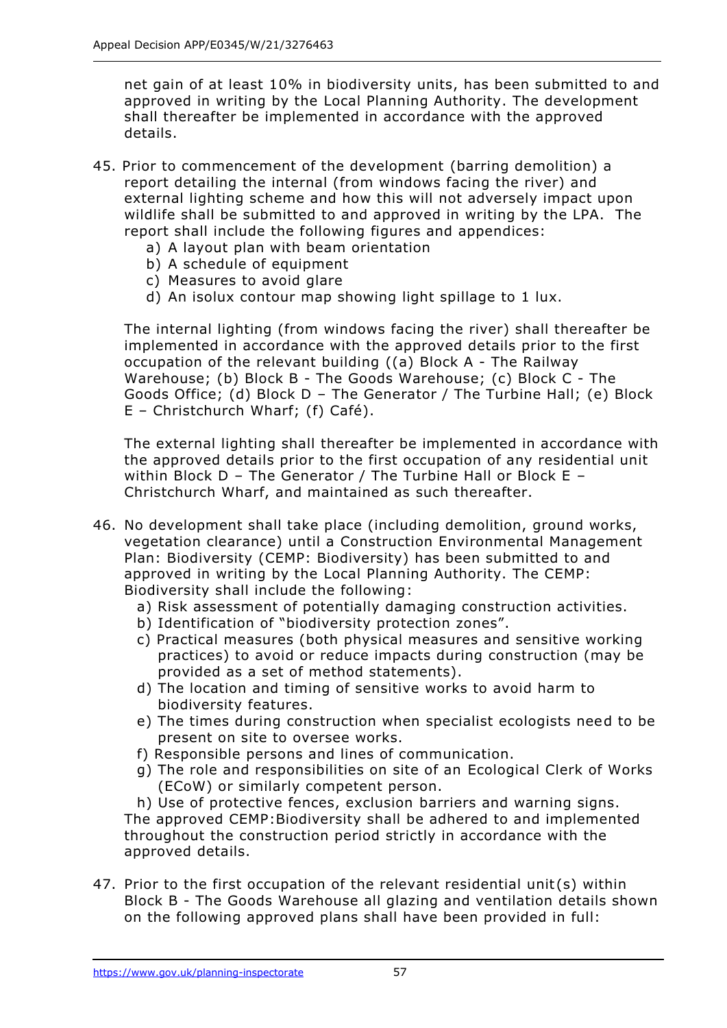net gain of at least 10% in biodiversity units, has been submitted to and approved in writing by the Local Planning Authority. The development shall thereafter be implemented in accordance with the approved details.

- 45. Prior to commencement of the development (barring demolition) a report detailing the internal (from windows facing the river) and external lighting scheme and how this will not adversely impact upon wildlife shall be submitted to and approved in writing by the LPA. The report shall include the following figures and appendices:
	- a) A layout plan with beam orientation
	- b) A schedule of equipment
	- c) Measures to avoid glare
	- d) An isolux contour map showing light spillage to 1 lux.

The internal lighting (from windows facing the river) shall thereafter be implemented in accordance with the approved details prior to the first occupation of the relevant building ((a) Block A - The Railway Warehouse; (b) Block B - The Goods Warehouse; (c) Block C - The Goods Office; (d) Block D – The Generator / The Turbine Hall; (e) Block E – Christchurch Wharf; (f) Café).

The external lighting shall thereafter be implemented in accordance with the approved details prior to the first occupation of any residential unit within Block D – The Generator / The Turbine Hall or Block E – Christchurch Wharf, and maintained as such thereafter.

- 46. No development shall take place (including demolition, ground works, vegetation clearance) until a Construction Environmental Management Plan: Biodiversity (CEMP: Biodiversity) has been submitted to and approved in writing by the Local Planning Authority. The CEMP: Biodiversity shall include the following:
	- a) Risk assessment of potentially damaging construction activities.
	- b) Identification of "biodiversity protection zones".
	- c) Practical measures (both physical measures and sensitive working practices) to avoid or reduce impacts during construction (may be provided as a set of method statements).
	- d) The location and timing of sensitive works to avoid harm to biodiversity features.
	- e) The times during construction when specialist ecologists need to be present on site to oversee works.
	- f) Responsible persons and lines of communication.
	- g) The role and responsibilities on site of an Ecological Clerk of Works (ECoW) or similarly competent person.

h) Use of protective fences, exclusion barriers and warning signs. The approved CEMP:Biodiversity shall be adhered to and implemented throughout the construction period strictly in accordance with the approved details.

47. Prior to the first occupation of the relevant residential unit (s) within Block B - The Goods Warehouse all glazing and ventilation details shown on the following approved plans shall have been provided in full: